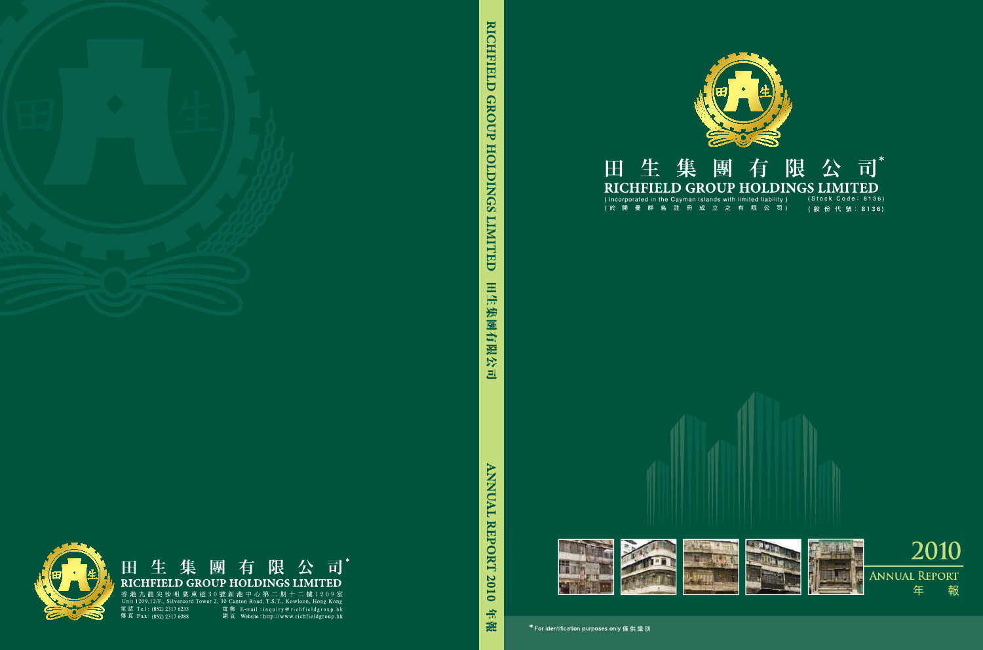

#### $\overrightarrow{\mathbf{\Pi}}^*$ 限 生集 團 有 公 田 RICHFIELD GROUP HOLDINGS LIMITED (Stock Code: 8136) (incorporated in the Cayman Islands with limited liability)

(於 開 曼 群 島 註 冊 成 立 之 有 限 公 司)<br>(於 開 曼 群 島 註 冊 成 立 之 有 限 公 司) (股份代號: 8136)

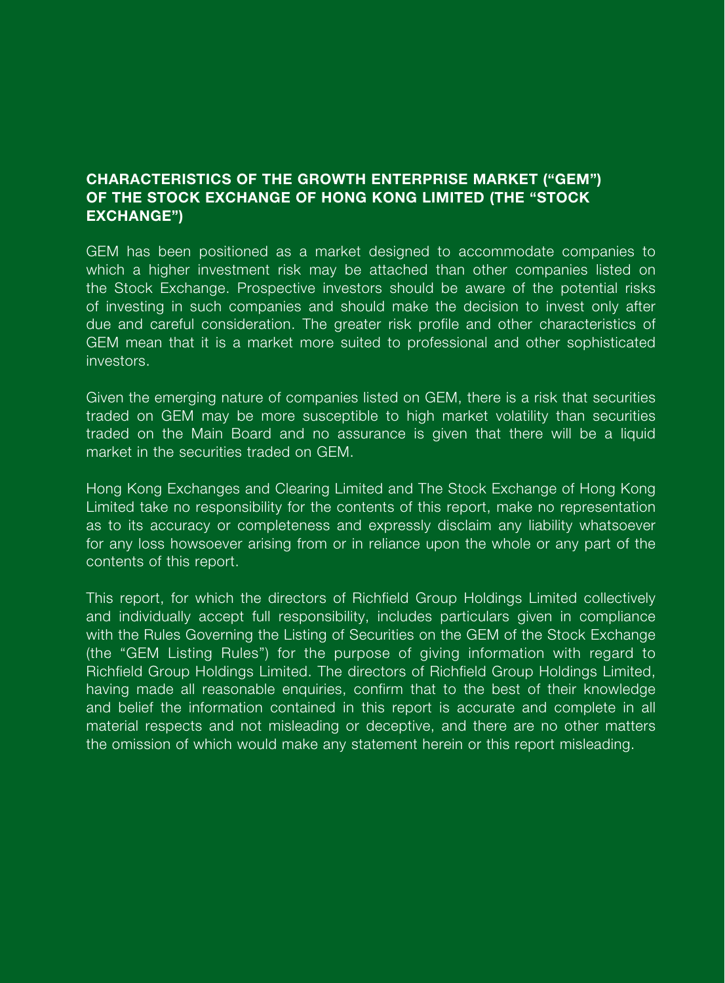### **CHARACTERISTICS OF THE GROWTH ENTERPRISE MARKET ("GEM") OF THE STOCK EXCHANGE OF HONG KONG LIMITED (THE "STOCK EXCHANGE")**

GEM has been positioned as a market designed to accommodate companies to which a higher investment risk may be attached than other companies listed on the Stock Exchange. Prospective investors should be aware of the potential risks of investing in such companies and should make the decision to invest only after due and careful consideration. The greater risk profile and other characteristics of GEM mean that it is a market more suited to professional and other sophisticated investors.

Given the emerging nature of companies listed on GEM, there is a risk that securities traded on GEM may be more susceptible to high market volatility than securities traded on the Main Board and no assurance is given that there will be a liquid market in the securities traded on GEM.

Hong Kong Exchanges and Clearing Limited and The Stock Exchange of Hong Kong Limited take no responsibility for the contents of this report, make no representation as to its accuracy or completeness and expressly disclaim any liability whatsoever for any loss howsoever arising from or in reliance upon the whole or any part of the contents of this report.

This report, for which the directors of Richfield Group Holdings Limited collectively and individually accept full responsibility, includes particulars given in compliance with the Rules Governing the Listing of Securities on the GEM of the Stock Exchange (the "GEM Listing Rules") for the purpose of giving information with regard to Richfield Group Holdings Limited. The directors of Richfield Group Holdings Limited, having made all reasonable enquiries, confirm that to the best of their knowledge and belief the information contained in this report is accurate and complete in all material respects and not misleading or deceptive, and there are no other matters the omission of which would make any statement herein or this report misleading.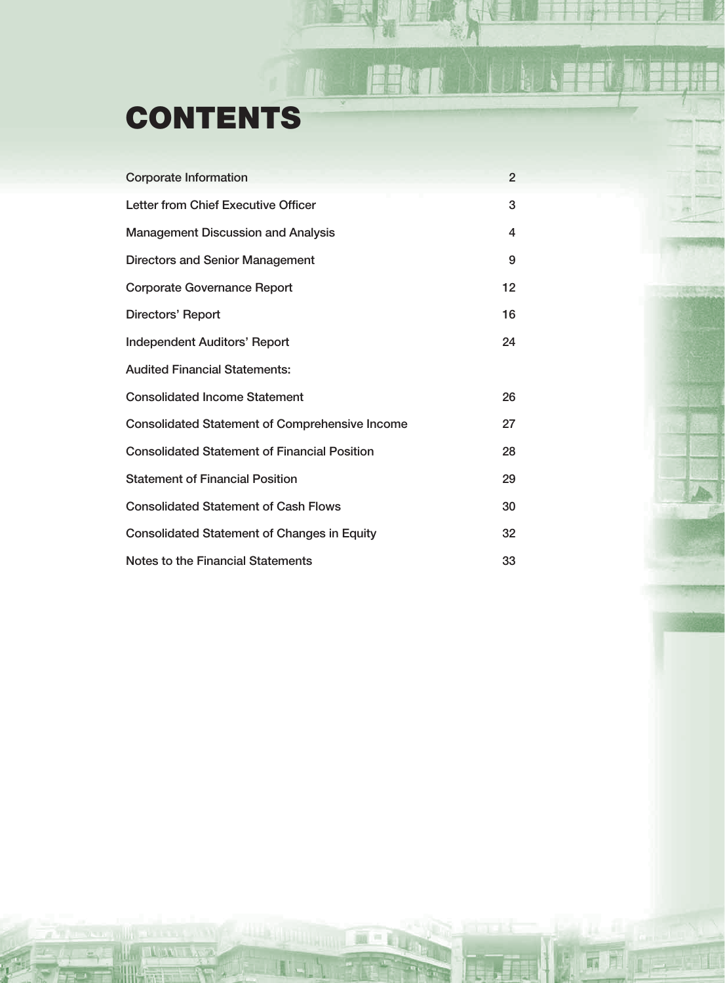# **CONTENTS**

| <b>Corporate Information</b>                          | $\overline{2}$ |
|-------------------------------------------------------|----------------|
| Letter from Chief Executive Officer                   | 3              |
| <b>Management Discussion and Analysis</b>             | 4              |
| <b>Directors and Senior Management</b>                | 9              |
| Corporate Governance Report                           | 12             |
| Directors' Report                                     | 16             |
| <b>Independent Auditors' Report</b>                   | 24             |
| <b>Audited Financial Statements:</b>                  |                |
| <b>Consolidated Income Statement</b>                  | 26             |
| <b>Consolidated Statement of Comprehensive Income</b> | 27             |
| <b>Consolidated Statement of Financial Position</b>   | 28             |
| <b>Statement of Financial Position</b>                | 29             |
| <b>Consolidated Statement of Cash Flows</b>           | 30             |
| <b>Consolidated Statement of Changes in Equity</b>    | 32             |
| Notes to the Financial Statements                     | 33             |

肩

慣

ľ

麻片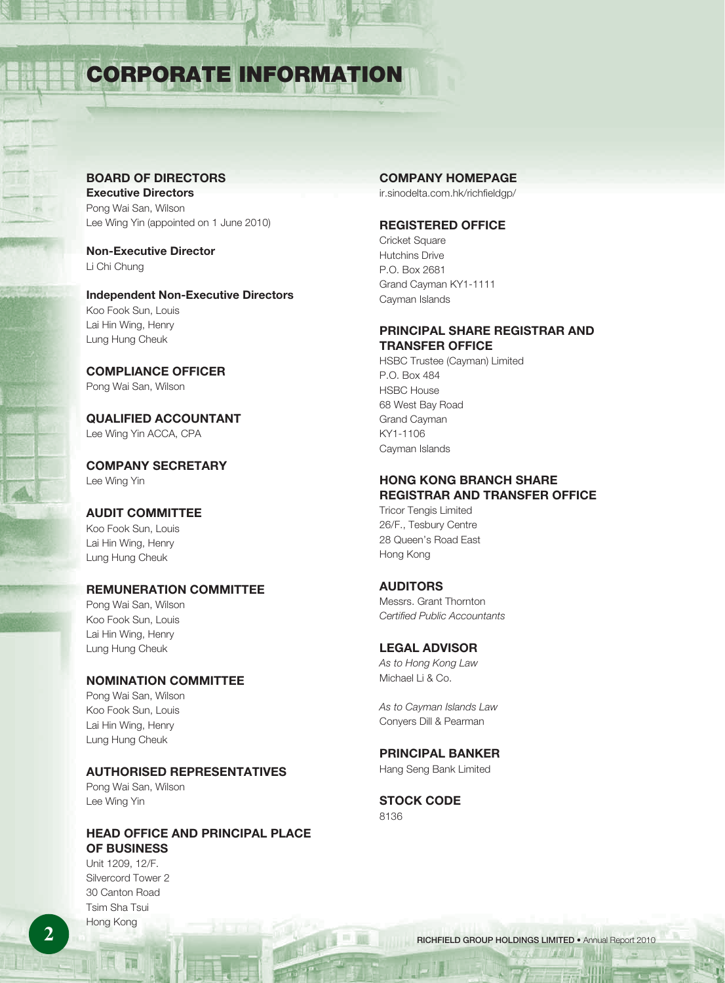# **CORPORATE INFORMATION**

#### **BOARD OF DIRECTORS**

**Executive Directors** Pong Wai San, Wilson Lee Wing Yin (appointed on 1 June 2010)

#### **Non-Executive Director** Li Chi Chung

#### **Independent Non-Executive Directors**

Koo Fook Sun, Louis Lai Hin Wing, Henry Lung Hung Cheuk

**COMPLIANCE OFFICER** Pong Wai San, Wilson

### **QUALIFIED ACCOUNTANT**

**COMPANY SECRETARY** Lee Wing Yin

#### **AUDIT COMMITTEE**

Koo Fook Sun, Louis Lai Hin Wing, Henry Lung Hung Cheuk

#### **REMUNERATION COMMITTEE**

Pong Wai San, Wilson Koo Fook Sun, Louis Lai Hin Wing, Henry Lung Hung Cheuk

#### **NOMINATION COMMITTEE**

Pong Wai San, Wilson Koo Fook Sun, Louis Lai Hin Wing, Henry Lung Hung Cheuk

#### **AUTHORISED REPRESENTATIVES**

Pong Wai San, Wilson Lee Wing Yin

#### **HEAD OFFICE AND PRINCIPAL PLACE OF BUSINESS**

Unit 1209, 12/F. Silvercord Tower 2 30 Canton Road Tsim Sha Tsui Hong Kong

Lee Wing Yin ACCA, CPA

**2 RICHFIELD GROUP HOLDINGS LIMITED** • Annual Report 2010

#### **COMPANY HOMEPAGE**

ir.sinodelta.com.hk/richfieldgp/

#### **REGISTERED OFFICE**

Cricket Square Hutchins Drive P.O. Box 2681 Grand Cayman KY1-1111 Cayman Islands

#### **PRINCIPAL SHARE REGISTRAR AND TRANSFER OFFICE**

HSBC Trustee (Cayman) Limited P.O. Box 484 HSBC House 68 West Bay Road Grand Cayman KY1-1106 Cayman Islands

#### **HONG KONG BRANCH SHARE REGISTRAR AND TRANSFER OFFICE**

Tricor Tengis Limited 26/F., Tesbury Centre 28 Queen's Road East Hong Kong

#### **AUDITORS**

Messrs. Grant Thornton Certified Public Accountants

#### **LEGAL ADVISOR**

As to Hong Kong Law Michael Li & Co.

As to Cayman Islands Law Conyers Dill & Pearman

#### **PRINCIPAL BANKER**

Hang Seng Bank Limited

#### **STOCK CODE** 8136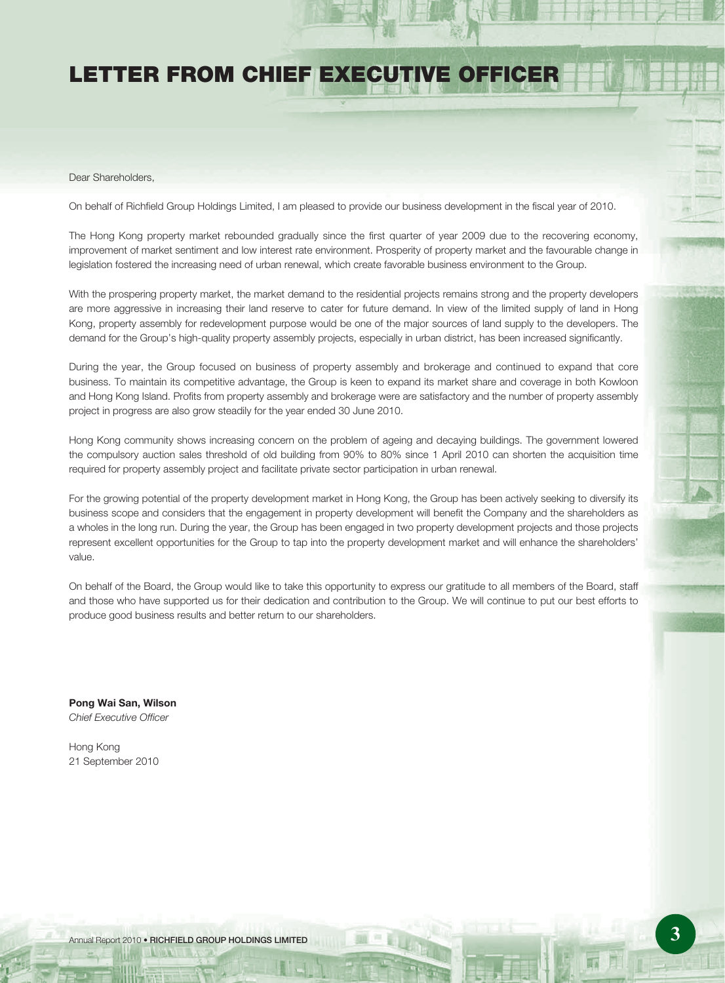### **LETTER FROM CHIEF EXECUTIVE OFFICER**

Dear Shareholders,

On behalf of Richfield Group Holdings Limited, I am pleased to provide our business development in the fiscal year of 2010.

The Hong Kong property market rebounded gradually since the first quarter of year 2009 due to the recovering economy, improvement of market sentiment and low interest rate environment. Prosperity of property market and the favourable change in legislation fostered the increasing need of urban renewal, which create favorable business environment to the Group.

With the prospering property market, the market demand to the residential projects remains strong and the property developers are more aggressive in increasing their land reserve to cater for future demand. In view of the limited supply of land in Hong Kong, property assembly for redevelopment purpose would be one of the major sources of land supply to the developers. The demand for the Group's high-quality property assembly projects, especially in urban district, has been increased significantly.

During the year, the Group focused on business of property assembly and brokerage and continued to expand that core business. To maintain its competitive advantage, the Group is keen to expand its market share and coverage in both Kowloon and Hong Kong Island. Profits from property assembly and brokerage were are satisfactory and the number of property assembly project in progress are also grow steadily for the year ended 30 June 2010.

Hong Kong community shows increasing concern on the problem of ageing and decaying buildings. The government lowered the compulsory auction sales threshold of old building from 90% to 80% since 1 April 2010 can shorten the acquisition time required for property assembly project and facilitate private sector participation in urban renewal.

For the growing potential of the property development market in Hong Kong, the Group has been actively seeking to diversify its business scope and considers that the engagement in property development will benefit the Company and the shareholders as a wholes in the long run. During the year, the Group has been engaged in two property development projects and those projects represent excellent opportunities for the Group to tap into the property development market and will enhance the shareholders' value.

On behalf of the Board, the Group would like to take this opportunity to express our gratitude to all members of the Board, staff and those who have supported us for their dedication and contribution to the Group. We will continue to put our best efforts to produce good business results and better return to our shareholders.

**Pong Wai San, Wilson** Chief Executive Officer

Hong Kong 21 September 2010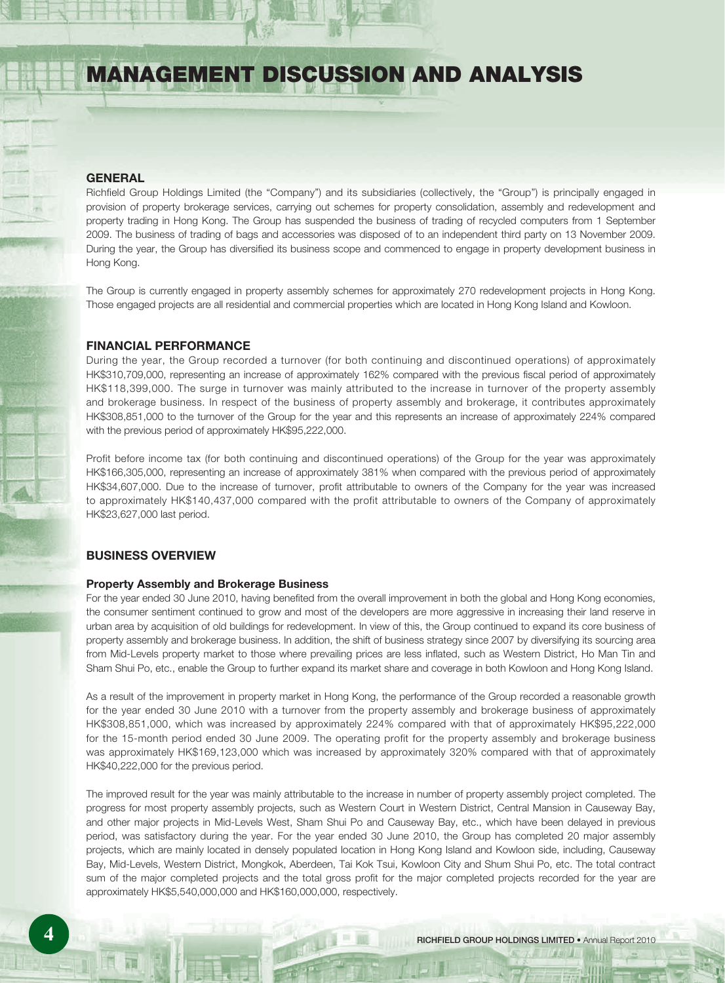#### **GENERAL**

Richfield Group Holdings Limited (the "Company") and its subsidiaries (collectively, the "Group") is principally engaged in provision of property brokerage services, carrying out schemes for property consolidation, assembly and redevelopment and property trading in Hong Kong. The Group has suspended the business of trading of recycled computers from 1 September 2009. The business of trading of bags and accessories was disposed of to an independent third party on 13 November 2009. During the year, the Group has diversified its business scope and commenced to engage in property development business in Hong Kong.

The Group is currently engaged in property assembly schemes for approximately 270 redevelopment projects in Hong Kong. Those engaged projects are all residential and commercial properties which are located in Hong Kong Island and Kowloon.

#### **FINANCIAL PERFORMANCE**

During the year, the Group recorded a turnover (for both continuing and discontinued operations) of approximately HK\$310,709,000, representing an increase of approximately 162% compared with the previous fiscal period of approximately HK\$118,399,000. The surge in turnover was mainly attributed to the increase in turnover of the property assembly and brokerage business. In respect of the business of property assembly and brokerage, it contributes approximately HK\$308,851,000 to the turnover of the Group for the year and this represents an increase of approximately 224% compared with the previous period of approximately HK\$95,222,000.

Profit before income tax (for both continuing and discontinued operations) of the Group for the year was approximately HK\$166,305,000, representing an increase of approximately 381% when compared with the previous period of approximately HK\$34,607,000. Due to the increase of turnover, profit attributable to owners of the Company for the year was increased to approximately HK\$140,437,000 compared with the profit attributable to owners of the Company of approximately HK\$23,627,000 last period.

#### **BUSINESS OVERVIEW**

#### **Property Assembly and Brokerage Business**

For the year ended 30 June 2010, having benefited from the overall improvement in both the global and Hong Kong economies, the consumer sentiment continued to grow and most of the developers are more aggressive in increasing their land reserve in urban area by acquisition of old buildings for redevelopment. In view of this, the Group continued to expand its core business of property assembly and brokerage business. In addition, the shift of business strategy since 2007 by diversifying its sourcing area from Mid-Levels property market to those where prevailing prices are less inflated, such as Western District, Ho Man Tin and Sham Shui Po, etc., enable the Group to further expand its market share and coverage in both Kowloon and Hong Kong Island.

As a result of the improvement in property market in Hong Kong, the performance of the Group recorded a reasonable growth for the year ended 30 June 2010 with a turnover from the property assembly and brokerage business of approximately HK\$308,851,000, which was increased by approximately 224% compared with that of approximately HK\$95,222,000 for the 15-month period ended 30 June 2009. The operating profit for the property assembly and brokerage business was approximately HK\$169,123,000 which was increased by approximately 320% compared with that of approximately HK\$40,222,000 for the previous period.

The improved result for the year was mainly attributable to the increase in number of property assembly project completed. The progress for most property assembly projects, such as Western Court in Western District, Central Mansion in Causeway Bay, and other major projects in Mid-Levels West, Sham Shui Po and Causeway Bay, etc., which have been delayed in previous period, was satisfactory during the year. For the year ended 30 June 2010, the Group has completed 20 major assembly projects, which are mainly located in densely populated location in Hong Kong Island and Kowloon side, including, Causeway Bay, Mid-Levels, Western District, Mongkok, Aberdeen, Tai Kok Tsui, Kowloon City and Shum Shui Po, etc. The total contract sum of the major completed projects and the total gross profit for the major completed projects recorded for the year are approximately HK\$5,540,000,000 and HK\$160,000,000, respectively.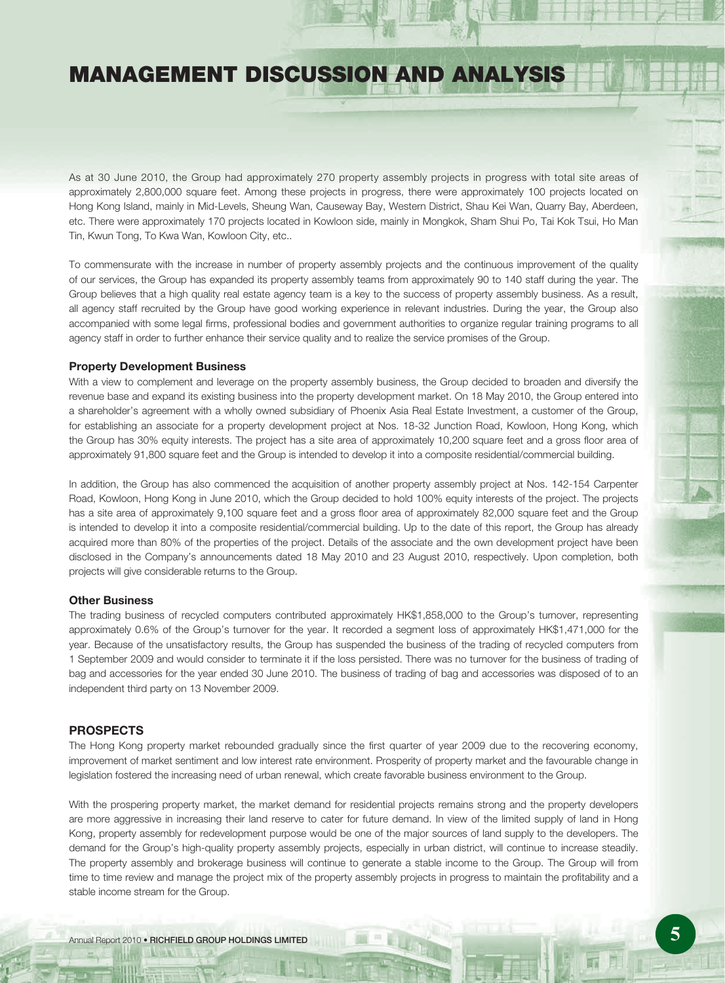As at 30 June 2010, the Group had approximately 270 property assembly projects in progress with total site areas of approximately 2,800,000 square feet. Among these projects in progress, there were approximately 100 projects located on Hong Kong Island, mainly in Mid-Levels, Sheung Wan, Causeway Bay, Western District, Shau Kei Wan, Quarry Bay, Aberdeen, etc. There were approximately 170 projects located in Kowloon side, mainly in Mongkok, Sham Shui Po, Tai Kok Tsui, Ho Man Tin, Kwun Tong, To Kwa Wan, Kowloon City, etc..

To commensurate with the increase in number of property assembly projects and the continuous improvement of the quality of our services, the Group has expanded its property assembly teams from approximately 90 to 140 staff during the year. The Group believes that a high quality real estate agency team is a key to the success of property assembly business. As a result, all agency staff recruited by the Group have good working experience in relevant industries. During the year, the Group also accompanied with some legal firms, professional bodies and government authorities to organize regular training programs to all agency staff in order to further enhance their service quality and to realize the service promises of the Group.

#### **Property Development Business**

With a view to complement and leverage on the property assembly business, the Group decided to broaden and diversify the revenue base and expand its existing business into the property development market. On 18 May 2010, the Group entered into a shareholder's agreement with a wholly owned subsidiary of Phoenix Asia Real Estate Investment, a customer of the Group, for establishing an associate for a property development project at Nos. 18-32 Junction Road, Kowloon, Hong Kong, which the Group has 30% equity interests. The project has a site area of approximately 10,200 square feet and a gross floor area of approximately 91,800 square feet and the Group is intended to develop it into a composite residential/commercial building.

In addition, the Group has also commenced the acquisition of another property assembly project at Nos. 142-154 Carpenter Road, Kowloon, Hong Kong in June 2010, which the Group decided to hold 100% equity interests of the project. The projects has a site area of approximately 9,100 square feet and a gross floor area of approximately 82,000 square feet and the Group is intended to develop it into a composite residential/commercial building. Up to the date of this report, the Group has already acquired more than 80% of the properties of the project. Details of the associate and the own development project have been disclosed in the Company's announcements dated 18 May 2010 and 23 August 2010, respectively. Upon completion, both projects will give considerable returns to the Group.

#### **Other Business**

The trading business of recycled computers contributed approximately HK\$1,858,000 to the Group's turnover, representing approximately 0.6% of the Group's turnover for the year. It recorded a segment loss of approximately HK\$1,471,000 for the year. Because of the unsatisfactory results, the Group has suspended the business of the trading of recycled computers from 1 September 2009 and would consider to terminate it if the loss persisted. There was no turnover for the business of trading of bag and accessories for the year ended 30 June 2010. The business of trading of bag and accessories was disposed of to an independent third party on 13 November 2009.

#### **PROSPECTS**

The Hong Kong property market rebounded gradually since the first quarter of year 2009 due to the recovering economy, improvement of market sentiment and low interest rate environment. Prosperity of property market and the favourable change in legislation fostered the increasing need of urban renewal, which create favorable business environment to the Group.

With the prospering property market, the market demand for residential projects remains strong and the property developers are more aggressive in increasing their land reserve to cater for future demand. In view of the limited supply of land in Hong Kong, property assembly for redevelopment purpose would be one of the major sources of land supply to the developers. The demand for the Group's high-quality property assembly projects, especially in urban district, will continue to increase steadily. The property assembly and brokerage business will continue to generate a stable income to the Group. The Group will from time to time review and manage the project mix of the property assembly projects in progress to maintain the profitability and a stable income stream for the Group.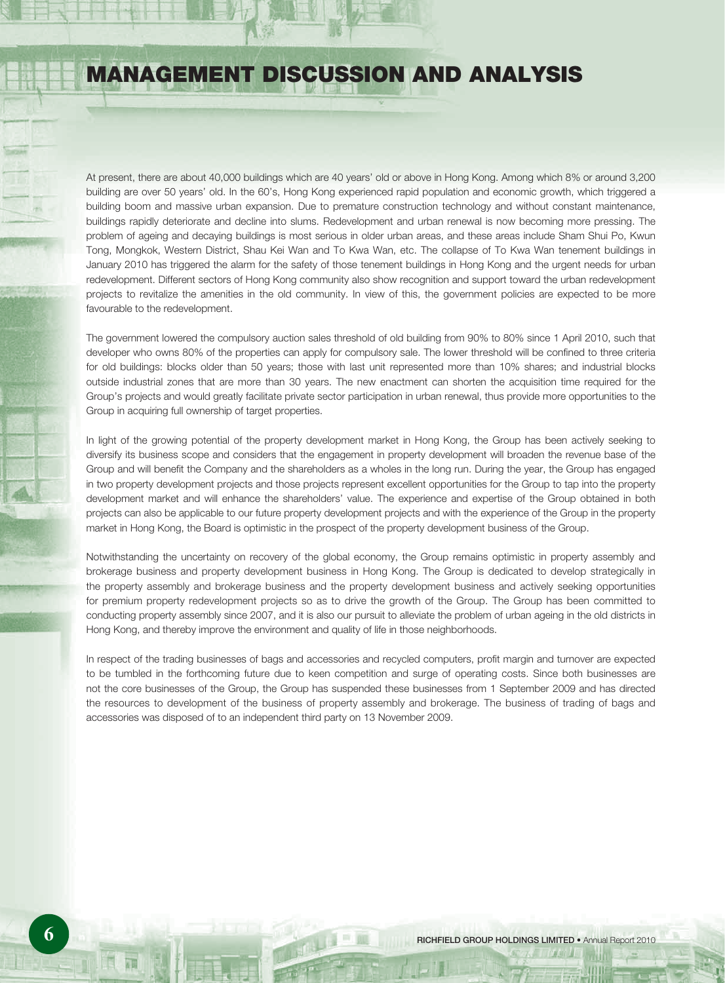At present, there are about 40,000 buildings which are 40 years' old or above in Hong Kong. Among which 8% or around 3,200 building are over 50 years' old. In the 60's, Hong Kong experienced rapid population and economic growth, which triggered a building boom and massive urban expansion. Due to premature construction technology and without constant maintenance, buildings rapidly deteriorate and decline into slums. Redevelopment and urban renewal is now becoming more pressing. The problem of ageing and decaying buildings is most serious in older urban areas, and these areas include Sham Shui Po, Kwun Tong, Mongkok, Western District, Shau Kei Wan and To Kwa Wan, etc. The collapse of To Kwa Wan tenement buildings in January 2010 has triggered the alarm for the safety of those tenement buildings in Hong Kong and the urgent needs for urban redevelopment. Different sectors of Hong Kong community also show recognition and support toward the urban redevelopment projects to revitalize the amenities in the old community. In view of this, the government policies are expected to be more favourable to the redevelopment.

The government lowered the compulsory auction sales threshold of old building from 90% to 80% since 1 April 2010, such that developer who owns 80% of the properties can apply for compulsory sale. The lower threshold will be confined to three criteria for old buildings: blocks older than 50 years; those with last unit represented more than 10% shares; and industrial blocks outside industrial zones that are more than 30 years. The new enactment can shorten the acquisition time required for the Group's projects and would greatly facilitate private sector participation in urban renewal, thus provide more opportunities to the Group in acquiring full ownership of target properties.

In light of the growing potential of the property development market in Hong Kong, the Group has been actively seeking to diversify its business scope and considers that the engagement in property development will broaden the revenue base of the Group and will benefit the Company and the shareholders as a wholes in the long run. During the year, the Group has engaged in two property development projects and those projects represent excellent opportunities for the Group to tap into the property development market and will enhance the shareholders' value. The experience and expertise of the Group obtained in both projects can also be applicable to our future property development projects and with the experience of the Group in the property market in Hong Kong, the Board is optimistic in the prospect of the property development business of the Group.

Notwithstanding the uncertainty on recovery of the global economy, the Group remains optimistic in property assembly and brokerage business and property development business in Hong Kong. The Group is dedicated to develop strategically in the property assembly and brokerage business and the property development business and actively seeking opportunities for premium property redevelopment projects so as to drive the growth of the Group. The Group has been committed to conducting property assembly since 2007, and it is also our pursuit to alleviate the problem of urban ageing in the old districts in Hong Kong, and thereby improve the environment and quality of life in those neighborhoods.

In respect of the trading businesses of bags and accessories and recycled computers, profit margin and turnover are expected to be tumbled in the forthcoming future due to keen competition and surge of operating costs. Since both businesses are not the core businesses of the Group, the Group has suspended these businesses from 1 September 2009 and has directed the resources to development of the business of property assembly and brokerage. The business of trading of bags and accessories was disposed of to an independent third party on 13 November 2009.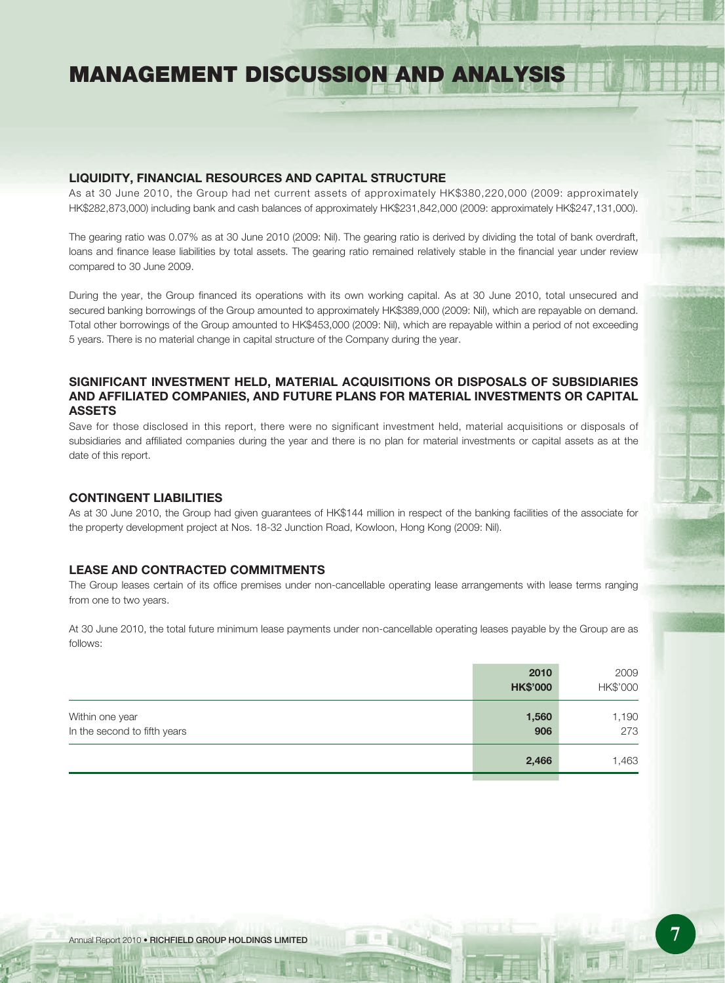#### **LIQUIDITY, FINANCIAL RESOURCES AND CAPITAL STRUCTURE**

As at 30 June 2010, the Group had net current assets of approximately HK\$380,220,000 (2009: approximately HK\$282,873,000) including bank and cash balances of approximately HK\$231,842,000 (2009: approximately HK\$247,131,000).

The gearing ratio was 0.07% as at 30 June 2010 (2009: Nil). The gearing ratio is derived by dividing the total of bank overdraft, loans and finance lease liabilities by total assets. The gearing ratio remained relatively stable in the financial year under review compared to 30 June 2009.

During the year, the Group financed its operations with its own working capital. As at 30 June 2010, total unsecured and secured banking borrowings of the Group amounted to approximately HK\$389,000 (2009: Nil), which are repayable on demand. Total other borrowings of the Group amounted to HK\$453,000 (2009: Nil), which are repayable within a period of not exceeding 5 years. There is no material change in capital structure of the Company during the year.

#### **SIGNIFICANT INVESTMENT HELD, MATERIAL ACQUISITIONS OR DISPOSALS OF SUBSIDIARIES AND AFFILIATED COMPANIES, AND FUTURE PLANS FOR MATERIAL INVESTMENTS OR CAPITAL ASSETS**

Save for those disclosed in this report, there were no significant investment held, material acquisitions or disposals of subsidiaries and affiliated companies during the year and there is no plan for material investments or capital assets as at the date of this report.

#### **CONTINGENT LIABILITIES**

As at 30 June 2010, the Group had given guarantees of HK\$144 million in respect of the banking facilities of the associate for the property development project at Nos. 18-32 Junction Road, Kowloon, Hong Kong (2009: Nil).

#### **LEASE AND CONTRACTED COMMITMENTS**

The Group leases certain of its office premises under non-cancellable operating lease arrangements with lease terms ranging from one to two years.

At 30 June 2010, the total future minimum lease payments under non-cancellable operating leases payable by the Group are as follows:

|                                                 | 2010<br><b>HK\$'000</b> | 2009<br>HK\$'000 |
|-------------------------------------------------|-------------------------|------------------|
| Within one year<br>In the second to fifth years | 1,560<br>906            | 1,190<br>273     |
|                                                 | 2,466                   | 1,463            |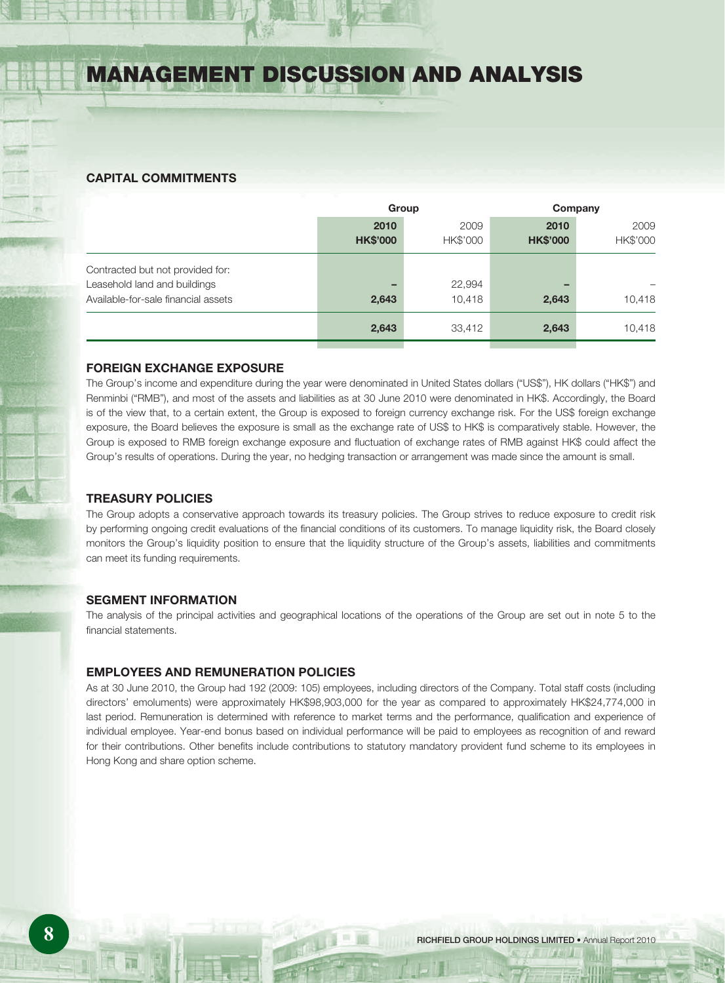#### **CAPITAL COMMITMENTS**

|                                                                                                         | Group                   |                  | Company                 |                  |
|---------------------------------------------------------------------------------------------------------|-------------------------|------------------|-------------------------|------------------|
|                                                                                                         | 2010<br><b>HK\$'000</b> | 2009<br>HK\$'000 | 2010<br><b>HK\$'000</b> | 2009<br>HK\$'000 |
| Contracted but not provided for:<br>Leasehold land and buildings<br>Available-for-sale financial assets | -<br>2,643              | 22,994<br>10,418 | 2,643                   | 10,418           |
|                                                                                                         | 2,643                   | 33,412           | 2,643                   | 10,418           |

#### **FOREIGN EXCHANGE EXPOSURE**

The Group's income and expenditure during the year were denominated in United States dollars ("US\$"), HK dollars ("HK\$") and Renminbi ("RMB"), and most of the assets and liabilities as at 30 June 2010 were denominated in HK\$. Accordingly, the Board is of the view that, to a certain extent, the Group is exposed to foreign currency exchange risk. For the US\$ foreign exchange exposure, the Board believes the exposure is small as the exchange rate of US\$ to HK\$ is comparatively stable. However, the Group is exposed to RMB foreign exchange exposure and fluctuation of exchange rates of RMB against HK\$ could affect the Group's results of operations. During the year, no hedging transaction or arrangement was made since the amount is small.

#### **TREASURY POLICIES**

The Group adopts a conservative approach towards its treasury policies. The Group strives to reduce exposure to credit risk by performing ongoing credit evaluations of the financial conditions of its customers. To manage liquidity risk, the Board closely monitors the Group's liquidity position to ensure that the liquidity structure of the Group's assets, liabilities and commitments can meet its funding requirements.

#### **SEGMENT INFORMATION**

The analysis of the principal activities and geographical locations of the operations of the Group are set out in note 5 to the financial statements.

#### **EMPLOYEES AND REMUNERATION POLICIES**

As at 30 June 2010, the Group had 192 (2009: 105) employees, including directors of the Company. Total staff costs (including directors' emoluments) were approximately HK\$98,903,000 for the year as compared to approximately HK\$24,774,000 in last period. Remuneration is determined with reference to market terms and the performance, qualification and experience of individual employee. Year-end bonus based on individual performance will be paid to employees as recognition of and reward for their contributions. Other benefits include contributions to statutory mandatory provident fund scheme to its employees in Hong Kong and share option scheme.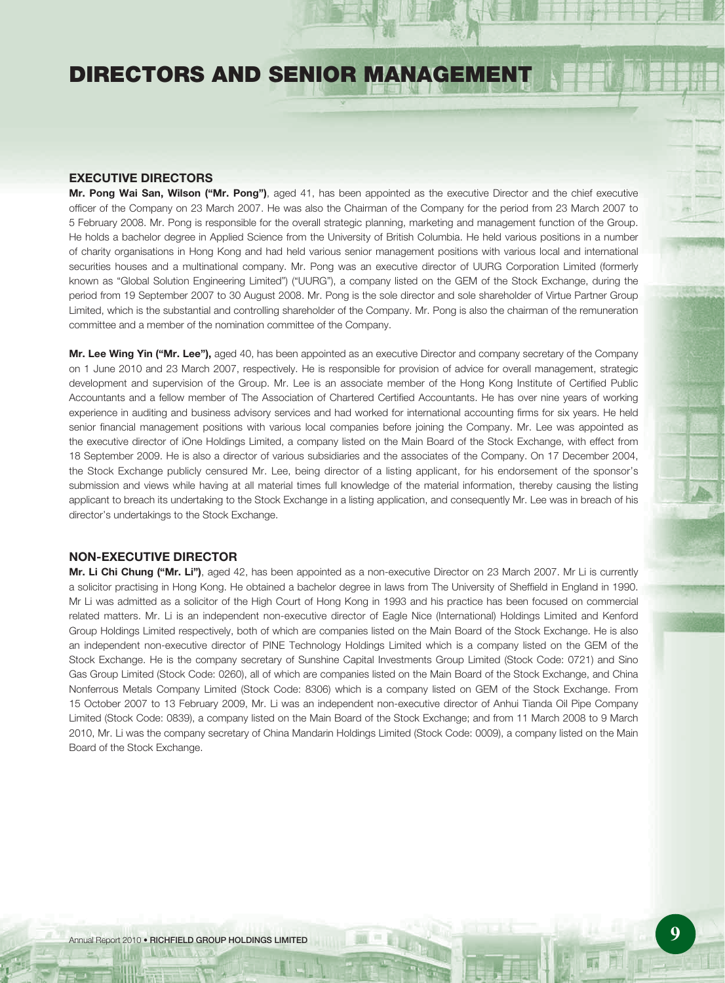### **DIRECTORS AND SENIOR MANAGEMENT**

#### **EXECUTIVE DIRECTORS**

**Mr. Pong Wai San, Wilson ("Mr. Pong")**, aged 41, has been appointed as the executive Director and the chief executive officer of the Company on 23 March 2007. He was also the Chairman of the Company for the period from 23 March 2007 to 5 February 2008. Mr. Pong is responsible for the overall strategic planning, marketing and management function of the Group. He holds a bachelor degree in Applied Science from the University of British Columbia. He held various positions in a number of charity organisations in Hong Kong and had held various senior management positions with various local and international securities houses and a multinational company. Mr. Pong was an executive director of UURG Corporation Limited (formerly known as "Global Solution Engineering Limited") ("UURG"), a company listed on the GEM of the Stock Exchange, during the period from 19 September 2007 to 30 August 2008. Mr. Pong is the sole director and sole shareholder of Virtue Partner Group Limited, which is the substantial and controlling shareholder of the Company. Mr. Pong is also the chairman of the remuneration committee and a member of the nomination committee of the Company.

**Mr. Lee Wing Yin ("Mr. Lee"),** aged 40, has been appointed as an executive Director and company secretary of the Company on 1 June 2010 and 23 March 2007, respectively. He is responsible for provision of advice for overall management, strategic development and supervision of the Group. Mr. Lee is an associate member of the Hong Kong Institute of Certified Public Accountants and a fellow member of The Association of Chartered Certified Accountants. He has over nine years of working experience in auditing and business advisory services and had worked for international accounting firms for six years. He held senior financial management positions with various local companies before joining the Company. Mr. Lee was appointed as the executive director of iOne Holdings Limited, a company listed on the Main Board of the Stock Exchange, with effect from 18 September 2009. He is also a director of various subsidiaries and the associates of the Company. On 17 December 2004, the Stock Exchange publicly censured Mr. Lee, being director of a listing applicant, for his endorsement of the sponsor's submission and views while having at all material times full knowledge of the material information, thereby causing the listing applicant to breach its undertaking to the Stock Exchange in a listing application, and consequently Mr. Lee was in breach of his director's undertakings to the Stock Exchange.

#### **NON-EXECUTIVE DIRECTOR**

Mr. Li Chi Chung ("Mr. Li"), aged 42, has been appointed as a non-executive Director on 23 March 2007. Mr Li is currently a solicitor practising in Hong Kong. He obtained a bachelor degree in laws from The University of Sheffield in England in 1990. Mr Li was admitted as a solicitor of the High Court of Hong Kong in 1993 and his practice has been focused on commercial related matters. Mr. Li is an independent non-executive director of Eagle Nice (International) Holdings Limited and Kenford Group Holdings Limited respectively, both of which are companies listed on the Main Board of the Stock Exchange. He is also an independent non-executive director of PINE Technology Holdings Limited which is a company listed on the GEM of the Stock Exchange. He is the company secretary of Sunshine Capital Investments Group Limited (Stock Code: 0721) and Sino Gas Group Limited (Stock Code: 0260), all of which are companies listed on the Main Board of the Stock Exchange, and China Nonferrous Metals Company Limited (Stock Code: 8306) which is a company listed on GEM of the Stock Exchange. From 15 October 2007 to 13 February 2009, Mr. Li was an independent non-executive director of Anhui Tianda Oil Pipe Company Limited (Stock Code: 0839), a company listed on the Main Board of the Stock Exchange; and from 11 March 2008 to 9 March 2010, Mr. Li was the company secretary of China Mandarin Holdings Limited (Stock Code: 0009), a company listed on the Main Board of the Stock Exchange.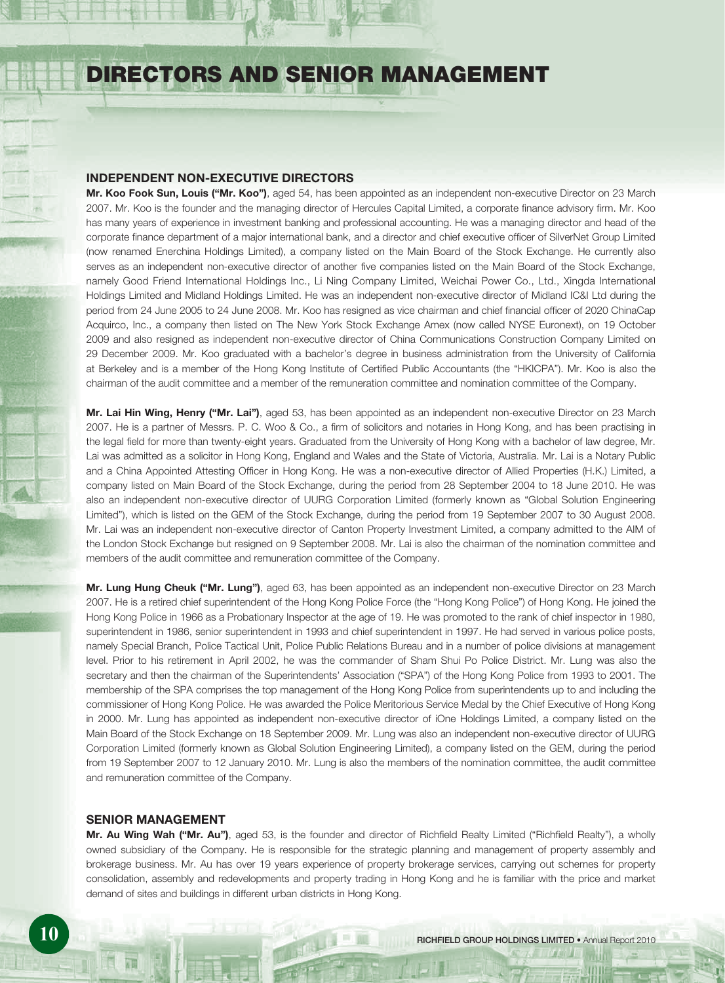# **DIRECTORS AND SENIOR MANAGEMENT**

#### **INDEPENDENT NON-EXECUTIVE DIRECTORS**

**Mr. Koo Fook Sun, Louis ("Mr. Koo")**, aged 54, has been appointed as an independent non-executive Director on 23 March 2007. Mr. Koo is the founder and the managing director of Hercules Capital Limited, a corporate finance advisory firm. Mr. Koo has many years of experience in investment banking and professional accounting. He was a managing director and head of the corporate finance department of a major international bank, and a director and chief executive officer of SilverNet Group Limited (now renamed Enerchina Holdings Limited), a company listed on the Main Board of the Stock Exchange. He currently also serves as an independent non-executive director of another five companies listed on the Main Board of the Stock Exchange, namely Good Friend International Holdings Inc., Li Ning Company Limited, Weichai Power Co., Ltd., Xingda International Holdings Limited and Midland Holdings Limited. He was an independent non-executive director of Midland IC&I Ltd during the period from 24 June 2005 to 24 June 2008. Mr. Koo has resigned as vice chairman and chief financial officer of 2020 ChinaCap Acquirco, Inc., a company then listed on The New York Stock Exchange Amex (now called NYSE Euronext), on 19 October 2009 and also resigned as independent non-executive director of China Communications Construction Company Limited on 29 December 2009. Mr. Koo graduated with a bachelor's degree in business administration from the University of California at Berkeley and is a member of the Hong Kong Institute of Certified Public Accountants (the "HKICPA"). Mr. Koo is also the chairman of the audit committee and a member of the remuneration committee and nomination committee of the Company.

**Mr. Lai Hin Wing, Henry ("Mr. Lai")**, aged 53, has been appointed as an independent non-executive Director on 23 March 2007. He is a partner of Messrs. P. C. Woo & Co., a firm of solicitors and notaries in Hong Kong, and has been practising in the legal field for more than twenty-eight years. Graduated from the University of Hong Kong with a bachelor of law degree, Mr. Lai was admitted as a solicitor in Hong Kong, England and Wales and the State of Victoria, Australia. Mr. Lai is a Notary Public and a China Appointed Attesting Officer in Hong Kong. He was a non-executive director of Allied Properties (H.K.) Limited, a company listed on Main Board of the Stock Exchange, during the period from 28 September 2004 to 18 June 2010. He was also an independent non-executive director of UURG Corporation Limited (formerly known as "Global Solution Engineering Limited"), which is listed on the GEM of the Stock Exchange, during the period from 19 September 2007 to 30 August 2008. Mr. Lai was an independent non-executive director of Canton Property Investment Limited, a company admitted to the AIM of the London Stock Exchange but resigned on 9 September 2008. Mr. Lai is also the chairman of the nomination committee and members of the audit committee and remuneration committee of the Company.

**Mr. Lung Hung Cheuk ("Mr. Lung")**, aged 63, has been appointed as an independent non-executive Director on 23 March 2007. He is a retired chief superintendent of the Hong Kong Police Force (the "Hong Kong Police") of Hong Kong. He joined the Hong Kong Police in 1966 as a Probationary Inspector at the age of 19. He was promoted to the rank of chief inspector in 1980, superintendent in 1986, senior superintendent in 1993 and chief superintendent in 1997. He had served in various police posts, namely Special Branch, Police Tactical Unit, Police Public Relations Bureau and in a number of police divisions at management level. Prior to his retirement in April 2002, he was the commander of Sham Shui Po Police District. Mr. Lung was also the secretary and then the chairman of the Superintendents' Association ("SPA") of the Hong Kong Police from 1993 to 2001. The membership of the SPA comprises the top management of the Hong Kong Police from superintendents up to and including the commissioner of Hong Kong Police. He was awarded the Police Meritorious Service Medal by the Chief Executive of Hong Kong in 2000. Mr. Lung has appointed as independent non-executive director of iOne Holdings Limited, a company listed on the Main Board of the Stock Exchange on 18 September 2009. Mr. Lung was also an independent non-executive director of UURG Corporation Limited (formerly known as Global Solution Engineering Limited), a company listed on the GEM, during the period from 19 September 2007 to 12 January 2010. Mr. Lung is also the members of the nomination committee, the audit committee and remuneration committee of the Company.

#### **SENIOR MANAGEMENT**

**Mr. Au Wing Wah ("Mr. Au")**, aged 53, is the founder and director of Richfield Realty Limited ("Richfield Realty"), a wholly owned subsidiary of the Company. He is responsible for the strategic planning and management of property assembly and brokerage business. Mr. Au has over 19 years experience of property brokerage services, carrying out schemes for property consolidation, assembly and redevelopments and property trading in Hong Kong and he is familiar with the price and market demand of sites and buildings in different urban districts in Hong Kong.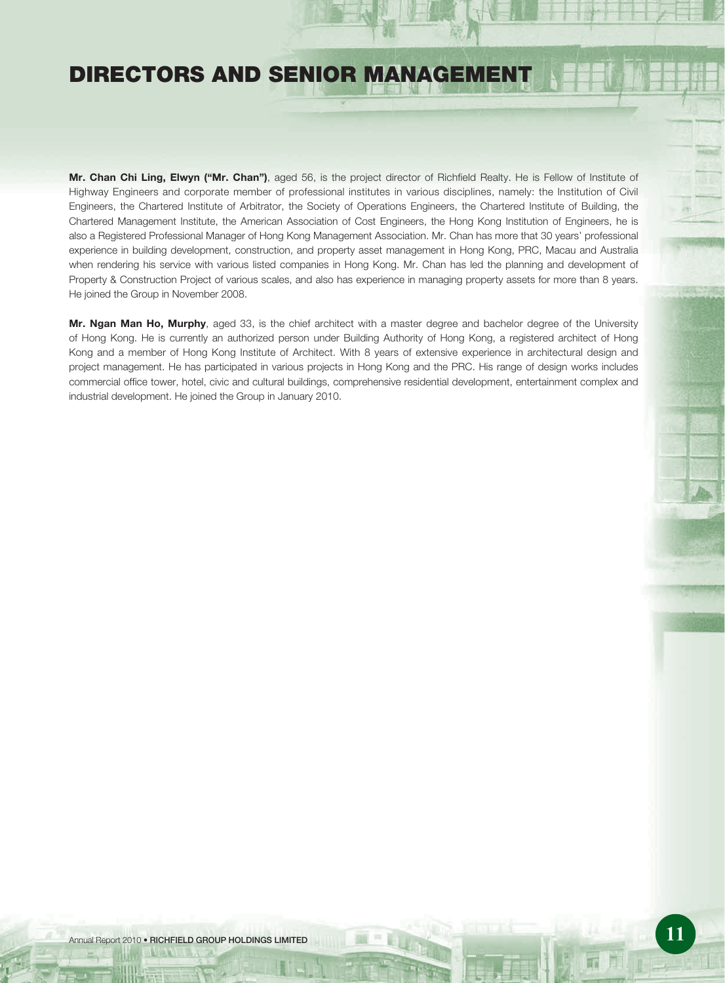## **DIRECTORS AND SENIOR MANAGEMENT**

**Mr. Chan Chi Ling, Elwyn ("Mr. Chan")**, aged 56, is the project director of Richfield Realty. He is Fellow of Institute of Highway Engineers and corporate member of professional institutes in various disciplines, namely: the Institution of Civil Engineers, the Chartered Institute of Arbitrator, the Society of Operations Engineers, the Chartered Institute of Building, the Chartered Management Institute, the American Association of Cost Engineers, the Hong Kong Institution of Engineers, he is also a Registered Professional Manager of Hong Kong Management Association. Mr. Chan has more that 30 years' professional experience in building development, construction, and property asset management in Hong Kong, PRC, Macau and Australia when rendering his service with various listed companies in Hong Kong. Mr. Chan has led the planning and development of Property & Construction Project of various scales, and also has experience in managing property assets for more than 8 years. He joined the Group in November 2008.

**Mr. Ngan Man Ho, Murphy**, aged 33, is the chief architect with a master degree and bachelor degree of the University of Hong Kong. He is currently an authorized person under Building Authority of Hong Kong, a registered architect of Hong Kong and a member of Hong Kong Institute of Architect. With 8 years of extensive experience in architectural design and project management. He has participated in various projects in Hong Kong and the PRC. His range of design works includes commercial office tower, hotel, civic and cultural buildings, comprehensive residential development, entertainment complex and industrial development. He joined the Group in January 2010.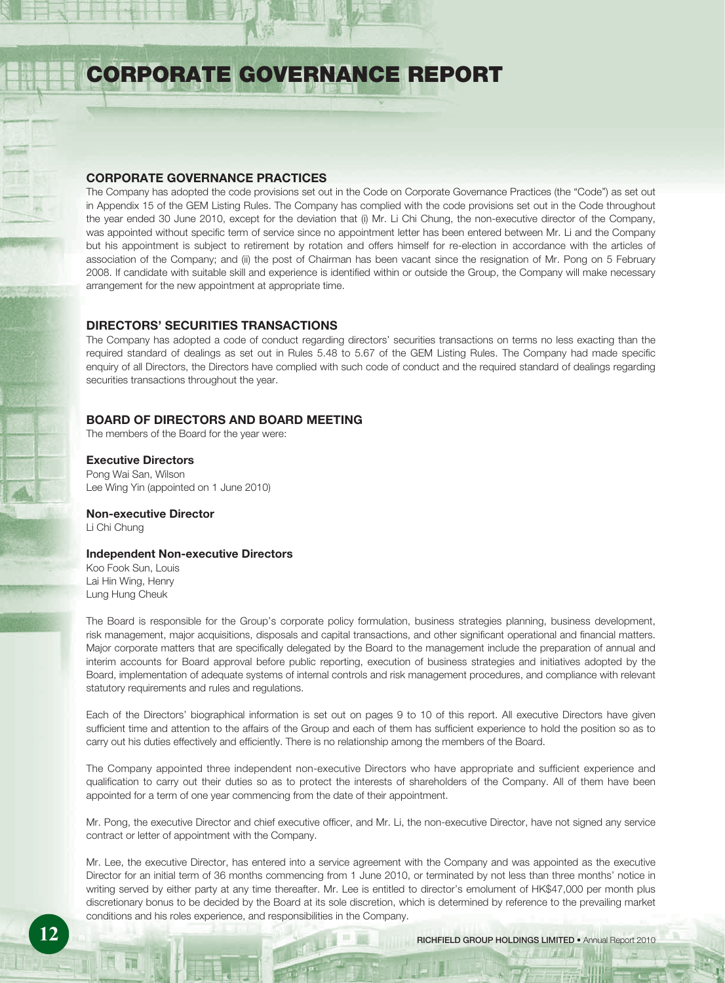#### **CORPORATE GOVERNANCE PRACTICES**

The Company has adopted the code provisions set out in the Code on Corporate Governance Practices (the "Code") as set out in Appendix 15 of the GEM Listing Rules. The Company has complied with the code provisions set out in the Code throughout the year ended 30 June 2010, except for the deviation that (i) Mr. Li Chi Chung, the non-executive director of the Company, was appointed without specific term of service since no appointment letter has been entered between Mr. Li and the Company but his appointment is subject to retirement by rotation and offers himself for re-election in accordance with the articles of association of the Company; and (ii) the post of Chairman has been vacant since the resignation of Mr. Pong on 5 February 2008. If candidate with suitable skill and experience is identified within or outside the Group, the Company will make necessary arrangement for the new appointment at appropriate time.

#### **DIRECTORS' SECURITIES TRANSACTIONS**

The Company has adopted a code of conduct regarding directors' securities transactions on terms no less exacting than the required standard of dealings as set out in Rules 5.48 to 5.67 of the GEM Listing Rules. The Company had made specific enquiry of all Directors, the Directors have complied with such code of conduct and the required standard of dealings regarding securities transactions throughout the year.

#### **BOARD OF DIRECTORS AND BOARD MEETING**

The members of the Board for the year were:

#### **Executive Directors**

Pong Wai San, Wilson Lee Wing Yin (appointed on 1 June 2010)

#### **Non-executive Director**

Li Chi Chung

#### **Independent Non-executive Directors**

Koo Fook Sun, Louis Lai Hin Wing, Henry Lung Hung Cheuk

The Board is responsible for the Group's corporate policy formulation, business strategies planning, business development, risk management, major acquisitions, disposals and capital transactions, and other significant operational and financial matters. Major corporate matters that are specifically delegated by the Board to the management include the preparation of annual and interim accounts for Board approval before public reporting, execution of business strategies and initiatives adopted by the Board, implementation of adequate systems of internal controls and risk management procedures, and compliance with relevant statutory requirements and rules and regulations.

Each of the Directors' biographical information is set out on pages 9 to 10 of this report. All executive Directors have given sufficient time and attention to the affairs of the Group and each of them has sufficient experience to hold the position so as to carry out his duties effectively and efficiently. There is no relationship among the members of the Board.

The Company appointed three independent non-executive Directors who have appropriate and sufficient experience and qualification to carry out their duties so as to protect the interests of shareholders of the Company. All of them have been appointed for a term of one year commencing from the date of their appointment.

Mr. Pong, the executive Director and chief executive officer, and Mr. Li, the non-executive Director, have not signed any service contract or letter of appointment with the Company.

Mr. Lee, the executive Director, has entered into a service agreement with the Company and was appointed as the executive Director for an initial term of 36 months commencing from 1 June 2010, or terminated by not less than three months' notice in writing served by either party at any time thereafter. Mr. Lee is entitled to director's emolument of HK\$47,000 per month plus discretionary bonus to be decided by the Board at its sole discretion, which is determined by reference to the prevailing market conditions and his roles experience, and responsibilities in the Company.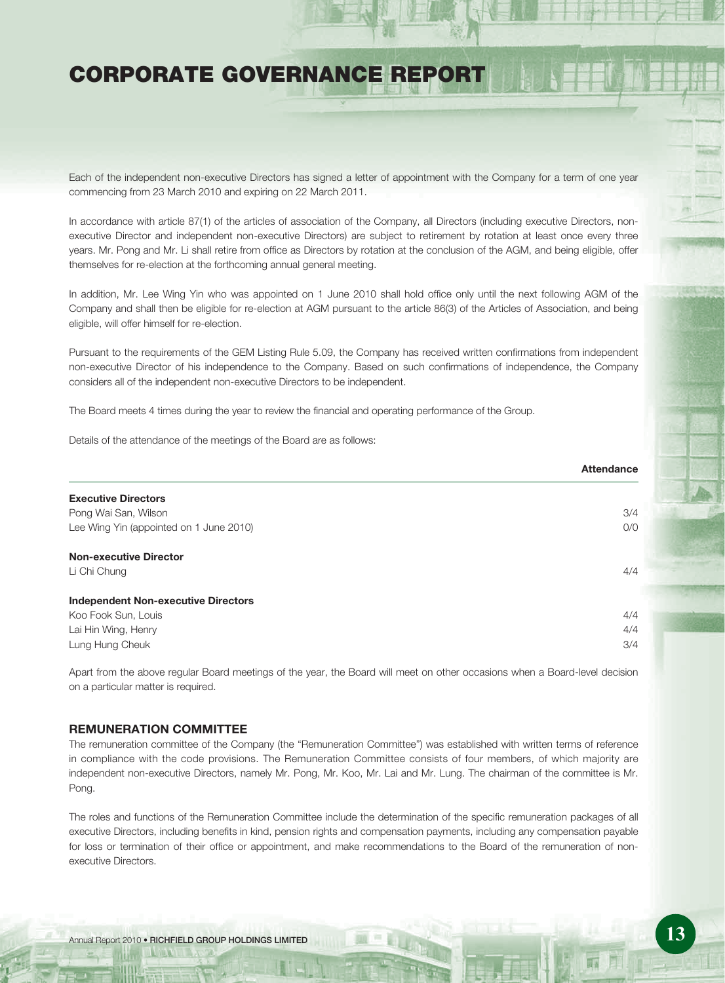Each of the independent non-executive Directors has signed a letter of appointment with the Company for a term of one year commencing from 23 March 2010 and expiring on 22 March 2011.

In accordance with article 87(1) of the articles of association of the Company, all Directors (including executive Directors, nonexecutive Director and independent non-executive Directors) are subject to retirement by rotation at least once every three years. Mr. Pong and Mr. Li shall retire from office as Directors by rotation at the conclusion of the AGM, and being eligible, offer themselves for re-election at the forthcoming annual general meeting.

In addition, Mr. Lee Wing Yin who was appointed on 1 June 2010 shall hold office only until the next following AGM of the Company and shall then be eligible for re-election at AGM pursuant to the article 86(3) of the Articles of Association, and being eligible, will offer himself for re-election.

Pursuant to the requirements of the GEM Listing Rule 5.09, the Company has received written confirmations from independent non-executive Director of his independence to the Company. Based on such confirmations of independence, the Company considers all of the independent non-executive Directors to be independent.

The Board meets 4 times during the year to review the financial and operating performance of the Group.

Details of the attendance of the meetings of the Board are as follows:

|                                            | <b>Attendance</b> |
|--------------------------------------------|-------------------|
| <b>Executive Directors</b>                 |                   |
| Pong Wai San, Wilson                       | 3/4               |
| Lee Wing Yin (appointed on 1 June 2010)    | O/O               |
| <b>Non-executive Director</b>              |                   |
| Li Chi Chung                               | 4/4               |
| <b>Independent Non-executive Directors</b> |                   |
| Koo Fook Sun, Louis                        | 4/4               |
| Lai Hin Wing, Henry                        | 4/4               |
| Lung Hung Cheuk                            | 3/4               |

Apart from the above regular Board meetings of the year, the Board will meet on other occasions when a Board-level decision on a particular matter is required.

#### **REMUNERATION COMMITTEE**

The remuneration committee of the Company (the "Remuneration Committee") was established with written terms of reference in compliance with the code provisions. The Remuneration Committee consists of four members, of which majority are independent non-executive Directors, namely Mr. Pong, Mr. Koo, Mr. Lai and Mr. Lung. The chairman of the committee is Mr. Pong.

The roles and functions of the Remuneration Committee include the determination of the specific remuneration packages of all executive Directors, including benefits in kind, pension rights and compensation payments, including any compensation payable for loss or termination of their office or appointment, and make recommendations to the Board of the remuneration of nonexecutive Directors.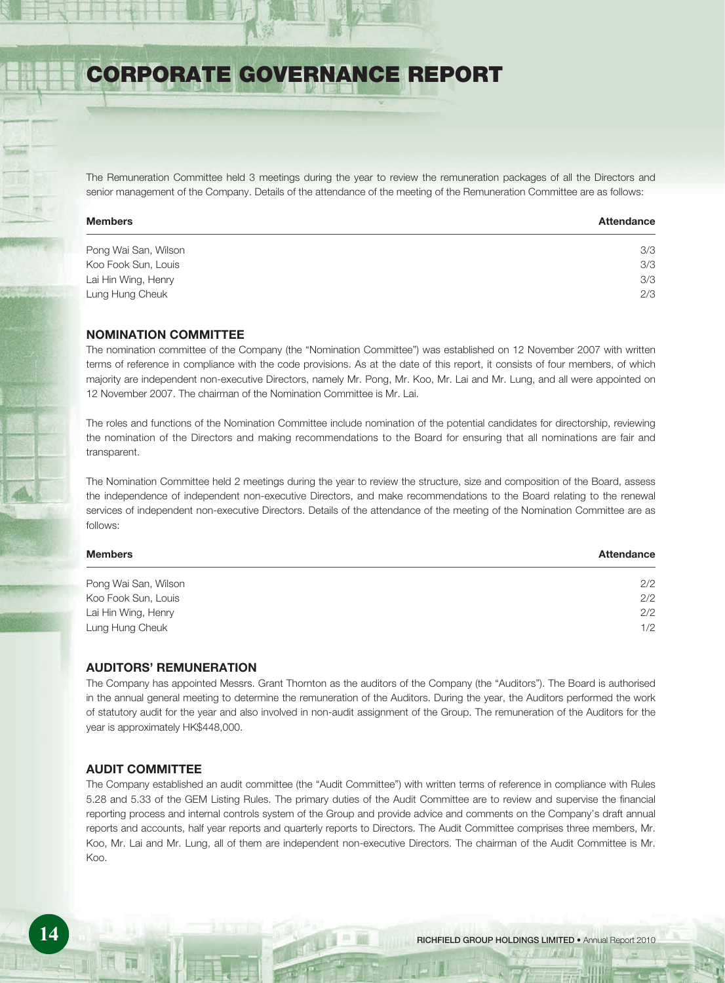The Remuneration Committee held 3 meetings during the year to review the remuneration packages of all the Directors and senior management of the Company. Details of the attendance of the meeting of the Remuneration Committee are as follows:

| <b>Members</b>       | <b>Attendance</b> |
|----------------------|-------------------|
| Pong Wai San, Wilson | 3/3               |
| Koo Fook Sun, Louis  | 3/3               |
| Lai Hin Wing, Henry  | 3/3               |
| Lung Hung Cheuk      | 2/3               |

#### **NOMINATION COMMITTEE**

The nomination committee of the Company (the "Nomination Committee") was established on 12 November 2007 with written terms of reference in compliance with the code provisions. As at the date of this report, it consists of four members, of which majority are independent non-executive Directors, namely Mr. Pong, Mr. Koo, Mr. Lai and Mr. Lung, and all were appointed on 12 November 2007. The chairman of the Nomination Committee is Mr. Lai.

The roles and functions of the Nomination Committee include nomination of the potential candidates for directorship, reviewing the nomination of the Directors and making recommendations to the Board for ensuring that all nominations are fair and transparent.

The Nomination Committee held 2 meetings during the year to review the structure, size and composition of the Board, assess the independence of independent non-executive Directors, and make recommendations to the Board relating to the renewal services of independent non-executive Directors. Details of the attendance of the meeting of the Nomination Committee are as follows:

| <b>Members</b>       | <b>Attendance</b> |
|----------------------|-------------------|
| Pong Wai San, Wilson | 2/2               |
| Koo Fook Sun, Louis  | 2/2               |
| Lai Hin Wing, Henry  | 2/2               |
| Lung Hung Cheuk      | 1/2               |

#### **AUDITORS' REMUNERATION**

The Company has appointed Messrs. Grant Thornton as the auditors of the Company (the "Auditors"). The Board is authorised in the annual general meeting to determine the remuneration of the Auditors. During the year, the Auditors performed the work of statutory audit for the year and also involved in non-audit assignment of the Group. The remuneration of the Auditors for the year is approximately HK\$448,000.

#### **AUDIT COMMITTEE**

The Company established an audit committee (the "Audit Committee") with written terms of reference in compliance with Rules 5.28 and 5.33 of the GEM Listing Rules. The primary duties of the Audit Committee are to review and supervise the financial reporting process and internal controls system of the Group and provide advice and comments on the Company's draft annual reports and accounts, half year reports and quarterly reports to Directors. The Audit Committee comprises three members, Mr. Koo, Mr. Lai and Mr. Lung, all of them are independent non-executive Directors. The chairman of the Audit Committee is Mr. Koo.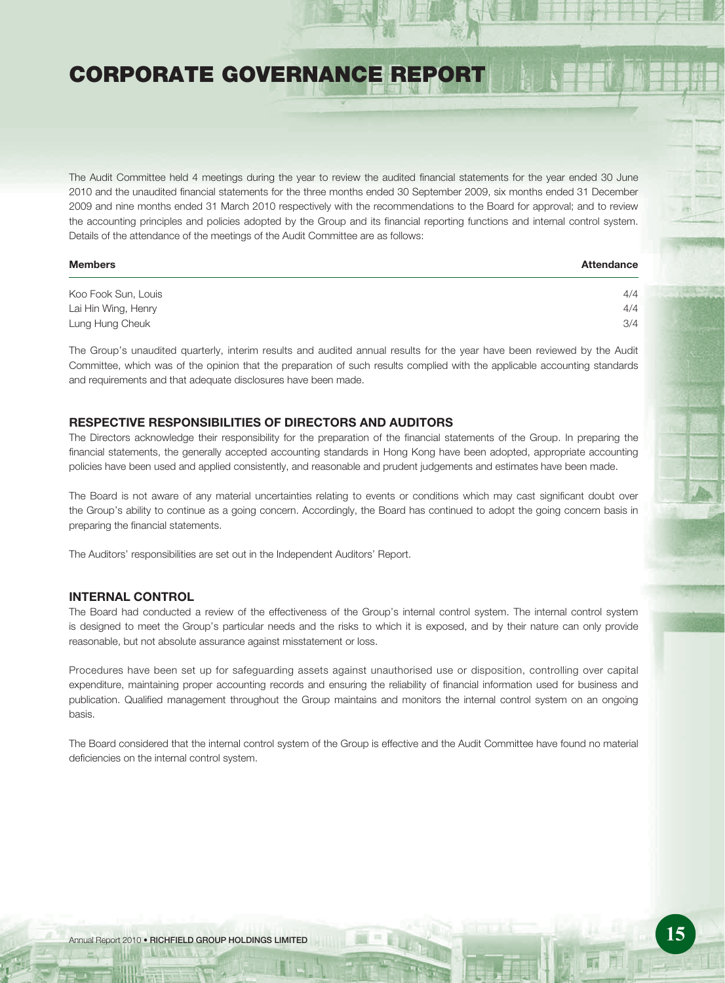The Audit Committee held 4 meetings during the year to review the audited financial statements for the year ended 30 June 2010 and the unaudited financial statements for the three months ended 30 September 2009, six months ended 31 December 2009 and nine months ended 31 March 2010 respectively with the recommendations to the Board for approval; and to review the accounting principles and policies adopted by the Group and its financial reporting functions and internal control system. Details of the attendance of the meetings of the Audit Committee are as follows:

| <b>Members</b>      | Attendance |
|---------------------|------------|
| Koo Fook Sun, Louis | 4/4        |
| Lai Hin Wing, Henry | 4/4        |
| Lung Hung Cheuk     | 3/4        |

The Group's unaudited quarterly, interim results and audited annual results for the year have been reviewed by the Audit Committee, which was of the opinion that the preparation of such results complied with the applicable accounting standards and requirements and that adequate disclosures have been made.

#### **RESPECTIVE RESPONSIBILITIES OF DIRECTORS AND AUDITORS**

The Directors acknowledge their responsibility for the preparation of the financial statements of the Group. In preparing the financial statements, the generally accepted accounting standards in Hong Kong have been adopted, appropriate accounting policies have been used and applied consistently, and reasonable and prudent judgements and estimates have been made.

The Board is not aware of any material uncertainties relating to events or conditions which may cast significant doubt over the Group's ability to continue as a going concern. Accordingly, the Board has continued to adopt the going concern basis in preparing the financial statements.

The Auditors' responsibilities are set out in the Independent Auditors' Report.

#### **INTERNAL CONTROL**

The Board had conducted a review of the effectiveness of the Group's internal control system. The internal control system is designed to meet the Group's particular needs and the risks to which it is exposed, and by their nature can only provide reasonable, but not absolute assurance against misstatement or loss.

Procedures have been set up for safeguarding assets against unauthorised use or disposition, controlling over capital expenditure, maintaining proper accounting records and ensuring the reliability of financial information used for business and publication. Qualified management throughout the Group maintains and monitors the internal control system on an ongoing basis.

The Board considered that the internal control system of the Group is effective and the Audit Committee have found no material deficiencies on the internal control system.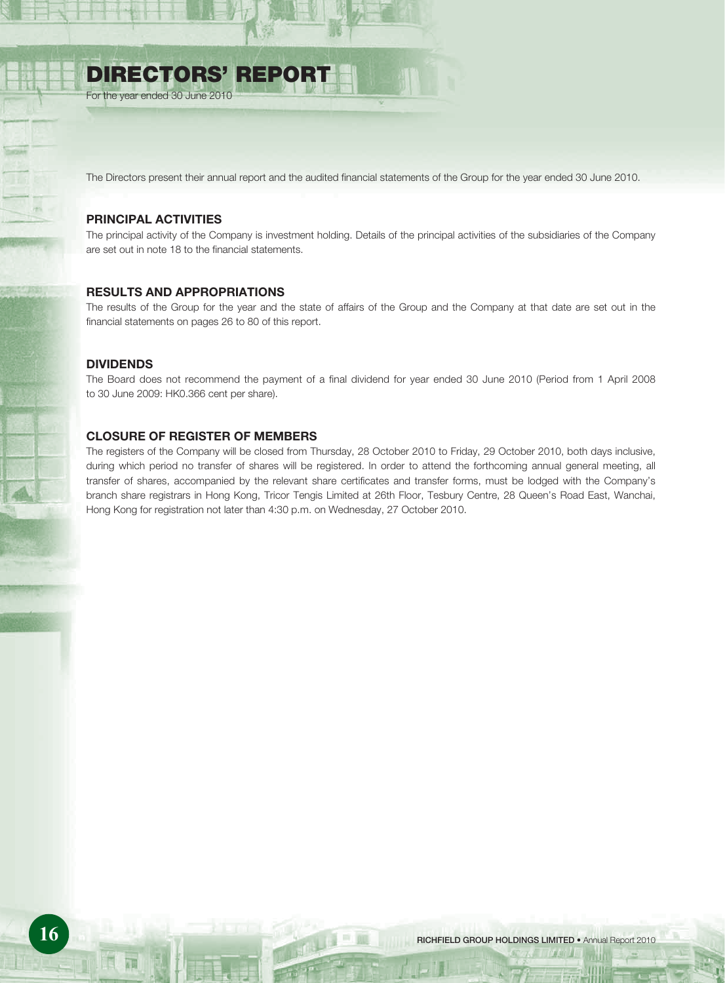

The Directors present their annual report and the audited financial statements of the Group for the year ended 30 June 2010.

#### **PRINCIPAL ACTIVITIES**

The principal activity of the Company is investment holding. Details of the principal activities of the subsidiaries of the Company are set out in note 18 to the financial statements.

#### **RESULTS AND APPROPRIATIONS**

The results of the Group for the year and the state of affairs of the Group and the Company at that date are set out in the financial statements on pages 26 to 80 of this report.

#### **DIVIDENDS**

The Board does not recommend the payment of a final dividend for year ended 30 June 2010 (Period from 1 April 2008 to 30 June 2009: HK0.366 cent per share).

#### **CLOSURE OF REGISTER OF MEMBERS**

The registers of the Company will be closed from Thursday, 28 October 2010 to Friday, 29 October 2010, both days inclusive, during which period no transfer of shares will be registered. In order to attend the forthcoming annual general meeting, all transfer of shares, accompanied by the relevant share certificates and transfer forms, must be lodged with the Company's branch share registrars in Hong Kong, Tricor Tengis Limited at 26th Floor, Tesbury Centre, 28 Queen's Road East, Wanchai, Hong Kong for registration not later than 4:30 p.m. on Wednesday, 27 October 2010.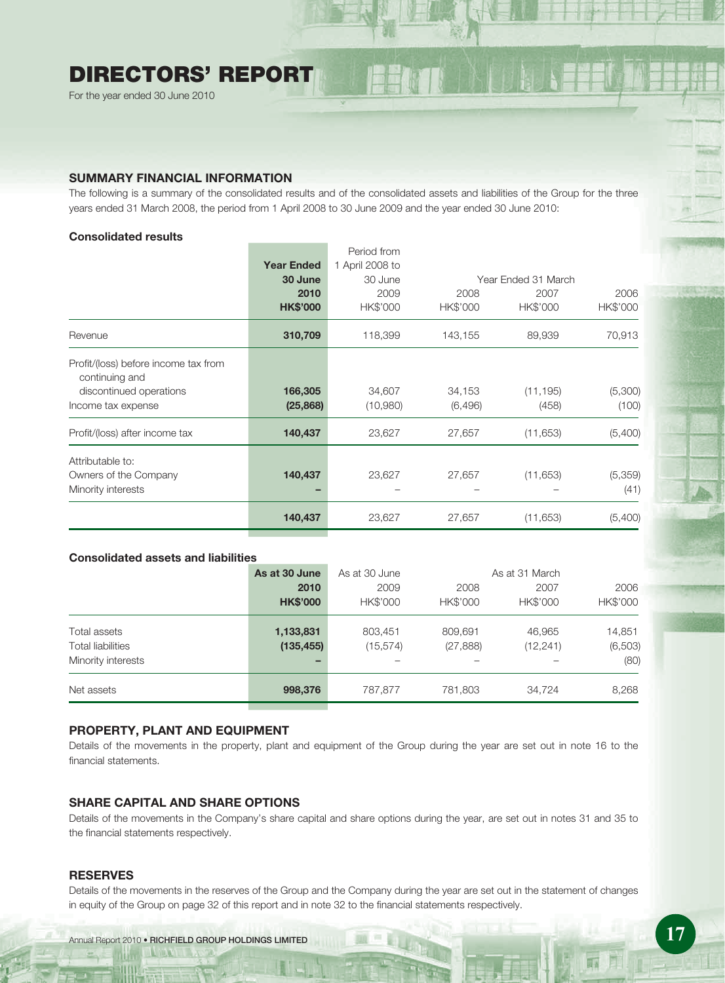For the year ended 30 June 2010

#### **SUMMARY FINANCIAL INFORMATION**

The following is a summary of the consolidated results and of the consolidated assets and liabilities of the Group for the three years ended 31 March 2008, the period from 1 April 2008 to 30 June 2009 and the year ended 30 June 2010:

#### **Consolidated results**

|                                                                                                         | <b>Year Ended</b>                  | Period from<br>1 April 2008 to |                    |                                         |                  |
|---------------------------------------------------------------------------------------------------------|------------------------------------|--------------------------------|--------------------|-----------------------------------------|------------------|
|                                                                                                         | 30 June<br>2010<br><b>HK\$'000</b> | 30 June<br>2009<br>HK\$'000    | 2008<br>HK\$'000   | Year Ended 31 March<br>2007<br>HK\$'000 | 2006<br>HK\$'000 |
| Revenue                                                                                                 | 310,709                            | 118,399                        | 143,155            | 89,939                                  | 70,913           |
| Profit/(loss) before income tax from<br>continuing and<br>discontinued operations<br>Income tax expense | 166,305<br>(25, 868)               | 34,607<br>(10,980)             | 34,153<br>(6, 496) | (11, 195)<br>(458)                      | (5,300)<br>(100) |
| Profit/(loss) after income tax                                                                          | 140,437                            | 23,627                         | 27,657             | (11, 653)                               | (5,400)          |
| Attributable to:<br>Owners of the Company<br>Minority interests                                         | 140,437                            | 23,627                         | 27,657             | (11, 653)                               | (5,359)<br>(41)  |
|                                                                                                         | 140,437                            | 23,627                         | 27,657             | (11, 653)                               | (5,400)          |

#### **Consolidated assets and liabilities**

|                                                         | As at 30 June<br>2010<br><b>HK\$'000</b> | As at 30 June<br>2009<br>HK\$'000 | 2008<br>HK\$'000     | As at 31 March<br>2007<br>HK\$'000 | 2006<br>HK\$'000          |
|---------------------------------------------------------|------------------------------------------|-----------------------------------|----------------------|------------------------------------|---------------------------|
| Total assets<br>Total liabilities<br>Minority interests | 1,133,831<br>(135, 455)                  | 803,451<br>(15, 574)              | 809,691<br>(27, 888) | 46,965<br>(12, 241)                | 14,851<br>(6,503)<br>(80) |
| Net assets                                              | 998,376                                  | 787,877                           | 781,803              | 34.724                             | 8,268                     |

#### **PROPERTY, PLANT AND EQUIPMENT**

Details of the movements in the property, plant and equipment of the Group during the year are set out in note 16 to the financial statements.

#### **SHARE CAPITAL AND SHARE OPTIONS**

Details of the movements in the Company's share capital and share options during the year, are set out in notes 31 and 35 to the financial statements respectively.

#### **RESERVES**

Details of the movements in the reserves of the Group and the Company during the year are set out in the statement of changes in equity of the Group on page 32 of this report and in note 32 to the financial statements respectively.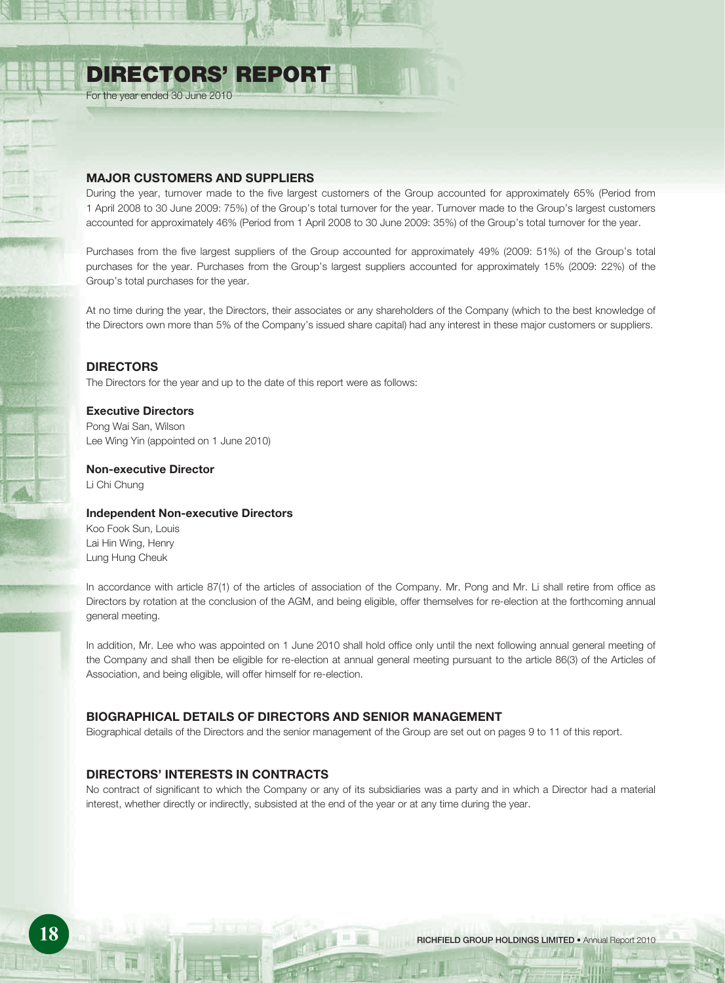For the year ended 30 June 2010

#### **MAJOR CUSTOMERS AND SUPPLIERS**

During the year, turnover made to the five largest customers of the Group accounted for approximately 65% (Period from 1 April 2008 to 30 June 2009: 75%) of the Group's total turnover for the year. Turnover made to the Group's largest customers accounted for approximately 46% (Period from 1 April 2008 to 30 June 2009: 35%) of the Group's total turnover for the year.

Purchases from the five largest suppliers of the Group accounted for approximately 49% (2009: 51%) of the Group's total purchases for the year. Purchases from the Group's largest suppliers accounted for approximately 15% (2009: 22%) of the Group's total purchases for the year.

At no time during the year, the Directors, their associates or any shareholders of the Company (which to the best knowledge of the Directors own more than 5% of the Company's issued share capital) had any interest in these major customers or suppliers.

#### **DIRECTORS**

The Directors for the year and up to the date of this report were as follows:

#### **Executive Directors**

Pong Wai San, Wilson Lee Wing Yin (appointed on 1 June 2010)

**Non-executive Director** Li Chi Chung

#### **Independent Non-executive Directors**

Koo Fook Sun, Louis Lai Hin Wing, Henry Lung Hung Cheuk

In accordance with article 87(1) of the articles of association of the Company. Mr. Pong and Mr. Li shall retire from office as Directors by rotation at the conclusion of the AGM, and being eligible, offer themselves for re-election at the forthcoming annual general meeting.

In addition, Mr. Lee who was appointed on 1 June 2010 shall hold office only until the next following annual general meeting of the Company and shall then be eligible for re-election at annual general meeting pursuant to the article 86(3) of the Articles of Association, and being eligible, will offer himself for re-election.

#### **BIOGRAPHICAL DETAILS OF DIRECTORS AND SENIOR MANAGEMENT**

Biographical details of the Directors and the senior management of the Group are set out on pages 9 to 11 of this report.

#### **DIRECTORS' INTERESTS IN CONTRACTS**

No contract of significant to which the Company or any of its subsidiaries was a party and in which a Director had a material interest, whether directly or indirectly, subsisted at the end of the year or at any time during the year.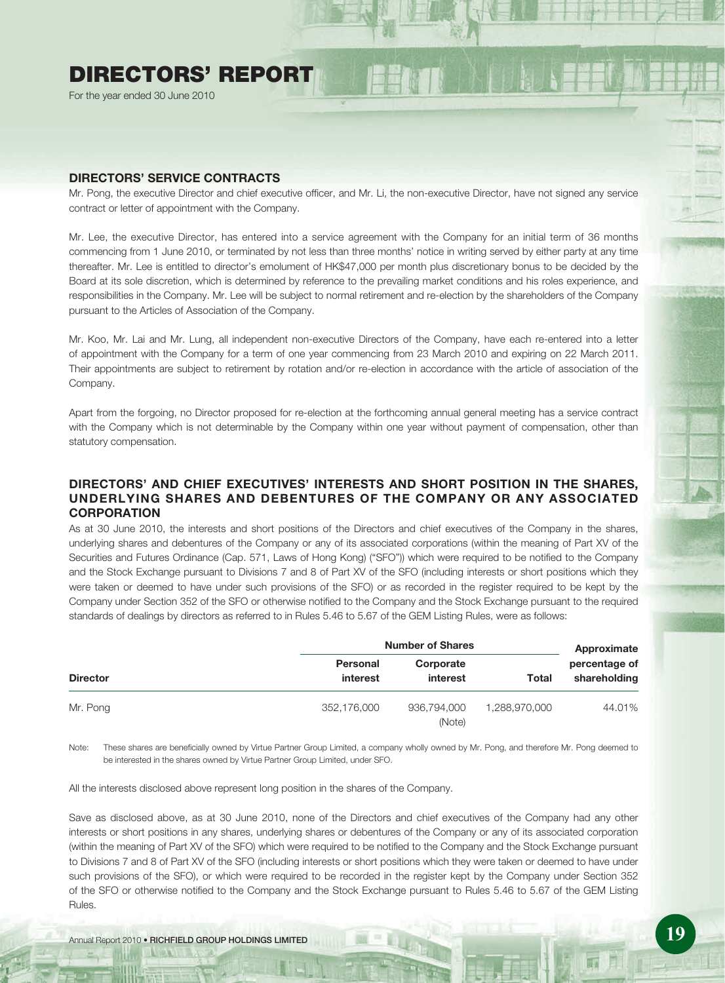For the year ended 30 June 2010

#### **DIRECTORS' SERVICE CONTRACTS**

Mr. Pong, the executive Director and chief executive officer, and Mr. Li, the non-executive Director, have not signed any service contract or letter of appointment with the Company.

Mr. Lee, the executive Director, has entered into a service agreement with the Company for an initial term of 36 months commencing from 1 June 2010, or terminated by not less than three months' notice in writing served by either party at any time thereafter. Mr. Lee is entitled to director's emolument of HK\$47,000 per month plus discretionary bonus to be decided by the Board at its sole discretion, which is determined by reference to the prevailing market conditions and his roles experience, and responsibilities in the Company. Mr. Lee will be subject to normal retirement and re-election by the shareholders of the Company pursuant to the Articles of Association of the Company.

Mr. Koo, Mr. Lai and Mr. Lung, all independent non-executive Directors of the Company, have each re-entered into a letter of appointment with the Company for a term of one year commencing from 23 March 2010 and expiring on 22 March 2011. Their appointments are subject to retirement by rotation and/or re-election in accordance with the article of association of the Company.

Apart from the forgoing, no Director proposed for re-election at the forthcoming annual general meeting has a service contract with the Company which is not determinable by the Company within one year without payment of compensation, other than statutory compensation.

#### **DIRECTORS' AND CHIEF EXECUTIVES' INTERESTS AND SHORT POSITION IN THE SHARES, UNDERLYING SHARES AND DEBENTURES OF THE COMPANY OR ANY ASSOCIATED CORPORATION**

As at 30 June 2010, the interests and short positions of the Directors and chief executives of the Company in the shares, underlying shares and debentures of the Company or any of its associated corporations (within the meaning of Part XV of the Securities and Futures Ordinance (Cap. 571, Laws of Hong Kong) ("SFO")) which were required to be notified to the Company and the Stock Exchange pursuant to Divisions 7 and 8 of Part XV of the SFO (including interests or short positions which they were taken or deemed to have under such provisions of the SFO) or as recorded in the register required to be kept by the Company under Section 352 of the SFO or otherwise notified to the Company and the Stock Exchange pursuant to the required standards of dealings by directors as referred to in Rules 5.46 to 5.67 of the GEM Listing Rules, were as follows:

|                 |                      | <b>Number of Shares</b> |               |                               |  |
|-----------------|----------------------|-------------------------|---------------|-------------------------------|--|
| <b>Director</b> | Personal<br>interest | Corporate<br>interest   | Total         | percentage of<br>shareholding |  |
| Mr. Pong        | 352,176,000          | 936,794,000<br>(Note)   | 1,288,970,000 | 44.01%                        |  |

Note: These shares are beneficially owned by Virtue Partner Group Limited, a company wholly owned by Mr. Pong, and therefore Mr. Pong deemed to be interested in the shares owned by Virtue Partner Group Limited, under SFO.

All the interests disclosed above represent long position in the shares of the Company.

Save as disclosed above, as at 30 June 2010, none of the Directors and chief executives of the Company had any other interests or short positions in any shares, underlying shares or debentures of the Company or any of its associated corporation (within the meaning of Part XV of the SFO) which were required to be notified to the Company and the Stock Exchange pursuant to Divisions 7 and 8 of Part XV of the SFO (including interests or short positions which they were taken or deemed to have under such provisions of the SFO), or which were required to be recorded in the register kept by the Company under Section 352 of the SFO or otherwise notified to the Company and the Stock Exchange pursuant to Rules 5.46 to 5.67 of the GEM Listing Rules.

Annual Report 2010 • **RICHFIELD GROUP HOLDINGS LIMITED 19**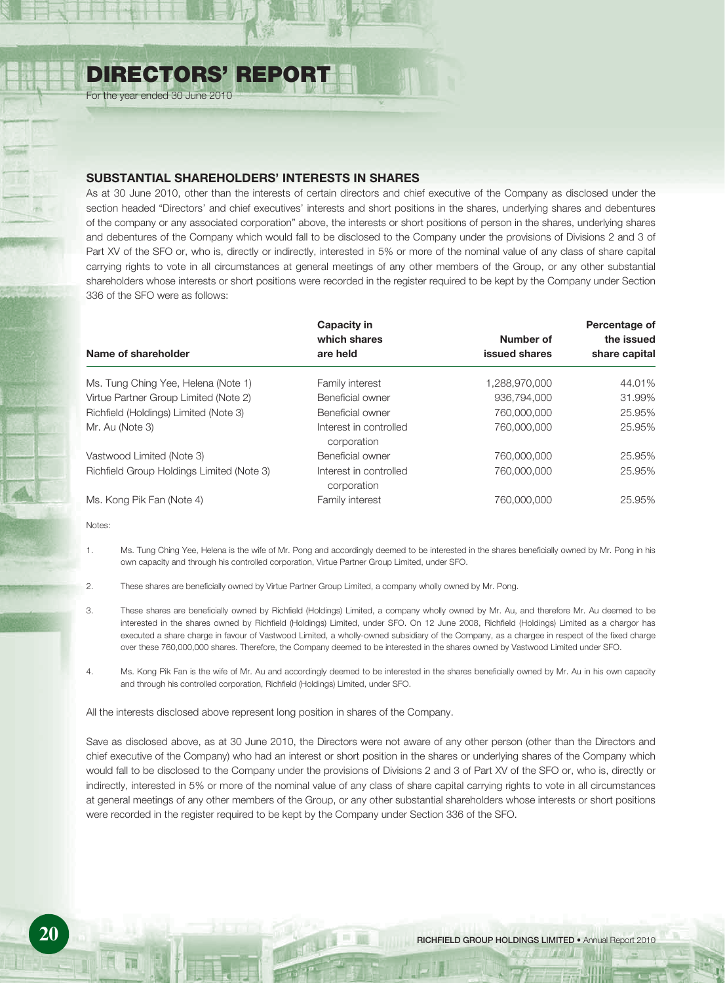For the year ended 30 June 2010

#### **SUBSTANTIAL SHAREHOLDERS' INTERESTS IN SHARES**

As at 30 June 2010, other than the interests of certain directors and chief executive of the Company as disclosed under the section headed "Directors' and chief executives' interests and short positions in the shares, underlying shares and debentures of the company or any associated corporation" above, the interests or short positions of person in the shares, underlying shares and debentures of the Company which would fall to be disclosed to the Company under the provisions of Divisions 2 and 3 of Part XV of the SFO or, who is, directly or indirectly, interested in 5% or more of the nominal value of any class of share capital carrying rights to vote in all circumstances at general meetings of any other members of the Group, or any other substantial shareholders whose interests or short positions were recorded in the register required to be kept by the Company under Section 336 of the SFO were as follows:

| Name of shareholder                       | Capacity in<br>which shares<br>are held | Number of<br>issued shares | Percentage of<br>the issued<br>share capital |
|-------------------------------------------|-----------------------------------------|----------------------------|----------------------------------------------|
| Ms. Tung Ching Yee, Helena (Note 1)       | Family interest                         | 1,288,970,000              | 44.01%                                       |
| Virtue Partner Group Limited (Note 2)     | Beneficial owner                        | 936,794,000                | 31.99%                                       |
| Richfield (Holdings) Limited (Note 3)     | Beneficial owner                        | 760,000,000                | 25.95%                                       |
| Mr. Au (Note 3)                           | Interest in controlled<br>corporation   | 760,000,000                | 25.95%                                       |
| Vastwood Limited (Note 3)                 | Beneficial owner                        | 760,000,000                | 25.95%                                       |
| Richfield Group Holdings Limited (Note 3) | Interest in controlled<br>corporation   | 760,000,000                | 25.95%                                       |
| Ms. Kong Pik Fan (Note 4)                 | Family interest                         | 760,000,000                | 25.95%                                       |

Notes:

- 1. Ms. Tung Ching Yee, Helena is the wife of Mr. Pong and accordingly deemed to be interested in the shares beneficially owned by Mr. Pong in his own capacity and through his controlled corporation, Virtue Partner Group Limited, under SFO.
- 2. These shares are beneficially owned by Virtue Partner Group Limited, a company wholly owned by Mr. Pong.
- 3. These shares are beneficially owned by Richfield (Holdings) Limited, a company wholly owned by Mr. Au, and therefore Mr. Au deemed to be interested in the shares owned by Richfield (Holdings) Limited, under SFO. On 12 June 2008, Richfield (Holdings) Limited as a chargor has executed a share charge in favour of Vastwood Limited, a wholly-owned subsidiary of the Company, as a chargee in respect of the fixed charge over these 760,000,000 shares. Therefore, the Company deemed to be interested in the shares owned by Vastwood Limited under SFO.
- 4. Ms. Kong Pik Fan is the wife of Mr. Au and accordingly deemed to be interested in the shares beneficially owned by Mr. Au in his own capacity and through his controlled corporation, Richfield (Holdings) Limited, under SFO.

All the interests disclosed above represent long position in shares of the Company.

Save as disclosed above, as at 30 June 2010, the Directors were not aware of any other person (other than the Directors and chief executive of the Company) who had an interest or short position in the shares or underlying shares of the Company which would fall to be disclosed to the Company under the provisions of Divisions 2 and 3 of Part XV of the SFO or, who is, directly or indirectly, interested in 5% or more of the nominal value of any class of share capital carrying rights to vote in all circumstances at general meetings of any other members of the Group, or any other substantial shareholders whose interests or short positions were recorded in the register required to be kept by the Company under Section 336 of the SFO.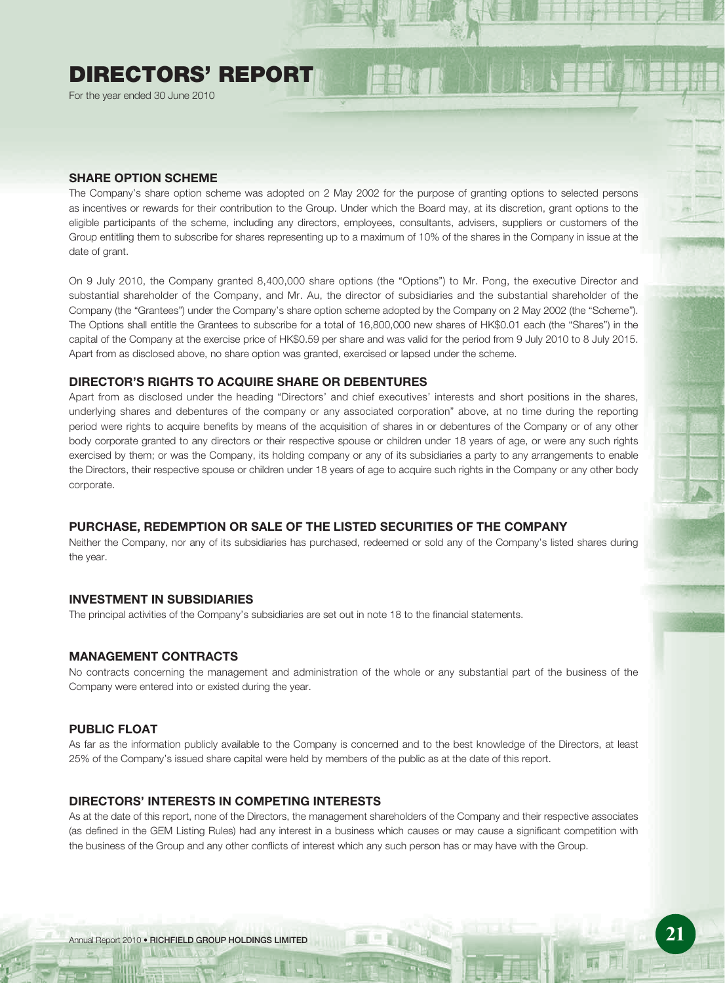For the year ended 30 June 2010

#### **SHARE OPTION SCHEME**

The Company's share option scheme was adopted on 2 May 2002 for the purpose of granting options to selected persons as incentives or rewards for their contribution to the Group. Under which the Board may, at its discretion, grant options to the eligible participants of the scheme, including any directors, employees, consultants, advisers, suppliers or customers of the Group entitling them to subscribe for shares representing up to a maximum of 10% of the shares in the Company in issue at the date of grant.

On 9 July 2010, the Company granted 8,400,000 share options (the "Options") to Mr. Pong, the executive Director and substantial shareholder of the Company, and Mr. Au, the director of subsidiaries and the substantial shareholder of the Company (the "Grantees") under the Company's share option scheme adopted by the Company on 2 May 2002 (the "Scheme"). The Options shall entitle the Grantees to subscribe for a total of 16,800,000 new shares of HK\$0.01 each (the "Shares") in the capital of the Company at the exercise price of HK\$0.59 per share and was valid for the period from 9 July 2010 to 8 July 2015. Apart from as disclosed above, no share option was granted, exercised or lapsed under the scheme.

#### **DIRECTOR'S RIGHTS TO ACQUIRE SHARE OR DEBENTURES**

Apart from as disclosed under the heading "Directors' and chief executives' interests and short positions in the shares, underlying shares and debentures of the company or any associated corporation" above, at no time during the reporting period were rights to acquire benefits by means of the acquisition of shares in or debentures of the Company or of any other body corporate granted to any directors or their respective spouse or children under 18 years of age, or were any such rights exercised by them; or was the Company, its holding company or any of its subsidiaries a party to any arrangements to enable the Directors, their respective spouse or children under 18 years of age to acquire such rights in the Company or any other body corporate.

#### **PURCHASE, REDEMPTION OR SALE OF THE LISTED SECURITIES OF THE COMPANY**

Neither the Company, nor any of its subsidiaries has purchased, redeemed or sold any of the Company's listed shares during the year.

#### **INVESTMENT IN SUBSIDIARIES**

The principal activities of the Company's subsidiaries are set out in note 18 to the financial statements.

#### **MANAGEMENT CONTRACTS**

No contracts concerning the management and administration of the whole or any substantial part of the business of the Company were entered into or existed during the year.

#### **PUBLIC FLOAT**

As far as the information publicly available to the Company is concerned and to the best knowledge of the Directors, at least 25% of the Company's issued share capital were held by members of the public as at the date of this report.

#### **DIRECTORS' INTERESTS IN COMPETING INTERESTS**

As at the date of this report, none of the Directors, the management shareholders of the Company and their respective associates (as defined in the GEM Listing Rules) had any interest in a business which causes or may cause a significant competition with the business of the Group and any other conflicts of interest which any such person has or may have with the Group.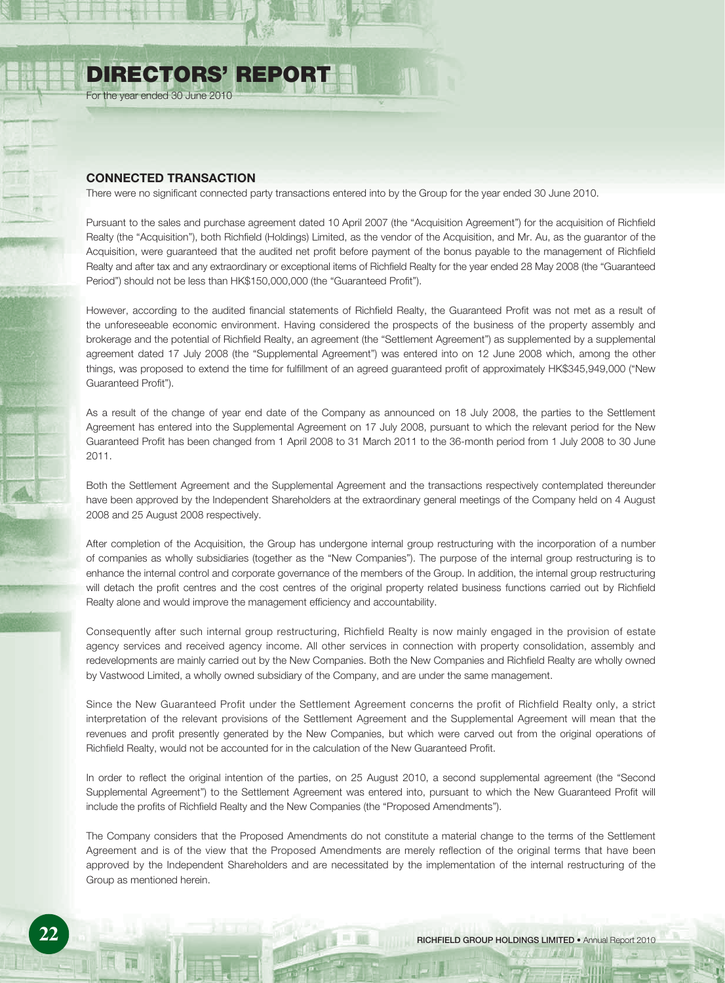### **DIRECTORS' REPORT** For the year ended 30 June 2010

#### **CONNECTED TRANSACTION**

There were no significant connected party transactions entered into by the Group for the year ended 30 June 2010.

Pursuant to the sales and purchase agreement dated 10 April 2007 (the "Acquisition Agreement") for the acquisition of Richfield Realty (the "Acquisition"), both Richfield (Holdings) Limited, as the vendor of the Acquisition, and Mr. Au, as the guarantor of the Acquisition, were guaranteed that the audited net profit before payment of the bonus payable to the management of Richfield Realty and after tax and any extraordinary or exceptional items of Richfield Realty for the year ended 28 May 2008 (the "Guaranteed Period") should not be less than HK\$150,000,000 (the "Guaranteed Profit").

However, according to the audited financial statements of Richfield Realty, the Guaranteed Profit was not met as a result of the unforeseeable economic environment. Having considered the prospects of the business of the property assembly and brokerage and the potential of Richfield Realty, an agreement (the "Settlement Agreement") as supplemented by a supplemental agreement dated 17 July 2008 (the "Supplemental Agreement") was entered into on 12 June 2008 which, among the other things, was proposed to extend the time for fulfillment of an agreed guaranteed profit of approximately HK\$345,949,000 ("New Guaranteed Profit").

As a result of the change of year end date of the Company as announced on 18 July 2008, the parties to the Settlement Agreement has entered into the Supplemental Agreement on 17 July 2008, pursuant to which the relevant period for the New Guaranteed Profit has been changed from 1 April 2008 to 31 March 2011 to the 36-month period from 1 July 2008 to 30 June 2011.

Both the Settlement Agreement and the Supplemental Agreement and the transactions respectively contemplated thereunder have been approved by the Independent Shareholders at the extraordinary general meetings of the Company held on 4 August 2008 and 25 August 2008 respectively.

After completion of the Acquisition, the Group has undergone internal group restructuring with the incorporation of a number of companies as wholly subsidiaries (together as the "New Companies"). The purpose of the internal group restructuring is to enhance the internal control and corporate governance of the members of the Group. In addition, the internal group restructuring will detach the profit centres and the cost centres of the original property related business functions carried out by Richfield Realty alone and would improve the management efficiency and accountability.

Consequently after such internal group restructuring, Richfield Realty is now mainly engaged in the provision of estate agency services and received agency income. All other services in connection with property consolidation, assembly and redevelopments are mainly carried out by the New Companies. Both the New Companies and Richfield Realty are wholly owned by Vastwood Limited, a wholly owned subsidiary of the Company, and are under the same management.

Since the New Guaranteed Profit under the Settlement Agreement concerns the profit of Richfield Realty only, a strict interpretation of the relevant provisions of the Settlement Agreement and the Supplemental Agreement will mean that the revenues and profit presently generated by the New Companies, but which were carved out from the original operations of Richfield Realty, would not be accounted for in the calculation of the New Guaranteed Profit.

In order to reflect the original intention of the parties, on 25 August 2010, a second supplemental agreement (the "Second Supplemental Agreement") to the Settlement Agreement was entered into, pursuant to which the New Guaranteed Profit will include the profits of Richfield Realty and the New Companies (the "Proposed Amendments").

The Company considers that the Proposed Amendments do not constitute a material change to the terms of the Settlement Agreement and is of the view that the Proposed Amendments are merely reflection of the original terms that have been approved by the Independent Shareholders and are necessitated by the implementation of the internal restructuring of the Group as mentioned herein.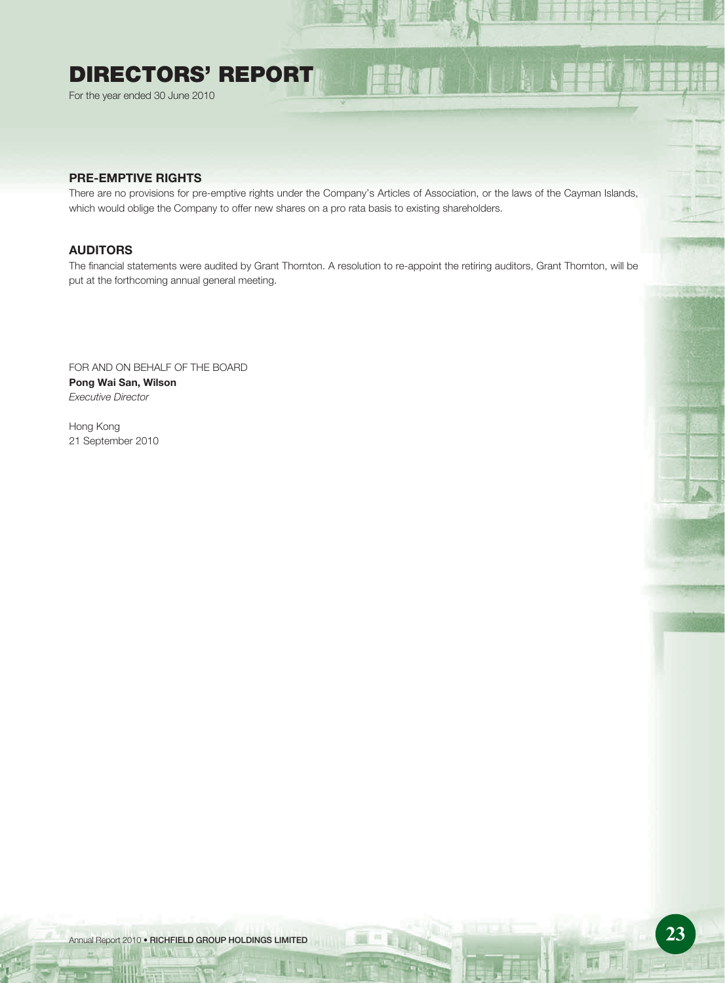For the year ended 30 June 2010

#### **PRE-EMPTIVE RIGHTS**

There are no provisions for pre-emptive rights under the Company's Articles of Association, or the laws of the Cayman Islands, which would oblige the Company to offer new shares on a pro rata basis to existing shareholders.

#### **AUDITORS**

The financial statements were audited by Grant Thornton. A resolution to re-appoint the retiring auditors, Grant Thornton, will be put at the forthcoming annual general meeting.

FOR AND ON BEHALF OF THE BOARD **Pong Wai San, Wilson** Executive Director

Hong Kong 21 September 2010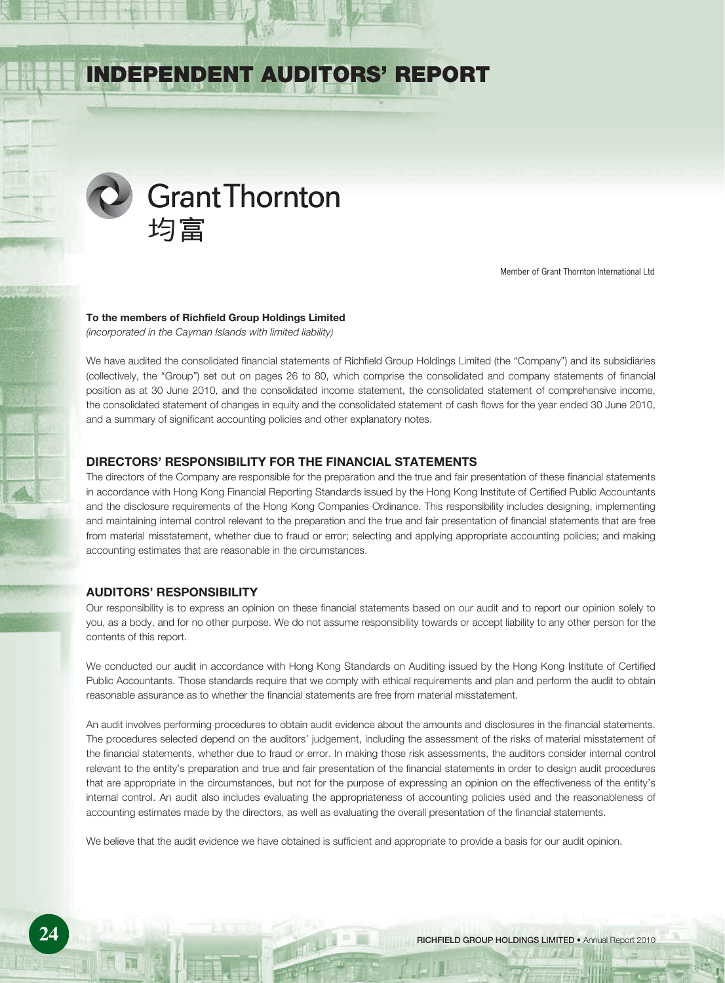# **INDEPENDENT AUDITORS' REPORT**



### **Grant Thornton** 均富

Member of Grant Thornton International Ltd

#### **To the members of Richfield Group Holdings Limited**

(incorporated in the Cayman Islands with limited liability)

We have audited the consolidated financial statements of Richfield Group Holdings Limited (the "Company") and its subsidiaries (collectively, the "Group") set out on pages 26 to 80, which comprise the consolidated and company statements of financial position as at 30 June 2010, and the consolidated income statement, the consolidated statement of comprehensive income, the consolidated statement of changes in equity and the consolidated statement of cash flows for the year ended 30 June 2010, and a summary of significant accounting policies and other explanatory notes.

#### **DIRECTORS' RESPONSIBILITY FOR THE FINANCIAL STATEMENTS**

The directors of the Company are responsible for the preparation and the true and fair presentation of these financial statements in accordance with Hong Kong Financial Reporting Standards issued by the Hong Kong Institute of Certified Public Accountants and the disclosure requirements of the Hong Kong Companies Ordinance. This responsibility includes designing, implementing and maintaining internal control relevant to the preparation and the true and fair presentation of financial statements that are free from material misstatement, whether due to fraud or error; selecting and applying appropriate accounting policies; and making accounting estimates that are reasonable in the circumstances.

#### **AUDITORS' RESPONSIBILITY**

Our responsibility is to express an opinion on these financial statements based on our audit and to report our opinion solely to you, as a body, and for no other purpose. We do not assume responsibility towards or accept liability to any other person for the contents of this report.

We conducted our audit in accordance with Hong Kong Standards on Auditing issued by the Hong Kong Institute of Certified Public Accountants. Those standards require that we comply with ethical requirements and plan and perform the audit to obtain reasonable assurance as to whether the financial statements are free from material misstatement.

An audit involves performing procedures to obtain audit evidence about the amounts and disclosures in the financial statements. The procedures selected depend on the auditors' judgement, including the assessment of the risks of material misstatement of the financial statements, whether due to fraud or error. In making those risk assessments, the auditors consider internal control relevant to the entity's preparation and true and fair presentation of the financial statements in order to design audit procedures that are appropriate in the circumstances, but not for the purpose of expressing an opinion on the effectiveness of the entity's internal control. An audit also includes evaluating the appropriateness of accounting policies used and the reasonableness of accounting estimates made by the directors, as well as evaluating the overall presentation of the financial statements.

We believe that the audit evidence we have obtained is sufficient and appropriate to provide a basis for our audit opinion.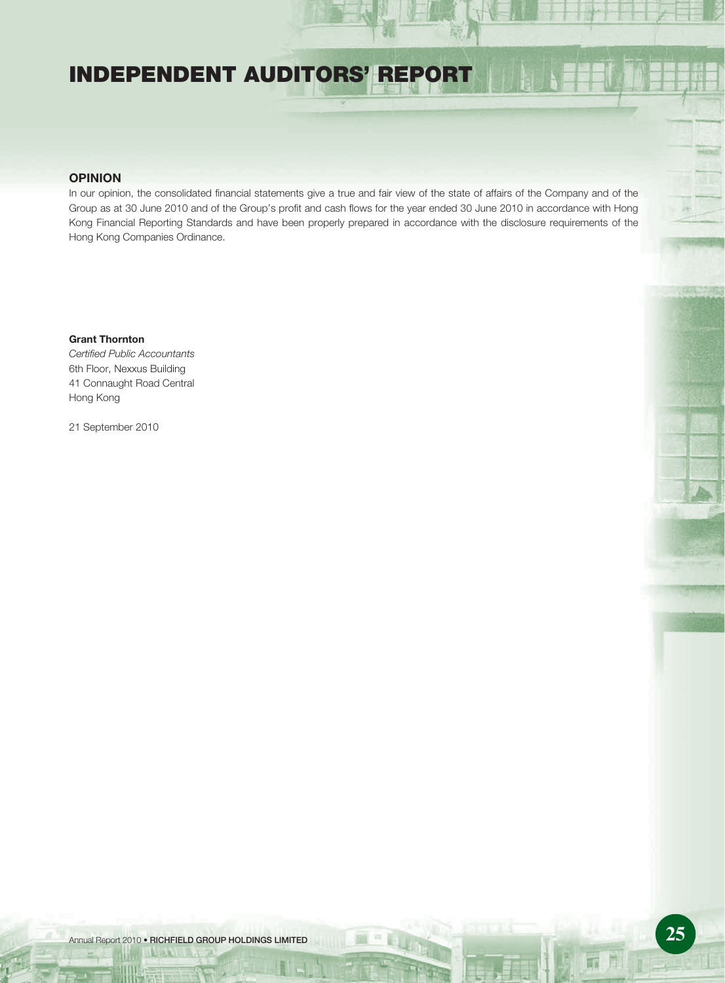## **INDEPENDENT AUDITORS' REPORT**

#### **OPINION**

In our opinion, the consolidated financial statements give a true and fair view of the state of affairs of the Company and of the Group as at 30 June 2010 and of the Group's profit and cash flows for the year ended 30 June 2010 in accordance with Hong Kong Financial Reporting Standards and have been properly prepared in accordance with the disclosure requirements of the Hong Kong Companies Ordinance.

**Grant Thornton** Certified Public Accountants 6th Floor, Nexxus Building 41 Connaught Road Central Hong Kong

21 September 2010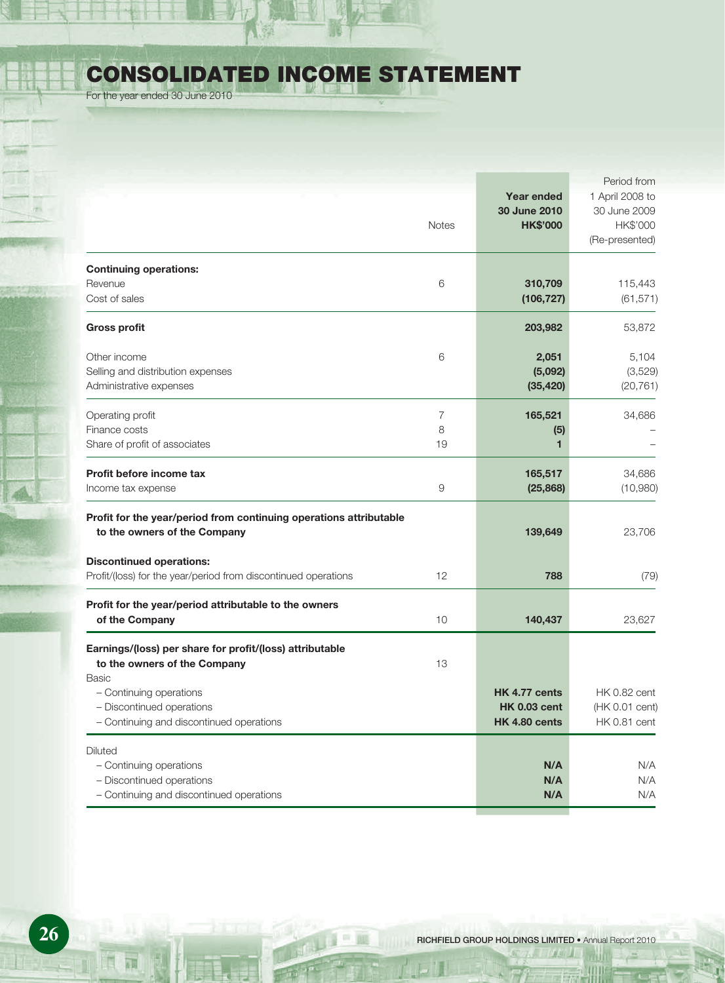### **CONSOLIDATED INCOME STATEMENT** For the year ended 30 June 2010

|                                                                                                                    | <b>Notes</b>              | <b>Year ended</b><br>30 June 2010<br><b>HK\$'000</b>         | Period from<br>1 April 2008 to<br>30 June 2009<br>HK\$'000<br>(Re-presented) |
|--------------------------------------------------------------------------------------------------------------------|---------------------------|--------------------------------------------------------------|------------------------------------------------------------------------------|
| <b>Continuing operations:</b><br>Revenue                                                                           | 6                         | 310,709                                                      | 115,443                                                                      |
| Cost of sales                                                                                                      |                           | (106, 727)                                                   | (61, 571)                                                                    |
| <b>Gross profit</b>                                                                                                |                           | 203,982                                                      | 53,872                                                                       |
| Other income<br>Selling and distribution expenses<br>Administrative expenses                                       | 6                         | 2,051<br>(5,092)<br>(35, 420)                                | 5,104<br>(3,529)<br>(20, 761)                                                |
| Operating profit<br>Finance costs<br>Share of profit of associates                                                 | $\overline{7}$<br>8<br>19 | 165,521<br>(5)<br>1                                          | 34,686                                                                       |
| Profit before income tax<br>Income tax expense                                                                     | $\Theta$                  | 165,517<br>(25, 868)                                         | 34,686<br>(10,980)                                                           |
| Profit for the year/period from continuing operations attributable<br>to the owners of the Company                 |                           | 139,649                                                      | 23,706                                                                       |
| <b>Discontinued operations:</b><br>Profit/(loss) for the year/period from discontinued operations                  | 12                        | 788                                                          | (79)                                                                         |
| Profit for the year/period attributable to the owners<br>of the Company                                            | 10                        | 140,437                                                      | 23,627                                                                       |
| Earnings/(loss) per share for profit/(loss) attributable<br>to the owners of the Company<br><b>Basic</b>           | 13                        |                                                              |                                                                              |
| - Continuing operations<br>- Discontinued operations<br>- Continuing and discontinued operations                   |                           | HK 4.77 cents<br><b>HK 0.03 cent</b><br><b>HK 4.80 cents</b> | <b>HK 0.82 cent</b><br>(HK 0.01 cent)<br>HK 0.81 cent                        |
| <b>Diluted</b><br>- Continuing operations<br>- Discontinued operations<br>- Continuing and discontinued operations |                           | N/A<br>N/A<br>N/A                                            | N/A<br>N/A<br>N/A                                                            |

7. THE LINK

الماراني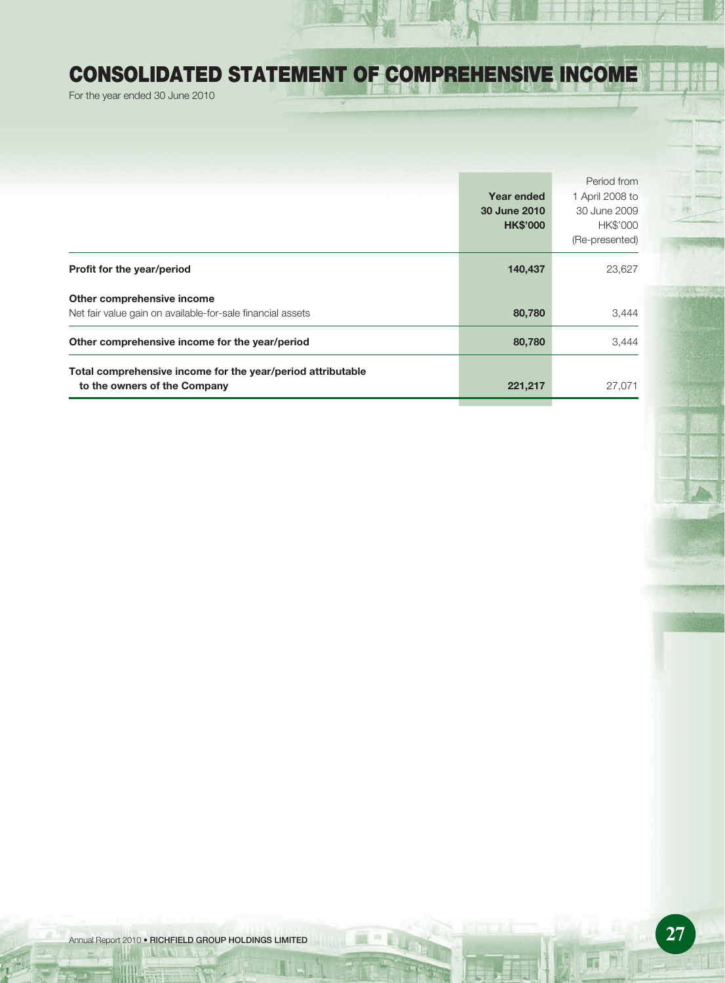# **CONSOLIDATED STATEMENT OF COMPREHENSIVE INCOME**

For the year ended 30 June 2010

| Total comprehensive income for the year/period attributable<br>to the owners of the Company | 221,217                                       | 27,071                                                                              |
|---------------------------------------------------------------------------------------------|-----------------------------------------------|-------------------------------------------------------------------------------------|
| Other comprehensive income for the year/period                                              | 80,780                                        | 3.444                                                                               |
| Other comprehensive income<br>Net fair value gain on available-for-sale financial assets    | 80,780                                        | 3.444                                                                               |
| Profit for the year/period                                                                  | 140,437                                       | 23,627                                                                              |
|                                                                                             | Year ended<br>30 June 2010<br><b>HK\$'000</b> | Period from<br>1 April 2008 to<br>30 June 2009<br><b>HK\$'000</b><br>(Re-presented) |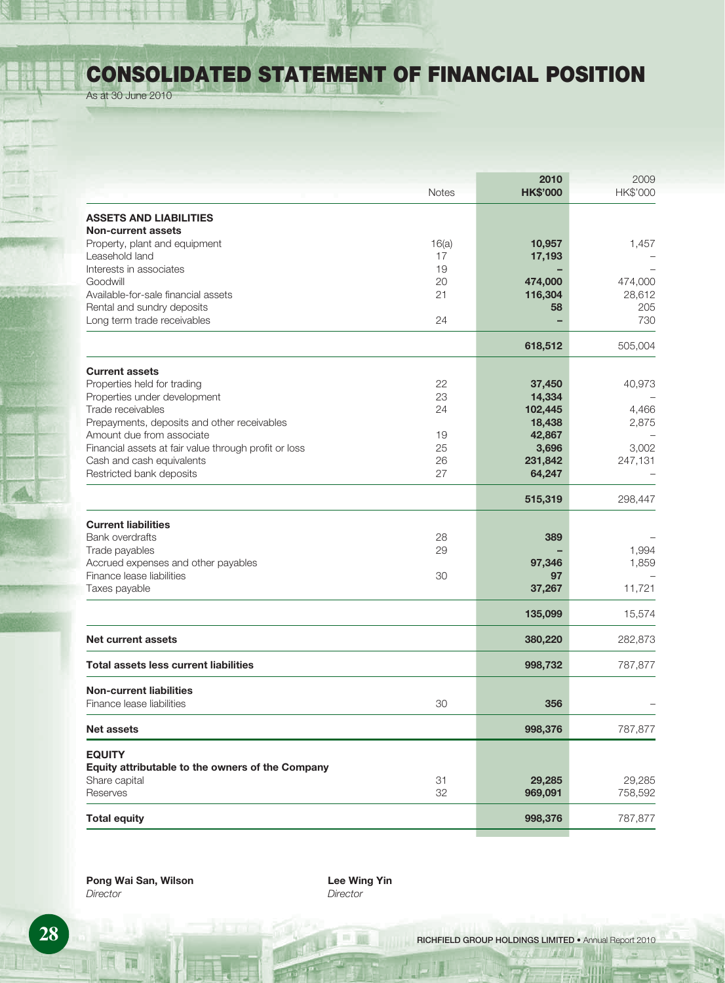### **CONSOLIDATED STATEMENT OF FINANCIAL POSITION** As at 30 June 2010

|                                                       | <b>Notes</b> | 2010<br><b>HK\$'000</b> | 2009<br>HK\$'000 |
|-------------------------------------------------------|--------------|-------------------------|------------------|
|                                                       |              |                         |                  |
| <b>ASSETS AND LIABILITIES</b>                         |              |                         |                  |
| <b>Non-current assets</b>                             | 16(a)        | 10,957                  |                  |
| Property, plant and equipment<br>Leasehold land       | 17           | 17,193                  | 1,457            |
| Interests in associates                               | 19           |                         |                  |
| Goodwill                                              | 20           | 474,000                 | 474,000          |
| Available-for-sale financial assets                   | 21           | 116,304                 | 28,612           |
| Rental and sundry deposits                            |              | 58                      | 205              |
| Long term trade receivables                           | 24           |                         | 730              |
|                                                       |              | 618,512                 | 505,004          |
|                                                       |              |                         |                  |
| <b>Current assets</b>                                 |              |                         |                  |
| Properties held for trading                           | 22           | 37,450                  | 40,973           |
| Properties under development<br>Trade receivables     | 23<br>24     | 14,334<br>102,445       | 4,466            |
| Prepayments, deposits and other receivables           |              | 18,438                  | 2,875            |
| Amount due from associate                             | 19           | 42,867                  |                  |
| Financial assets at fair value through profit or loss | 25           | 3,696                   | 3,002            |
| Cash and cash equivalents                             | 26           | 231,842                 | 247,131          |
| Restricted bank deposits                              | 27           | 64,247                  |                  |
|                                                       |              | 515,319                 | 298,447          |
|                                                       |              |                         |                  |
| <b>Current liabilities</b><br><b>Bank overdrafts</b>  | 28           | 389                     |                  |
| Trade payables                                        | 29           |                         | 1,994            |
| Accrued expenses and other payables                   |              | 97,346                  | 1,859            |
| Finance lease liabilities                             | 30           | 97                      |                  |
| Taxes payable                                         |              | 37,267                  | 11,721           |
|                                                       |              | 135,099                 | 15,574           |
|                                                       |              |                         |                  |
| <b>Net current assets</b>                             |              | 380,220                 | 282,873          |
| <b>Total assets less current liabilities</b>          |              | 998,732                 | 787,877          |
| <b>Non-current liabilities</b>                        |              |                         |                  |
| Finance lease liabilities                             | 30           | 356                     |                  |
| <b>Net assets</b>                                     |              | 998,376                 | 787,877          |
| <b>EQUITY</b>                                         |              |                         |                  |
| Equity attributable to the owners of the Company      |              |                         |                  |
| Share capital                                         | 31           | 29,285                  | 29,285           |
| Reserves                                              | 32           | 969,091                 | 758,592          |
| <b>Total equity</b>                                   |              | 998,376                 | 787,877          |

**Pong Wai San, Wilson Lee Wing Yin**<br>
Director Director

Director

**TIFICAL**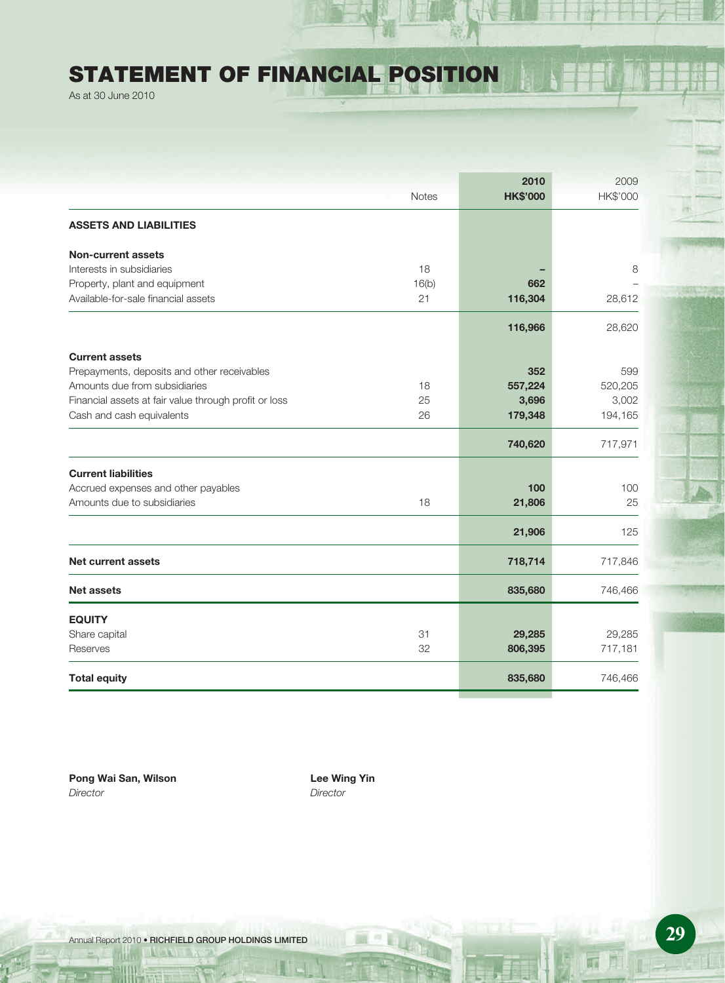# **STATEMENT OF FINANCIAL POSITION**

As at 30 June 2010

|                                                       |              | 2010            | 2009     |
|-------------------------------------------------------|--------------|-----------------|----------|
|                                                       | <b>Notes</b> | <b>HK\$'000</b> | HK\$'000 |
| <b>ASSETS AND LIABILITIES</b>                         |              |                 |          |
| <b>Non-current assets</b>                             |              |                 |          |
| Interests in subsidiaries                             | 18           |                 | 8        |
| Property, plant and equipment                         | 16(b)        | 662             |          |
| Available-for-sale financial assets                   | 21           | 116,304         | 28,612   |
|                                                       |              | 116,966         | 28,620   |
| <b>Current assets</b>                                 |              |                 |          |
| Prepayments, deposits and other receivables           |              | 352             | 599      |
| Amounts due from subsidiaries                         | 18           | 557,224         | 520,205  |
| Financial assets at fair value through profit or loss | 25           | 3,696           | 3,002    |
| Cash and cash equivalents                             | 26           | 179,348         | 194,165  |
|                                                       |              | 740,620         | 717,971  |
| <b>Current liabilities</b>                            |              |                 |          |
| Accrued expenses and other payables                   |              | 100             | 100      |
| Amounts due to subsidiaries                           | 18           | 21,806          | 25       |
|                                                       |              | 21,906          | 125      |
| <b>Net current assets</b>                             |              | 718,714         | 717,846  |
| <b>Net assets</b>                                     |              | 835,680         | 746,466  |
| <b>EQUITY</b>                                         |              |                 |          |
| Share capital                                         | 31           | 29,285          | 29,285   |
| Reserves                                              | 32           | 806,395         | 717,181  |
| <b>Total equity</b>                                   |              | 835,680         | 746,466  |

**Pong Wai San, Wilson Congress Cong Lee Wing Yin** Director Director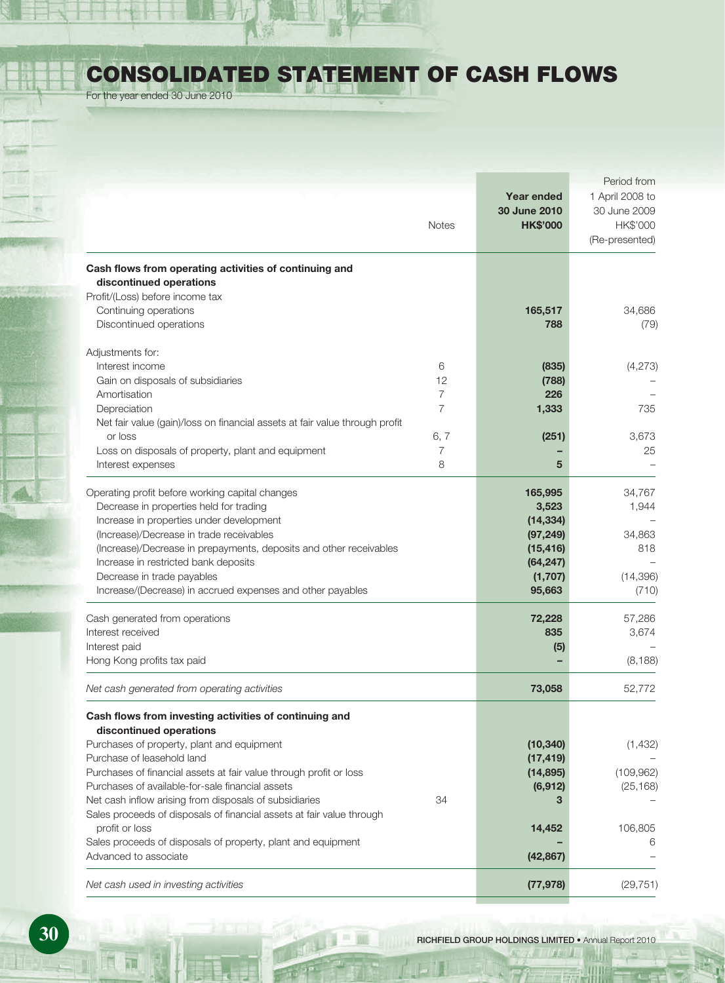# **CONSOLIDATED STATEMENT OF CASH FLOWS**

For the year ended 30 June 2010

|                                                                                       | <b>Notes</b> | <b>Year ended</b><br>30 June 2010<br><b>HK\$'000</b> | Period from<br>1 April 2008 to<br>30 June 2009<br>HK\$'000<br>(Re-presented) |
|---------------------------------------------------------------------------------------|--------------|------------------------------------------------------|------------------------------------------------------------------------------|
| Cash flows from operating activities of continuing and<br>discontinued operations     |              |                                                      |                                                                              |
| Profit/(Loss) before income tax                                                       |              |                                                      |                                                                              |
| Continuing operations                                                                 |              | 165,517                                              | 34,686                                                                       |
| Discontinued operations                                                               |              | 788                                                  | (79)                                                                         |
| Adjustments for:                                                                      |              |                                                      |                                                                              |
| Interest income                                                                       | 6            | (835)                                                | (4, 273)                                                                     |
| Gain on disposals of subsidiaries                                                     | 12           | (788)                                                |                                                                              |
| Amortisation                                                                          | 7            | 226                                                  |                                                                              |
| Depreciation                                                                          | 7            | 1,333                                                | 735                                                                          |
| Net fair value (gain)/loss on financial assets at fair value through profit           |              |                                                      |                                                                              |
| or loss                                                                               | 6, 7         | (251)                                                | 3,673                                                                        |
| Loss on disposals of property, plant and equipment                                    | 7            |                                                      | 25                                                                           |
| Interest expenses                                                                     | 8            | 5                                                    |                                                                              |
| Operating profit before working capital changes                                       |              | 165,995                                              | 34,767                                                                       |
| Decrease in properties held for trading                                               |              | 3,523                                                | 1,944                                                                        |
| Increase in properties under development                                              |              | (14, 334)                                            |                                                                              |
| (Increase)/Decrease in trade receivables                                              |              | (97, 249)                                            | 34,863                                                                       |
| (Increase)/Decrease in prepayments, deposits and other receivables                    |              | (15, 416)                                            | 818                                                                          |
| Increase in restricted bank deposits                                                  |              | (64, 247)                                            |                                                                              |
| Decrease in trade payables                                                            |              | (1,707)                                              | (14, 396)                                                                    |
| Increase/(Decrease) in accrued expenses and other payables                            |              | 95,663                                               | (710)                                                                        |
| Cash generated from operations                                                        |              | 72,228                                               | 57,286                                                                       |
| Interest received                                                                     |              | 835                                                  | 3,674                                                                        |
| Interest paid                                                                         |              | (5)                                                  |                                                                              |
| Hong Kong profits tax paid                                                            |              |                                                      | (8, 188)                                                                     |
| Net cash generated from operating activities                                          |              | 73,058                                               | 52,772                                                                       |
| Cash flows from investing activities of continuing and                                |              |                                                      |                                                                              |
| discontinued operations                                                               |              |                                                      |                                                                              |
| Purchases of property, plant and equipment                                            |              | (10, 340)                                            | (1,432)                                                                      |
| Purchase of leasehold land                                                            |              | (17, 419)                                            |                                                                              |
| Purchases of financial assets at fair value through profit or loss                    |              | (14, 895)                                            | (109, 962)                                                                   |
| Purchases of available-for-sale financial assets                                      |              | (6, 912)                                             | (25, 168)                                                                    |
| Net cash inflow arising from disposals of subsidiaries                                | 34           | З                                                    |                                                                              |
| Sales proceeds of disposals of financial assets at fair value through                 |              |                                                      |                                                                              |
| profit or loss                                                                        |              | 14,452                                               | 106,805                                                                      |
| Sales proceeds of disposals of property, plant and equipment<br>Advanced to associate |              | (42, 867)                                            | 6                                                                            |
|                                                                                       |              |                                                      |                                                                              |
| Net cash used in investing activities                                                 |              | (77, 978)                                            | (29, 751)                                                                    |

**TIMONIA** 

**Ridd** 

运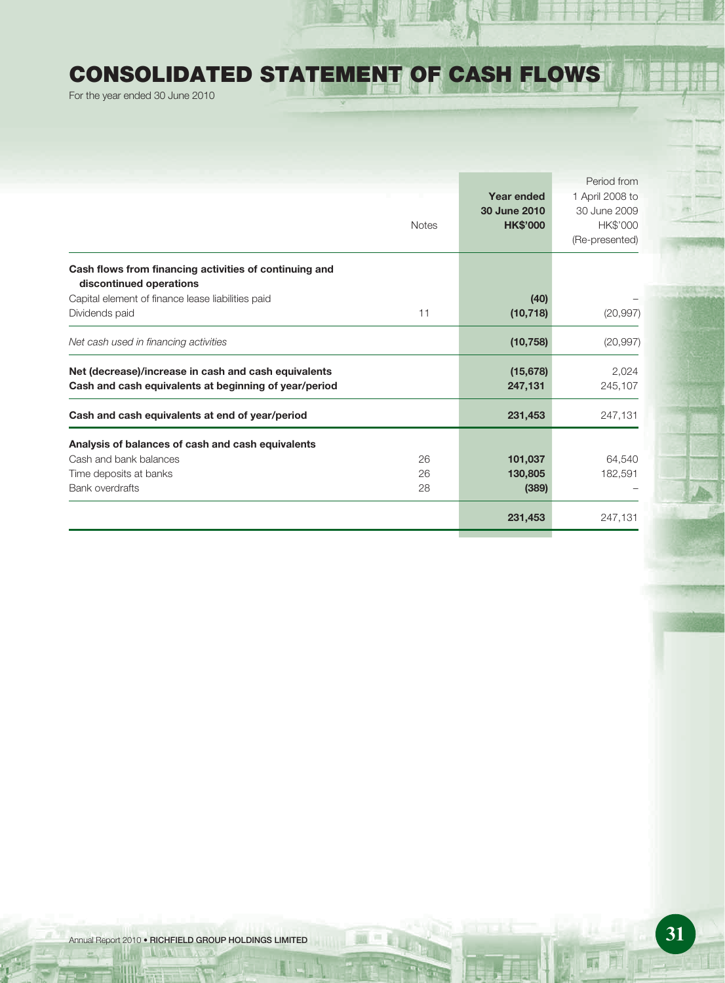# **CONSOLIDATED STATEMENT OF CASH FLOWS**

For the year ended 30 June 2010

|                                                                                   |                 | Period from     |
|-----------------------------------------------------------------------------------|-----------------|-----------------|
|                                                                                   | Year ended      | 1 April 2008 to |
|                                                                                   | 30 June 2010    | 30 June 2009    |
| <b>Notes</b>                                                                      | <b>HK\$'000</b> | HK\$'000        |
|                                                                                   |                 | (Re-presented)  |
| Cash flows from financing activities of continuing and<br>discontinued operations |                 |                 |
| Capital element of finance lease liabilities paid                                 | (40)            |                 |
| 11<br>Dividends paid                                                              | (10, 718)       | (20, 997)       |
| Net cash used in financing activities                                             | (10, 758)       | (20, 997)       |
| Net (decrease)/increase in cash and cash equivalents                              | (15, 678)       | 2,024           |
| Cash and cash equivalents at beginning of year/period                             | 247,131         | 245,107         |
| Cash and cash equivalents at end of year/period                                   | 231,453         | 247,131         |
| Analysis of balances of cash and cash equivalents                                 |                 |                 |
| Cash and bank balances<br>26                                                      | 101,037         | 64,540          |
| 26<br>Time deposits at banks                                                      | 130,805         | 182,591         |
| <b>Bank overdrafts</b><br>28                                                      | (389)           |                 |
|                                                                                   | 231,453         | 247,131         |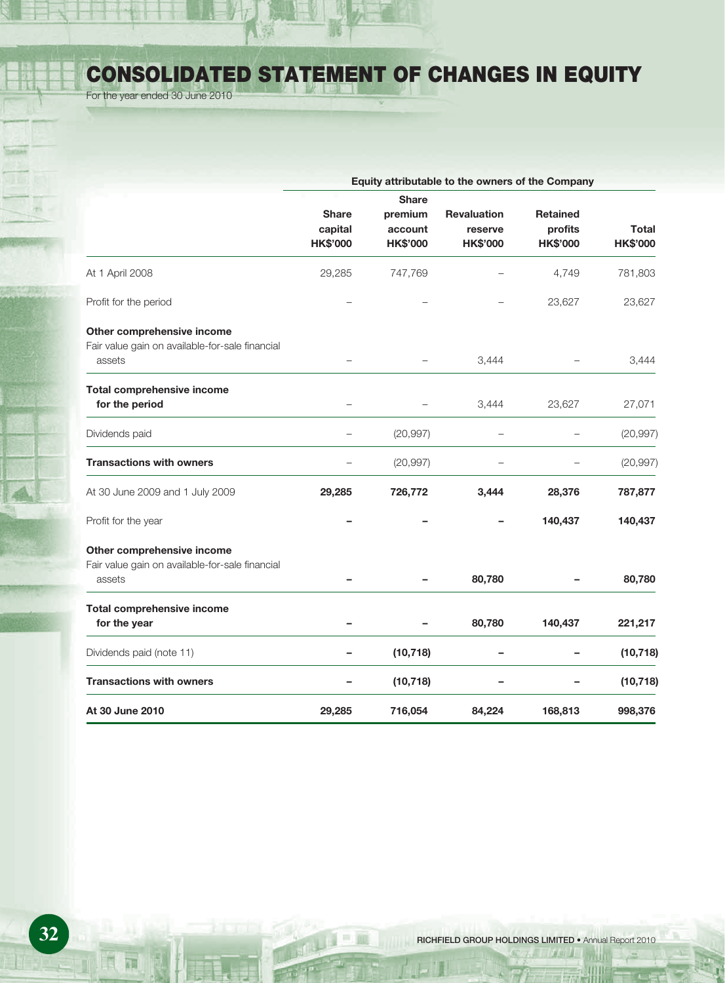# **CONSOLIDATED STATEMENT OF CHANGES IN EQUITY**

For the year ended 30 June 2010

|                                                                                         | Equity attributable to the owners of the Company |                                                       |                                                  |                                               |                          |
|-----------------------------------------------------------------------------------------|--------------------------------------------------|-------------------------------------------------------|--------------------------------------------------|-----------------------------------------------|--------------------------|
|                                                                                         | <b>Share</b><br>capital<br><b>HK\$'000</b>       | <b>Share</b><br>premium<br>account<br><b>HK\$'000</b> | <b>Revaluation</b><br>reserve<br><b>HK\$'000</b> | <b>Retained</b><br>profits<br><b>HK\$'000</b> | Total<br><b>HK\$'000</b> |
| At 1 April 2008                                                                         | 29,285                                           | 747,769                                               |                                                  | 4,749                                         | 781,803                  |
| Profit for the period                                                                   |                                                  |                                                       |                                                  | 23,627                                        | 23,627                   |
| Other comprehensive income<br>Fair value gain on available-for-sale financial<br>assets | $\overline{\phantom{0}}$                         |                                                       | 3,444                                            |                                               | 3,444                    |
| <b>Total comprehensive income</b><br>for the period                                     |                                                  |                                                       | 3,444                                            | 23,627                                        | 27,071                   |
| Dividends paid                                                                          |                                                  | (20, 997)                                             |                                                  |                                               | (20, 997)                |
| <b>Transactions with owners</b>                                                         |                                                  | (20, 997)                                             |                                                  |                                               | (20, 997)                |
| At 30 June 2009 and 1 July 2009                                                         | 29,285                                           | 726,772                                               | 3,444                                            | 28,376                                        | 787,877                  |
| Profit for the year                                                                     |                                                  |                                                       |                                                  | 140,437                                       | 140,437                  |
| Other comprehensive income<br>Fair value gain on available-for-sale financial<br>assets |                                                  |                                                       | 80,780                                           |                                               | 80,780                   |
| <b>Total comprehensive income</b><br>for the year                                       | -                                                |                                                       | 80,780                                           | 140,437                                       | 221,217                  |
| Dividends paid (note 11)                                                                |                                                  | (10, 718)                                             |                                                  |                                               | (10, 718)                |
| <b>Transactions with owners</b>                                                         |                                                  | (10, 718)                                             |                                                  |                                               | (10, 718)                |
| At 30 June 2010                                                                         | 29,285                                           | 716,054                                               | 84,224                                           | 168,813                                       | 998,376                  |

**Financial** 

**Mun**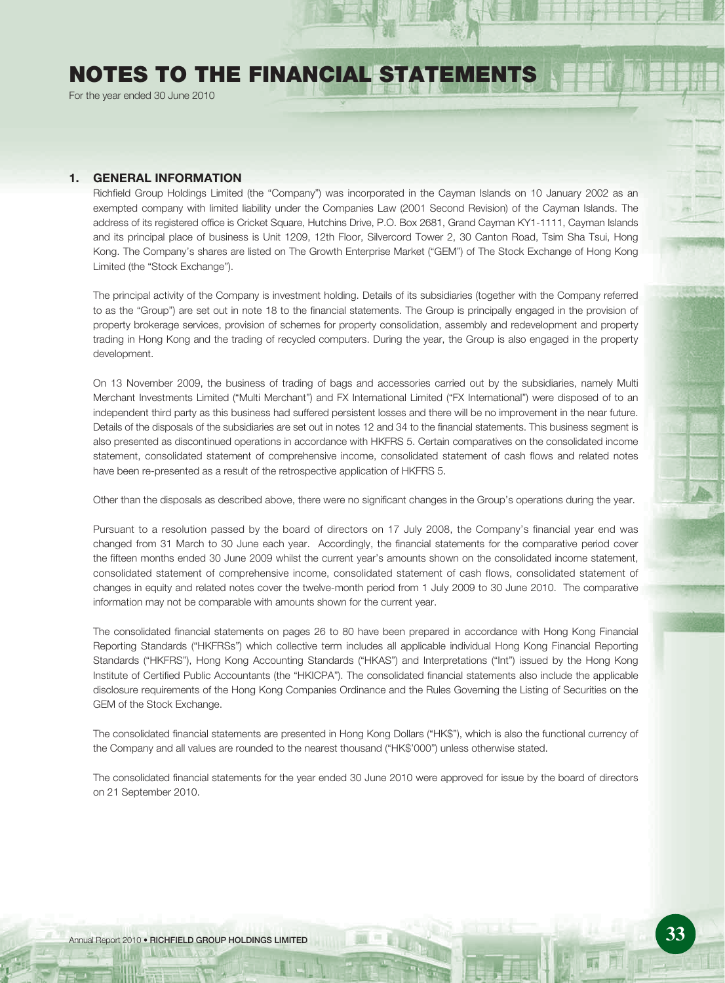**NOTES TO THE FINANCIAL STATEMENTS**

For the year ended 30 June 2010

#### **1. GENERAL INFORMATION**

Richfield Group Holdings Limited (the "Company") was incorporated in the Cayman Islands on 10 January 2002 as an exempted company with limited liability under the Companies Law (2001 Second Revision) of the Cayman Islands. The address of its registered office is Cricket Square, Hutchins Drive, P.O. Box 2681, Grand Cayman KY1-1111, Cayman Islands and its principal place of business is Unit 1209, 12th Floor, Silvercord Tower 2, 30 Canton Road, Tsim Sha Tsui, Hong Kong. The Company's shares are listed on The Growth Enterprise Market ("GEM") of The Stock Exchange of Hong Kong Limited (the "Stock Exchange").

The principal activity of the Company is investment holding. Details of its subsidiaries (together with the Company referred to as the "Group") are set out in note 18 to the financial statements. The Group is principally engaged in the provision of property brokerage services, provision of schemes for property consolidation, assembly and redevelopment and property trading in Hong Kong and the trading of recycled computers. During the year, the Group is also engaged in the property development.

On 13 November 2009, the business of trading of bags and accessories carried out by the subsidiaries, namely Multi Merchant Investments Limited ("Multi Merchant") and FX International Limited ("FX International") were disposed of to an independent third party as this business had suffered persistent losses and there will be no improvement in the near future. Details of the disposals of the subsidiaries are set out in notes 12 and 34 to the financial statements. This business segment is also presented as discontinued operations in accordance with HKFRS 5. Certain comparatives on the consolidated income statement, consolidated statement of comprehensive income, consolidated statement of cash flows and related notes have been re-presented as a result of the retrospective application of HKFRS 5.

Other than the disposals as described above, there were no significant changes in the Group's operations during the year.

Pursuant to a resolution passed by the board of directors on 17 July 2008, the Company's financial year end was changed from 31 March to 30 June each year. Accordingly, the financial statements for the comparative period cover the fifteen months ended 30 June 2009 whilst the current year's amounts shown on the consolidated income statement, consolidated statement of comprehensive income, consolidated statement of cash flows, consolidated statement of changes in equity and related notes cover the twelve-month period from 1 July 2009 to 30 June 2010. The comparative information may not be comparable with amounts shown for the current year.

The consolidated financial statements on pages 26 to 80 have been prepared in accordance with Hong Kong Financial Reporting Standards ("HKFRSs") which collective term includes all applicable individual Hong Kong Financial Reporting Standards ("HKFRS"), Hong Kong Accounting Standards ("HKAS") and Interpretations ("Int") issued by the Hong Kong Institute of Certified Public Accountants (the "HKICPA"). The consolidated financial statements also include the applicable disclosure requirements of the Hong Kong Companies Ordinance and the Rules Governing the Listing of Securities on the GEM of the Stock Exchange.

The consolidated financial statements are presented in Hong Kong Dollars ("HK\$"), which is also the functional currency of the Company and all values are rounded to the nearest thousand ("HK\$'000") unless otherwise stated.

The consolidated financial statements for the year ended 30 June 2010 were approved for issue by the board of directors on 21 September 2010.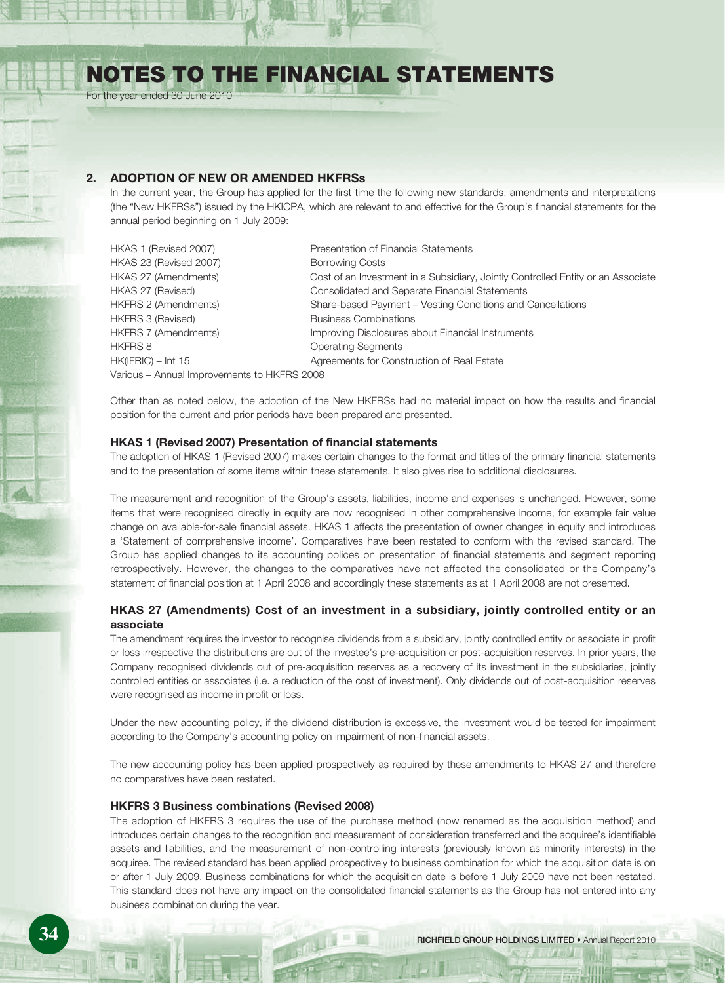# **NOTES TO THE FINANCIAL STATEMENTS**

For the year ended 30 June 2010

#### **2. ADOPTION OF NEW OR AMENDED HKFRSs**

In the current year, the Group has applied for the first time the following new standards, amendments and interpretations (the "New HKFRSs") issued by the HKICPA, which are relevant to and effective for the Group's financial statements for the annual period beginning on 1 July 2009:

| HKAS 1 (Revised 2007)                       | Presentation of Financial Statements                                             |  |
|---------------------------------------------|----------------------------------------------------------------------------------|--|
| HKAS 23 (Revised 2007)                      | <b>Borrowing Costs</b>                                                           |  |
| HKAS 27 (Amendments)                        | Cost of an Investment in a Subsidiary, Jointly Controlled Entity or an Associate |  |
| HKAS 27 (Revised)                           | <b>Consolidated and Separate Financial Statements</b>                            |  |
| <b>HKFRS 2 (Amendments)</b>                 | Share-based Payment – Vesting Conditions and Cancellations                       |  |
| HKFRS 3 (Revised)                           | <b>Business Combinations</b>                                                     |  |
| <b>HKFRS 7 (Amendments)</b>                 | Improving Disclosures about Financial Instruments                                |  |
| HKFRS 8                                     | <b>Operating Segments</b>                                                        |  |
| HK(IFRIC) – Int 15                          | Agreements for Construction of Real Estate                                       |  |
| Various - Annual Improvements to HKFRS 2008 |                                                                                  |  |
|                                             |                                                                                  |  |

Other than as noted below, the adoption of the New HKFRSs had no material impact on how the results and financial position for the current and prior periods have been prepared and presented.

#### **HKAS 1 (Revised 2007) Presentation of financial statements**

The adoption of HKAS 1 (Revised 2007) makes certain changes to the format and titles of the primary financial statements and to the presentation of some items within these statements. It also gives rise to additional disclosures.

The measurement and recognition of the Group's assets, liabilities, income and expenses is unchanged. However, some items that were recognised directly in equity are now recognised in other comprehensive income, for example fair value change on available-for-sale financial assets. HKAS 1 affects the presentation of owner changes in equity and introduces a 'Statement of comprehensive income'. Comparatives have been restated to conform with the revised standard. The Group has applied changes to its accounting polices on presentation of financial statements and segment reporting retrospectively. However, the changes to the comparatives have not affected the consolidated or the Company's statement of financial position at 1 April 2008 and accordingly these statements as at 1 April 2008 are not presented.

#### **HKAS 27 (Amendments) Cost of an investment in a subsidiary, jointly controlled entity or an associate**

The amendment requires the investor to recognise dividends from a subsidiary, jointly controlled entity or associate in profit or loss irrespective the distributions are out of the investee's pre-acquisition or post-acquisition reserves. In prior years, the Company recognised dividends out of pre-acquisition reserves as a recovery of its investment in the subsidiaries, jointly controlled entities or associates (i.e. a reduction of the cost of investment). Only dividends out of post-acquisition reserves were recognised as income in profit or loss.

Under the new accounting policy, if the dividend distribution is excessive, the investment would be tested for impairment according to the Company's accounting policy on impairment of non-financial assets.

The new accounting policy has been applied prospectively as required by these amendments to HKAS 27 and therefore no comparatives have been restated.

#### **HKFRS 3 Business combinations (Revised 2008)**

The adoption of HKFRS 3 requires the use of the purchase method (now renamed as the acquisition method) and introduces certain changes to the recognition and measurement of consideration transferred and the acquiree's identifiable assets and liabilities, and the measurement of non-controlling interests (previously known as minority interests) in the acquiree. The revised standard has been applied prospectively to business combination for which the acquisition date is on or after 1 July 2009. Business combinations for which the acquisition date is before 1 July 2009 have not been restated. This standard does not have any impact on the consolidated financial statements as the Group has not entered into any business combination during the year.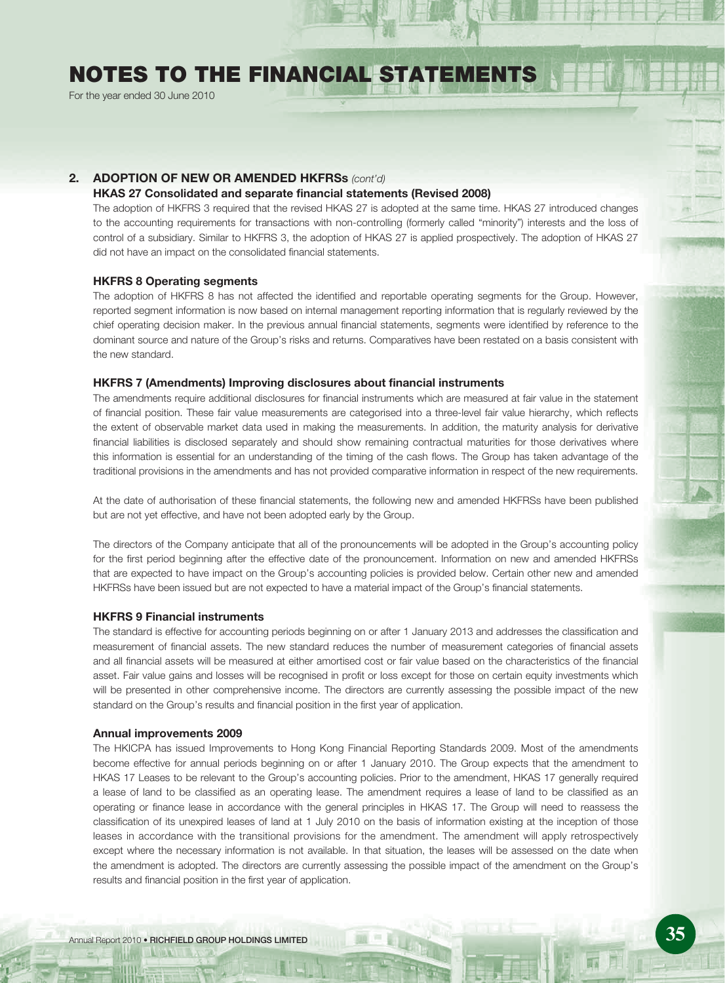For the year ended 30 June 2010

### **2. ADOPTION OF NEW OR AMENDED HKFRSs (cont'd)**

#### **HKAS 27 Consolidated and separate financial statements (Revised 2008)**

The adoption of HKFRS 3 required that the revised HKAS 27 is adopted at the same time. HKAS 27 introduced changes to the accounting requirements for transactions with non-controlling (formerly called "minority") interests and the loss of control of a subsidiary. Similar to HKFRS 3, the adoption of HKAS 27 is applied prospectively. The adoption of HKAS 27 did not have an impact on the consolidated financial statements.

#### **HKFRS 8 Operating segments**

The adoption of HKFRS 8 has not affected the identified and reportable operating segments for the Group. However, reported segment information is now based on internal management reporting information that is regularly reviewed by the chief operating decision maker. In the previous annual financial statements, segments were identified by reference to the dominant source and nature of the Group's risks and returns. Comparatives have been restated on a basis consistent with the new standard.

#### **HKFRS 7 (Amendments) Improving disclosures about financial instruments**

The amendments require additional disclosures for financial instruments which are measured at fair value in the statement of financial position. These fair value measurements are categorised into a three-level fair value hierarchy, which reflects the extent of observable market data used in making the measurements. In addition, the maturity analysis for derivative financial liabilities is disclosed separately and should show remaining contractual maturities for those derivatives where this information is essential for an understanding of the timing of the cash flows. The Group has taken advantage of the traditional provisions in the amendments and has not provided comparative information in respect of the new requirements.

At the date of authorisation of these financial statements, the following new and amended HKFRSs have been published but are not yet effective, and have not been adopted early by the Group.

The directors of the Company anticipate that all of the pronouncements will be adopted in the Group's accounting policy for the first period beginning after the effective date of the pronouncement. Information on new and amended HKFRSs that are expected to have impact on the Group's accounting policies is provided below. Certain other new and amended HKFRSs have been issued but are not expected to have a material impact of the Group's financial statements.

#### **HKFRS 9 Financial instruments**

The standard is effective for accounting periods beginning on or after 1 January 2013 and addresses the classification and measurement of financial assets. The new standard reduces the number of measurement categories of financial assets and all financial assets will be measured at either amortised cost or fair value based on the characteristics of the financial asset. Fair value gains and losses will be recognised in profit or loss except for those on certain equity investments which will be presented in other comprehensive income. The directors are currently assessing the possible impact of the new standard on the Group's results and financial position in the first year of application.

#### **Annual improvements 2009**

The HKICPA has issued Improvements to Hong Kong Financial Reporting Standards 2009. Most of the amendments become effective for annual periods beginning on or after 1 January 2010. The Group expects that the amendment to HKAS 17 Leases to be relevant to the Group's accounting policies. Prior to the amendment, HKAS 17 generally required a lease of land to be classified as an operating lease. The amendment requires a lease of land to be classified as an operating or finance lease in accordance with the general principles in HKAS 17. The Group will need to reassess the classification of its unexpired leases of land at 1 July 2010 on the basis of information existing at the inception of those leases in accordance with the transitional provisions for the amendment. The amendment will apply retrospectively except where the necessary information is not available. In that situation, the leases will be assessed on the date when the amendment is adopted. The directors are currently assessing the possible impact of the amendment on the Group's results and financial position in the first year of application.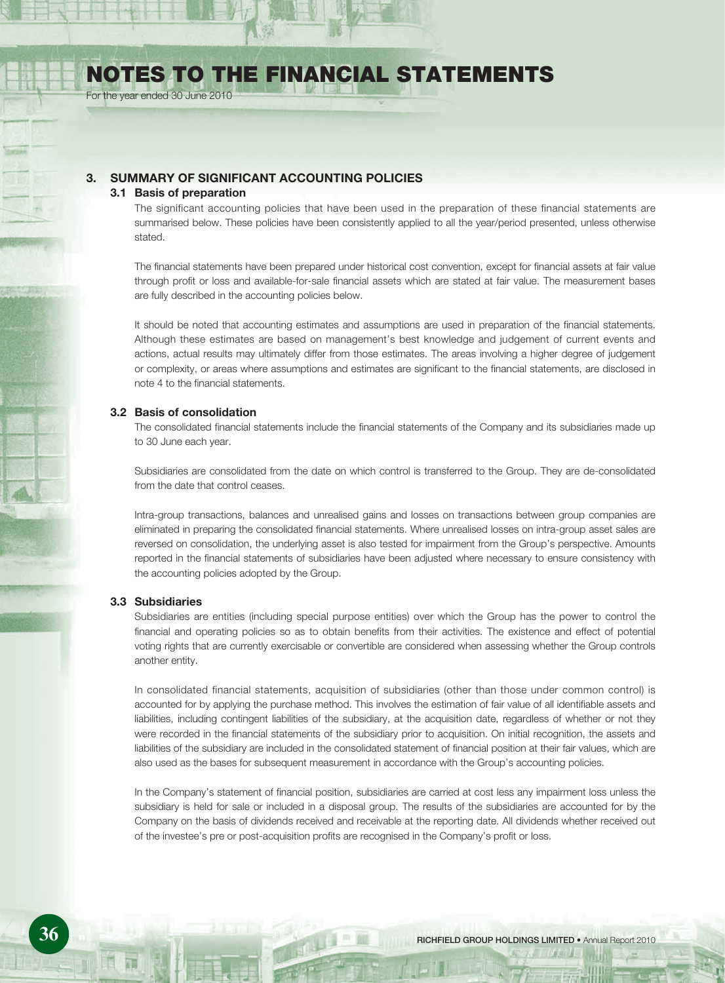For the year ended 30 June 2010

### **3. SUMMARY OF SIGNIFICANT ACCOUNTING POLICIES**

#### **3.1 Basis of preparation**

The significant accounting policies that have been used in the preparation of these financial statements are summarised below. These policies have been consistently applied to all the year/period presented, unless otherwise stated.

The financial statements have been prepared under historical cost convention, except for financial assets at fair value through profit or loss and available-for-sale financial assets which are stated at fair value. The measurement bases are fully described in the accounting policies below.

It should be noted that accounting estimates and assumptions are used in preparation of the financial statements. Although these estimates are based on management's best knowledge and judgement of current events and actions, actual results may ultimately differ from those estimates. The areas involving a higher degree of judgement or complexity, or areas where assumptions and estimates are significant to the financial statements, are disclosed in note 4 to the financial statements.

#### **3.2 Basis of consolidation**

The consolidated financial statements include the financial statements of the Company and its subsidiaries made up to 30 June each year.

Subsidiaries are consolidated from the date on which control is transferred to the Group. They are de-consolidated from the date that control ceases.

Intra-group transactions, balances and unrealised gains and losses on transactions between group companies are eliminated in preparing the consolidated financial statements. Where unrealised losses on intra-group asset sales are reversed on consolidation, the underlying asset is also tested for impairment from the Group's perspective. Amounts reported in the financial statements of subsidiaries have been adjusted where necessary to ensure consistency with the accounting policies adopted by the Group.

#### **3.3 Subsidiaries**

Subsidiaries are entities (including special purpose entities) over which the Group has the power to control the financial and operating policies so as to obtain benefits from their activities. The existence and effect of potential voting rights that are currently exercisable or convertible are considered when assessing whether the Group controls another entity.

In consolidated financial statements, acquisition of subsidiaries (other than those under common control) is accounted for by applying the purchase method. This involves the estimation of fair value of all identifiable assets and liabilities, including contingent liabilities of the subsidiary, at the acquisition date, regardless of whether or not they were recorded in the financial statements of the subsidiary prior to acquisition. On initial recognition, the assets and liabilities of the subsidiary are included in the consolidated statement of financial position at their fair values, which are also used as the bases for subsequent measurement in accordance with the Group's accounting policies.

In the Company's statement of financial position, subsidiaries are carried at cost less any impairment loss unless the subsidiary is held for sale or included in a disposal group. The results of the subsidiaries are accounted for by the Company on the basis of dividends received and receivable at the reporting date. All dividends whether received out of the investee's pre or post-acquisition profits are recognised in the Company's profit or loss.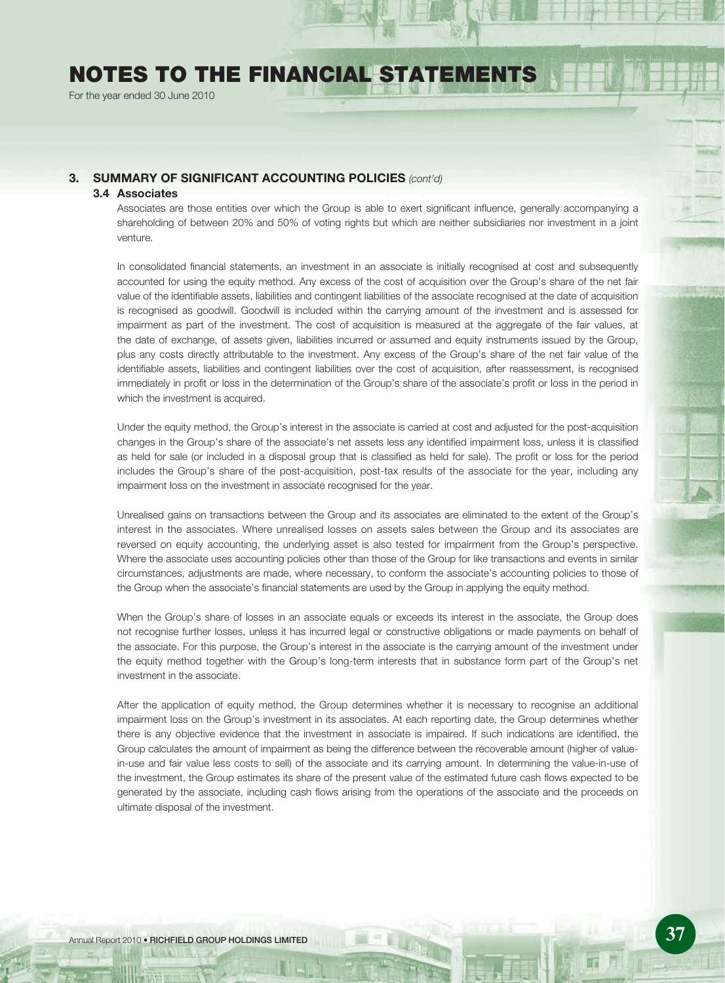For the year ended 30 June 2010

### **3. SUMMARY OF SIGNIFICANT ACCOUNTING POLICIES** (cont'd)

#### **3.4 Associates**

Associates are those entities over which the Group is able to exert significant influence, generally accompanying a shareholding of between 20% and 50% of voting rights but which are neither subsidiaries nor investment in a joint venture.

In consolidated financial statements, an investment in an associate is initially recognised at cost and subsequently accounted for using the equity method. Any excess of the cost of acquisition over the Group's share of the net fair value of the identifiable assets, liabilities and contingent liabilities of the associate recognised at the date of acquisition is recognised as goodwill. Goodwill is included within the carrying amount of the investment and is assessed for impairment as part of the investment. The cost of acquisition is measured at the aggregate of the fair values, at the date of exchange, of assets given, liabilities incurred or assumed and equity instruments issued by the Group, plus any costs directly attributable to the investment. Any excess of the Group's share of the net fair value of the identifiable assets, liabilities and contingent liabilities over the cost of acquisition, after reassessment, is recognised immediately in profit or loss in the determination of the Group's share of the associate's profit or loss in the period in which the investment is acquired.

Under the equity method, the Group's interest in the associate is carried at cost and adjusted for the post-acquisition changes in the Group's share of the associate's net assets less any identified impairment loss, unless it is classified as held for sale (or included in a disposal group that is classified as held for sale). The profit or loss for the period includes the Group's share of the post-acquisition, post-tax results of the associate for the year, including any impairment loss on the investment in associate recognised for the year.

Unrealised gains on transactions between the Group and its associates are eliminated to the extent of the Group's interest in the associates. Where unrealised losses on assets sales between the Group and its associates are reversed on equity accounting, the underlying asset is also tested for impairment from the Group's perspective. Where the associate uses accounting policies other than those of the Group for like transactions and events in similar circumstances, adjustments are made, where necessary, to conform the associate's accounting policies to those of the Group when the associate's financial statements are used by the Group in applying the equity method.

When the Group's share of losses in an associate equals or exceeds its interest in the associate, the Group does not recognise further losses, unless it has incurred legal or constructive obligations or made payments on behalf of the associate. For this purpose, the Group's interest in the associate is the carrying amount of the investment under the equity method together with the Group's long-term interests that in substance form part of the Group's net investment in the associate.

After the application of equity method, the Group determines whether it is necessary to recognise an additional impairment loss on the Group's investment in its associates. At each reporting date, the Group determines whether there is any objective evidence that the investment in associate is impaired. If such indications are identified, the Group calculates the amount of impairment as being the difference between the recoverable amount (higher of valuein-use and fair value less costs to sell) of the associate and its carrying amount. In determining the value-in-use of the investment, the Group estimates its share of the present value of the estimated future cash flows expected to be generated by the associate, including cash flows arising from the operations of the associate and the proceeds on ultimate disposal of the investment.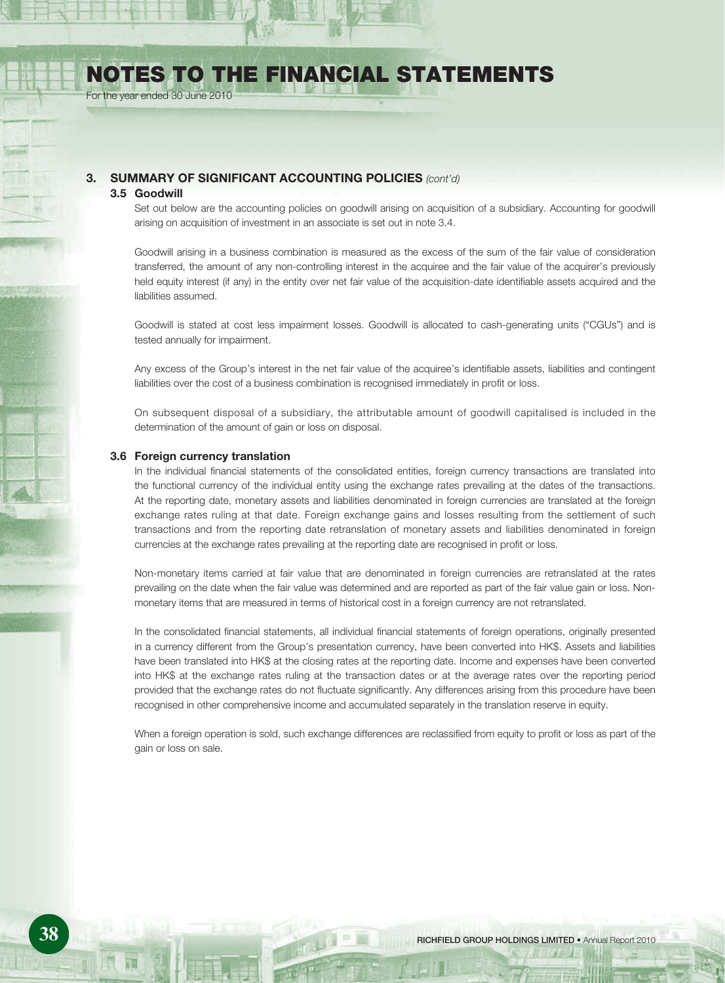For the year ended 30 June 2010

## **3. SUMMARY OF SIGNIFICANT ACCOUNTING POLICIES (cont'd)**

#### **3.5 Goodwill**

Set out below are the accounting policies on goodwill arising on acquisition of a subsidiary. Accounting for goodwill arising on acquisition of investment in an associate is set out in note 3.4.

Goodwill arising in a business combination is measured as the excess of the sum of the fair value of consideration transferred, the amount of any non-controlling interest in the acquiree and the fair value of the acquirer's previously held equity interest (if any) in the entity over net fair value of the acquisition-date identifiable assets acquired and the liabilities assumed.

Goodwill is stated at cost less impairment losses. Goodwill is allocated to cash-generating units ("CGUs") and is tested annually for impairment.

Any excess of the Group's interest in the net fair value of the acquiree's identifiable assets, liabilities and contingent liabilities over the cost of a business combination is recognised immediately in profit or loss.

On subsequent disposal of a subsidiary, the attributable amount of goodwill capitalised is included in the determination of the amount of gain or loss on disposal.

#### **3.6 Foreign currency translation**

In the individual financial statements of the consolidated entities, foreign currency transactions are translated into the functional currency of the individual entity using the exchange rates prevailing at the dates of the transactions. At the reporting date, monetary assets and liabilities denominated in foreign currencies are translated at the foreign exchange rates ruling at that date. Foreign exchange gains and losses resulting from the settlement of such transactions and from the reporting date retranslation of monetary assets and liabilities denominated in foreign currencies at the exchange rates prevailing at the reporting date are recognised in profit or loss.

Non-monetary items carried at fair value that are denominated in foreign currencies are retranslated at the rates prevailing on the date when the fair value was determined and are reported as part of the fair value gain or loss. Nonmonetary items that are measured in terms of historical cost in a foreign currency are not retranslated.

In the consolidated financial statements, all individual financial statements of foreign operations, originally presented in a currency different from the Group's presentation currency, have been converted into HK\$. Assets and liabilities have been translated into HK\$ at the closing rates at the reporting date. Income and expenses have been converted into HK\$ at the exchange rates ruling at the transaction dates or at the average rates over the reporting period provided that the exchange rates do not fluctuate significantly. Any differences arising from this procedure have been recognised in other comprehensive income and accumulated separately in the translation reserve in equity.

When a foreign operation is sold, such exchange differences are reclassified from equity to profit or loss as part of the gain or loss on sale.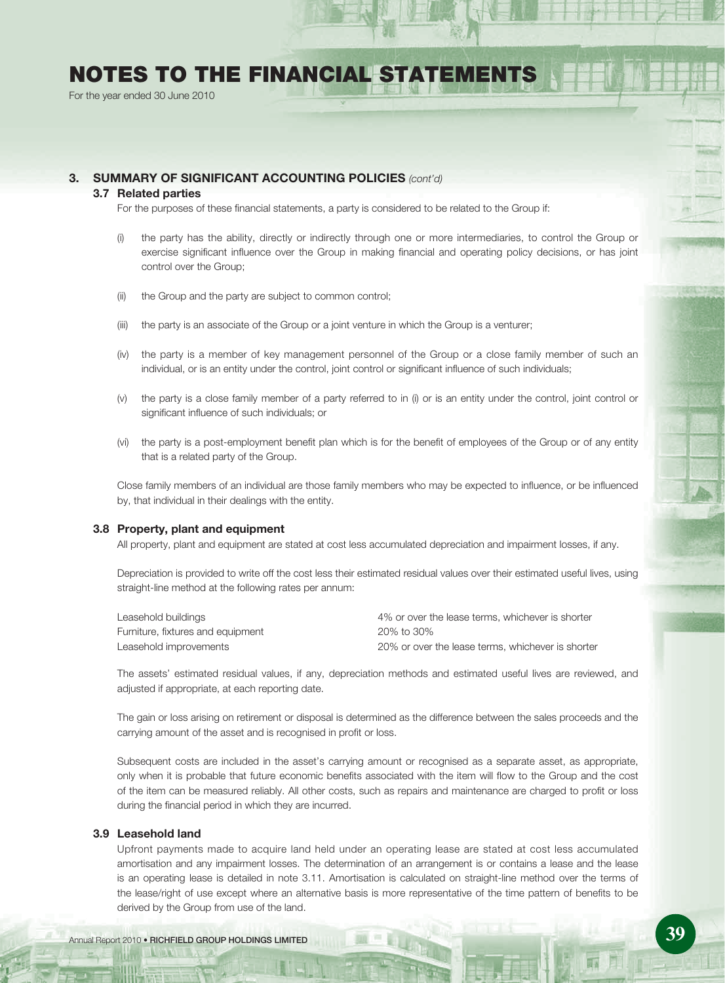For the year ended 30 June 2010

#### **3. SUMMARY OF SIGNIFICANT ACCOUNTING POLICIES** (cont'd)

#### **3.7 Related parties**

For the purposes of these financial statements, a party is considered to be related to the Group if:

- (i) the party has the ability, directly or indirectly through one or more intermediaries, to control the Group or exercise significant influence over the Group in making financial and operating policy decisions, or has joint control over the Group;
- (ii) the Group and the party are subject to common control;
- (iii) the party is an associate of the Group or a joint venture in which the Group is a venturer;
- (iv) the party is a member of key management personnel of the Group or a close family member of such an individual, or is an entity under the control, joint control or significant influence of such individuals;
- (v) the party is a close family member of a party referred to in (i) or is an entity under the control, joint control or significant influence of such individuals; or
- (vi) the party is a post-employment benefit plan which is for the benefit of employees of the Group or of any entity that is a related party of the Group.

Close family members of an individual are those family members who may be expected to influence, or be influenced by, that individual in their dealings with the entity.

#### **3.8 Property, plant and equipment**

All property, plant and equipment are stated at cost less accumulated depreciation and impairment losses, if any.

Depreciation is provided to write off the cost less their estimated residual values over their estimated useful lives, using straight-line method at the following rates per annum:

| Leasehold buildings               | 4% or over the lease terms, whichever is shorter  |
|-----------------------------------|---------------------------------------------------|
| Furniture, fixtures and equipment | 20% to 30%                                        |
| Leasehold improvements            | 20% or over the lease terms, whichever is shorter |

The assets' estimated residual values, if any, depreciation methods and estimated useful lives are reviewed, and adjusted if appropriate, at each reporting date.

The gain or loss arising on retirement or disposal is determined as the difference between the sales proceeds and the carrying amount of the asset and is recognised in profit or loss.

Subsequent costs are included in the asset's carrying amount or recognised as a separate asset, as appropriate, only when it is probable that future economic benefits associated with the item will flow to the Group and the cost of the item can be measured reliably. All other costs, such as repairs and maintenance are charged to profit or loss during the financial period in which they are incurred.

#### **3.9 Leasehold land**

Upfront payments made to acquire land held under an operating lease are stated at cost less accumulated amortisation and any impairment losses. The determination of an arrangement is or contains a lease and the lease is an operating lease is detailed in note 3.11. Amortisation is calculated on straight-line method over the terms of the lease/right of use except where an alternative basis is more representative of the time pattern of benefits to be derived by the Group from use of the land.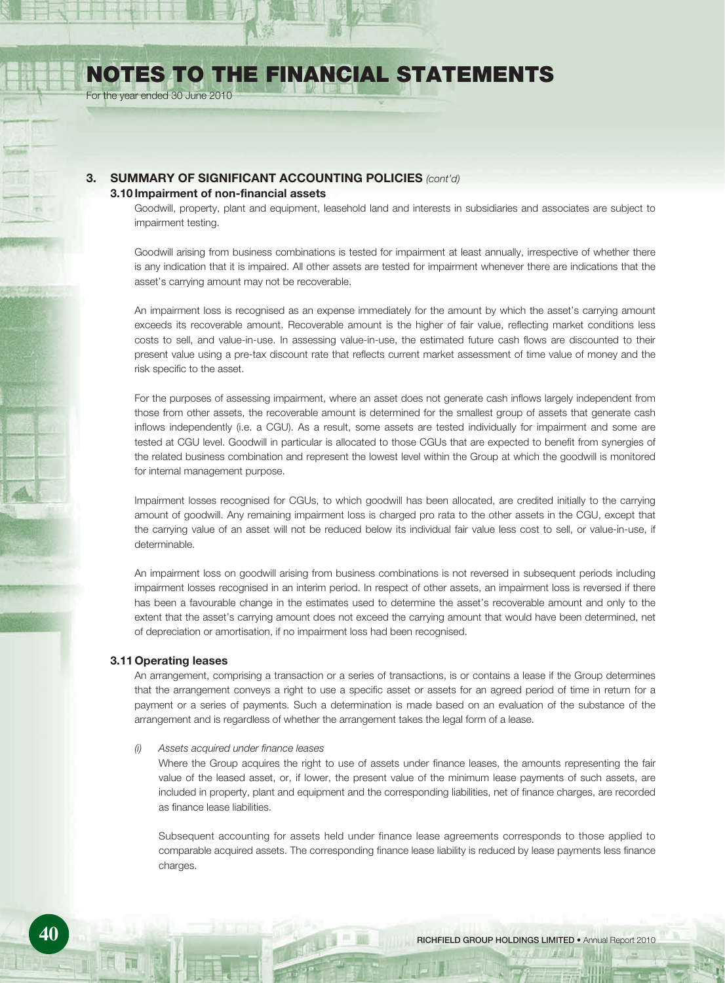For the year ended 30 June 2010

## **3. SUMMARY OF SIGNIFICANT ACCOUNTING POLICIES** (cont'd)

#### **3.10 Impairment of non-financial assets**

Goodwill, property, plant and equipment, leasehold land and interests in subsidiaries and associates are subject to impairment testing.

Goodwill arising from business combinations is tested for impairment at least annually, irrespective of whether there is any indication that it is impaired. All other assets are tested for impairment whenever there are indications that the asset's carrying amount may not be recoverable.

An impairment loss is recognised as an expense immediately for the amount by which the asset's carrying amount exceeds its recoverable amount. Recoverable amount is the higher of fair value, reflecting market conditions less costs to sell, and value-in-use. In assessing value-in-use, the estimated future cash flows are discounted to their present value using a pre-tax discount rate that reflects current market assessment of time value of money and the risk specific to the asset.

For the purposes of assessing impairment, where an asset does not generate cash inflows largely independent from those from other assets, the recoverable amount is determined for the smallest group of assets that generate cash inflows independently (i.e. a CGU). As a result, some assets are tested individually for impairment and some are tested at CGU level. Goodwill in particular is allocated to those CGUs that are expected to benefit from synergies of the related business combination and represent the lowest level within the Group at which the goodwill is monitored for internal management purpose.

Impairment losses recognised for CGUs, to which goodwill has been allocated, are credited initially to the carrying amount of goodwill. Any remaining impairment loss is charged pro rata to the other assets in the CGU, except that the carrying value of an asset will not be reduced below its individual fair value less cost to sell, or value-in-use, if determinable.

An impairment loss on goodwill arising from business combinations is not reversed in subsequent periods including impairment losses recognised in an interim period. In respect of other assets, an impairment loss is reversed if there has been a favourable change in the estimates used to determine the asset's recoverable amount and only to the extent that the asset's carrying amount does not exceed the carrying amount that would have been determined, net of depreciation or amortisation, if no impairment loss had been recognised.

#### **3.11 Operating leases**

An arrangement, comprising a transaction or a series of transactions, is or contains a lease if the Group determines that the arrangement conveys a right to use a specific asset or assets for an agreed period of time in return for a payment or a series of payments. Such a determination is made based on an evaluation of the substance of the arrangement and is regardless of whether the arrangement takes the legal form of a lease.

#### (i) Assets acquired under finance leases

Where the Group acquires the right to use of assets under finance leases, the amounts representing the fair value of the leased asset, or, if lower, the present value of the minimum lease payments of such assets, are included in property, plant and equipment and the corresponding liabilities, net of finance charges, are recorded as finance lease liabilities.

Subsequent accounting for assets held under finance lease agreements corresponds to those applied to comparable acquired assets. The corresponding finance lease liability is reduced by lease payments less finance charges.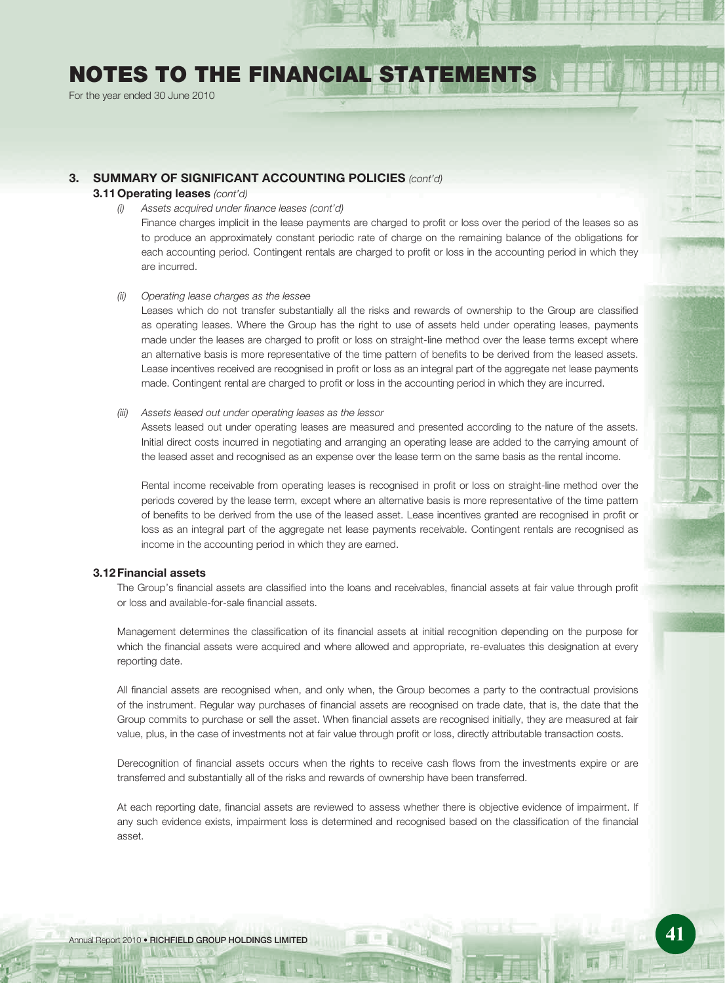For the year ended 30 June 2010

### **3. SUMMARY OF SIGNIFICANT ACCOUNTING POLICIES (cont'd)**

#### **3.11 Operating leases** (cont'd)

(i) Assets acquired under finance leases (cont'd)

Finance charges implicit in the lease payments are charged to profit or loss over the period of the leases so as to produce an approximately constant periodic rate of charge on the remaining balance of the obligations for each accounting period. Contingent rentals are charged to profit or loss in the accounting period in which they are incurred.

#### (ii) Operating lease charges as the lessee

Leases which do not transfer substantially all the risks and rewards of ownership to the Group are classified as operating leases. Where the Group has the right to use of assets held under operating leases, payments made under the leases are charged to profit or loss on straight-line method over the lease terms except where an alternative basis is more representative of the time pattern of benefits to be derived from the leased assets. Lease incentives received are recognised in profit or loss as an integral part of the aggregate net lease payments made. Contingent rental are charged to profit or loss in the accounting period in which they are incurred.

#### (iii) Assets leased out under operating leases as the lessor

Assets leased out under operating leases are measured and presented according to the nature of the assets. Initial direct costs incurred in negotiating and arranging an operating lease are added to the carrying amount of the leased asset and recognised as an expense over the lease term on the same basis as the rental income.

Rental income receivable from operating leases is recognised in profit or loss on straight-line method over the periods covered by the lease term, except where an alternative basis is more representative of the time pattern of benefits to be derived from the use of the leased asset. Lease incentives granted are recognised in profit or loss as an integral part of the aggregate net lease payments receivable. Contingent rentals are recognised as income in the accounting period in which they are earned.

#### **3.12 Financial assets**

The Group's financial assets are classified into the loans and receivables, financial assets at fair value through profit or loss and available-for-sale financial assets.

Management determines the classification of its financial assets at initial recognition depending on the purpose for which the financial assets were acquired and where allowed and appropriate, re-evaluates this designation at every reporting date.

All financial assets are recognised when, and only when, the Group becomes a party to the contractual provisions of the instrument. Regular way purchases of financial assets are recognised on trade date, that is, the date that the Group commits to purchase or sell the asset. When financial assets are recognised initially, they are measured at fair value, plus, in the case of investments not at fair value through profit or loss, directly attributable transaction costs.

Derecognition of financial assets occurs when the rights to receive cash flows from the investments expire or are transferred and substantially all of the risks and rewards of ownership have been transferred.

At each reporting date, financial assets are reviewed to assess whether there is objective evidence of impairment. If any such evidence exists, impairment loss is determined and recognised based on the classification of the financial asset.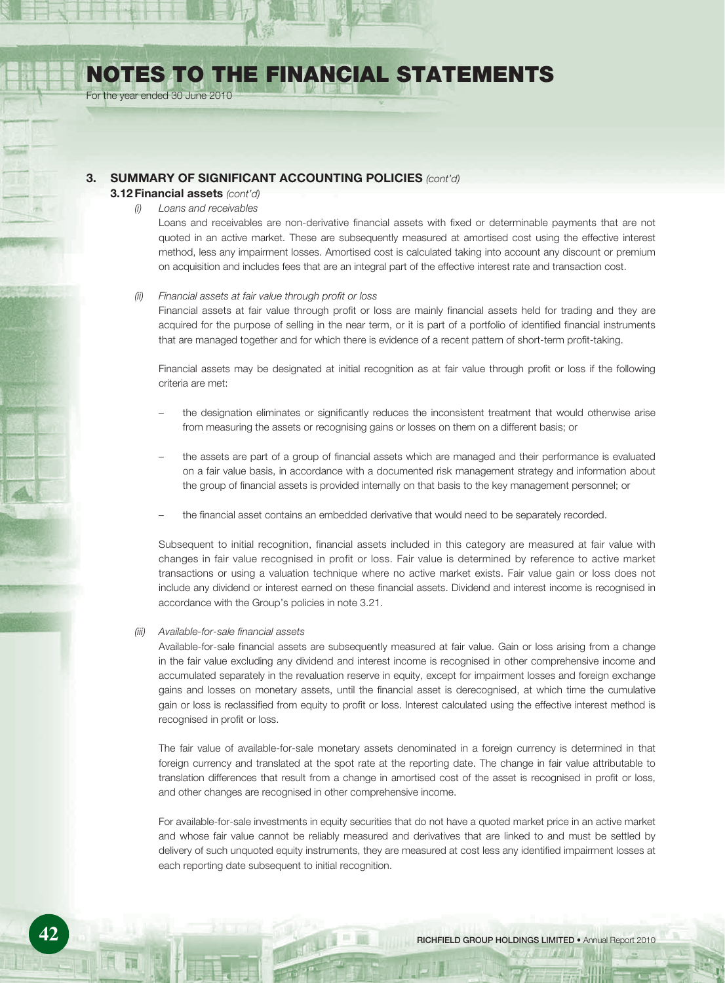For the year ended 30 June 2010

## **3. SUMMARY OF SIGNIFICANT ACCOUNTING POLICIES** (cont'd)

#### **3.12 Financial assets** (cont'd)

(i) Loans and receivables

Loans and receivables are non-derivative financial assets with fixed or determinable payments that are not quoted in an active market. These are subsequently measured at amortised cost using the effective interest method, less any impairment losses. Amortised cost is calculated taking into account any discount or premium on acquisition and includes fees that are an integral part of the effective interest rate and transaction cost.

#### (ii) Financial assets at fair value through profit or loss

Financial assets at fair value through profit or loss are mainly financial assets held for trading and they are acquired for the purpose of selling in the near term, or it is part of a portfolio of identified financial instruments that are managed together and for which there is evidence of a recent pattern of short-term profit-taking.

Financial assets may be designated at initial recognition as at fair value through profit or loss if the following criteria are met:

- the designation eliminates or significantly reduces the inconsistent treatment that would otherwise arise from measuring the assets or recognising gains or losses on them on a different basis; or
- the assets are part of a group of financial assets which are managed and their performance is evaluated on a fair value basis, in accordance with a documented risk management strategy and information about the group of financial assets is provided internally on that basis to the key management personnel; or
- the financial asset contains an embedded derivative that would need to be separately recorded.

Subsequent to initial recognition, financial assets included in this category are measured at fair value with changes in fair value recognised in profit or loss. Fair value is determined by reference to active market transactions or using a valuation technique where no active market exists. Fair value gain or loss does not include any dividend or interest earned on these financial assets. Dividend and interest income is recognised in accordance with the Group's policies in note 3.21.

#### (iii) Available-for-sale financial assets

Available-for-sale financial assets are subsequently measured at fair value. Gain or loss arising from a change in the fair value excluding any dividend and interest income is recognised in other comprehensive income and accumulated separately in the revaluation reserve in equity, except for impairment losses and foreign exchange gains and losses on monetary assets, until the financial asset is derecognised, at which time the cumulative gain or loss is reclassified from equity to profit or loss. Interest calculated using the effective interest method is recognised in profit or loss.

The fair value of available-for-sale monetary assets denominated in a foreign currency is determined in that foreign currency and translated at the spot rate at the reporting date. The change in fair value attributable to translation differences that result from a change in amortised cost of the asset is recognised in profit or loss, and other changes are recognised in other comprehensive income.

For available-for-sale investments in equity securities that do not have a quoted market price in an active market and whose fair value cannot be reliably measured and derivatives that are linked to and must be settled by delivery of such unquoted equity instruments, they are measured at cost less any identified impairment losses at each reporting date subsequent to initial recognition.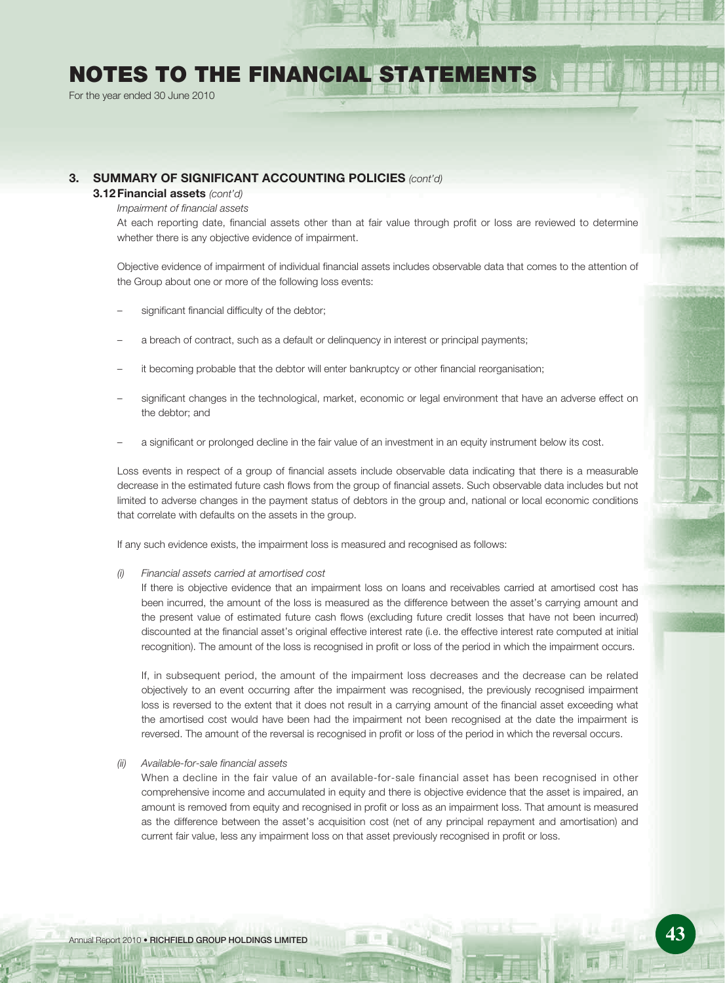For the year ended 30 June 2010

### **3. SUMMARY OF SIGNIFICANT ACCOUNTING POLICIES (cont'd)**

#### **3.12 Financial assets** (cont'd)

#### Impairment of financial assets

At each reporting date, financial assets other than at fair value through profit or loss are reviewed to determine whether there is any objective evidence of impairment.

Objective evidence of impairment of individual financial assets includes observable data that comes to the attention of the Group about one or more of the following loss events:

- significant financial difficulty of the debtor;
- a breach of contract, such as a default or delinquency in interest or principal payments;
- it becoming probable that the debtor will enter bankruptcy or other financial reorganisation;
- significant changes in the technological, market, economic or legal environment that have an adverse effect on the debtor; and
- a significant or prolonged decline in the fair value of an investment in an equity instrument below its cost.

Loss events in respect of a group of financial assets include observable data indicating that there is a measurable decrease in the estimated future cash flows from the group of financial assets. Such observable data includes but not limited to adverse changes in the payment status of debtors in the group and, national or local economic conditions that correlate with defaults on the assets in the group.

If any such evidence exists, the impairment loss is measured and recognised as follows:

#### (i) Financial assets carried at amortised cost

If there is objective evidence that an impairment loss on loans and receivables carried at amortised cost has been incurred, the amount of the loss is measured as the difference between the asset's carrying amount and the present value of estimated future cash flows (excluding future credit losses that have not been incurred) discounted at the financial asset's original effective interest rate (i.e. the effective interest rate computed at initial recognition). The amount of the loss is recognised in profit or loss of the period in which the impairment occurs.

If, in subsequent period, the amount of the impairment loss decreases and the decrease can be related objectively to an event occurring after the impairment was recognised, the previously recognised impairment loss is reversed to the extent that it does not result in a carrying amount of the financial asset exceeding what the amortised cost would have been had the impairment not been recognised at the date the impairment is reversed. The amount of the reversal is recognised in profit or loss of the period in which the reversal occurs.

Available-for-sale financial assets

When a decline in the fair value of an available-for-sale financial asset has been recognised in other comprehensive income and accumulated in equity and there is objective evidence that the asset is impaired, an amount is removed from equity and recognised in profit or loss as an impairment loss. That amount is measured as the difference between the asset's acquisition cost (net of any principal repayment and amortisation) and current fair value, less any impairment loss on that asset previously recognised in profit or loss.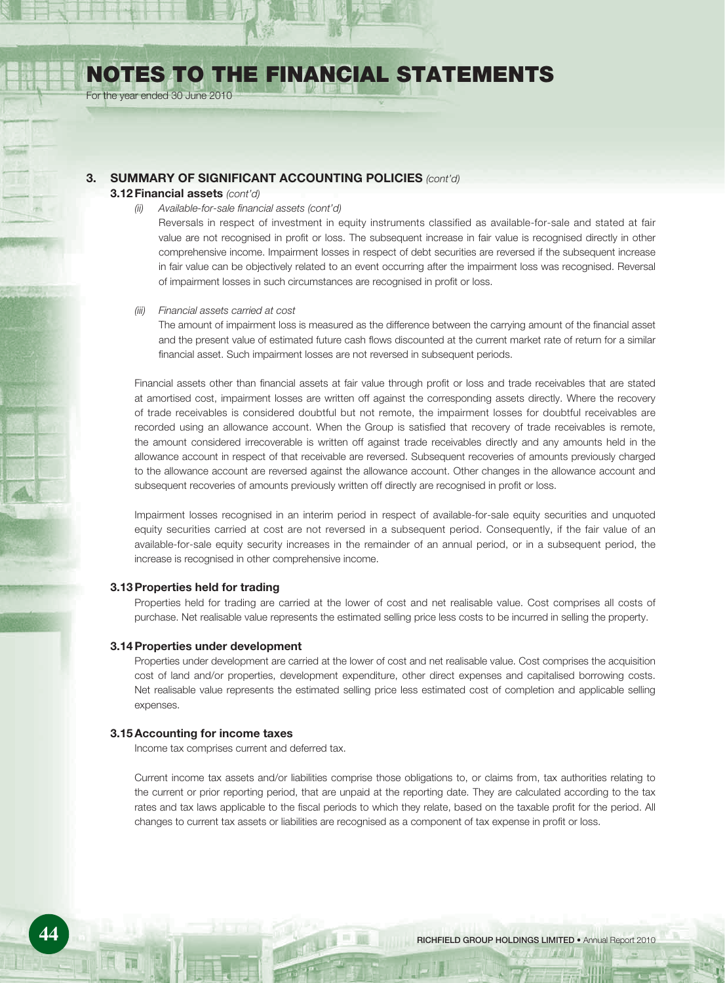For the year ended 30 June 2010

## **3. SUMMARY OF SIGNIFICANT ACCOUNTING POLICIES** (cont'd)

#### **3.12 Financial assets** (cont'd)

#### (ii) Available-for-sale financial assets (cont'd)

Reversals in respect of investment in equity instruments classified as available-for-sale and stated at fair value are not recognised in profit or loss. The subsequent increase in fair value is recognised directly in other comprehensive income. Impairment losses in respect of debt securities are reversed if the subsequent increase in fair value can be objectively related to an event occurring after the impairment loss was recognised. Reversal of impairment losses in such circumstances are recognised in profit or loss.

#### Financial assets carried at cost

The amount of impairment loss is measured as the difference between the carrying amount of the financial asset and the present value of estimated future cash flows discounted at the current market rate of return for a similar financial asset. Such impairment losses are not reversed in subsequent periods.

Financial assets other than financial assets at fair value through profit or loss and trade receivables that are stated at amortised cost, impairment losses are written off against the corresponding assets directly. Where the recovery of trade receivables is considered doubtful but not remote, the impairment losses for doubtful receivables are recorded using an allowance account. When the Group is satisfied that recovery of trade receivables is remote, the amount considered irrecoverable is written off against trade receivables directly and any amounts held in the allowance account in respect of that receivable are reversed. Subsequent recoveries of amounts previously charged to the allowance account are reversed against the allowance account. Other changes in the allowance account and subsequent recoveries of amounts previously written off directly are recognised in profit or loss.

Impairment losses recognised in an interim period in respect of available-for-sale equity securities and unquoted equity securities carried at cost are not reversed in a subsequent period. Consequently, if the fair value of an available-for-sale equity security increases in the remainder of an annual period, or in a subsequent period, the increase is recognised in other comprehensive income.

#### **3.13 Properties held for trading**

Properties held for trading are carried at the lower of cost and net realisable value. Cost comprises all costs of purchase. Net realisable value represents the estimated selling price less costs to be incurred in selling the property.

#### **3.14 Properties under development**

Properties under development are carried at the lower of cost and net realisable value. Cost comprises the acquisition cost of land and/or properties, development expenditure, other direct expenses and capitalised borrowing costs. Net realisable value represents the estimated selling price less estimated cost of completion and applicable selling expenses.

#### **3.15 Accounting for income taxes**

Income tax comprises current and deferred tax.

Current income tax assets and/or liabilities comprise those obligations to, or claims from, tax authorities relating to the current or prior reporting period, that are unpaid at the reporting date. They are calculated according to the tax rates and tax laws applicable to the fiscal periods to which they relate, based on the taxable profit for the period. All changes to current tax assets or liabilities are recognised as a component of tax expense in profit or loss.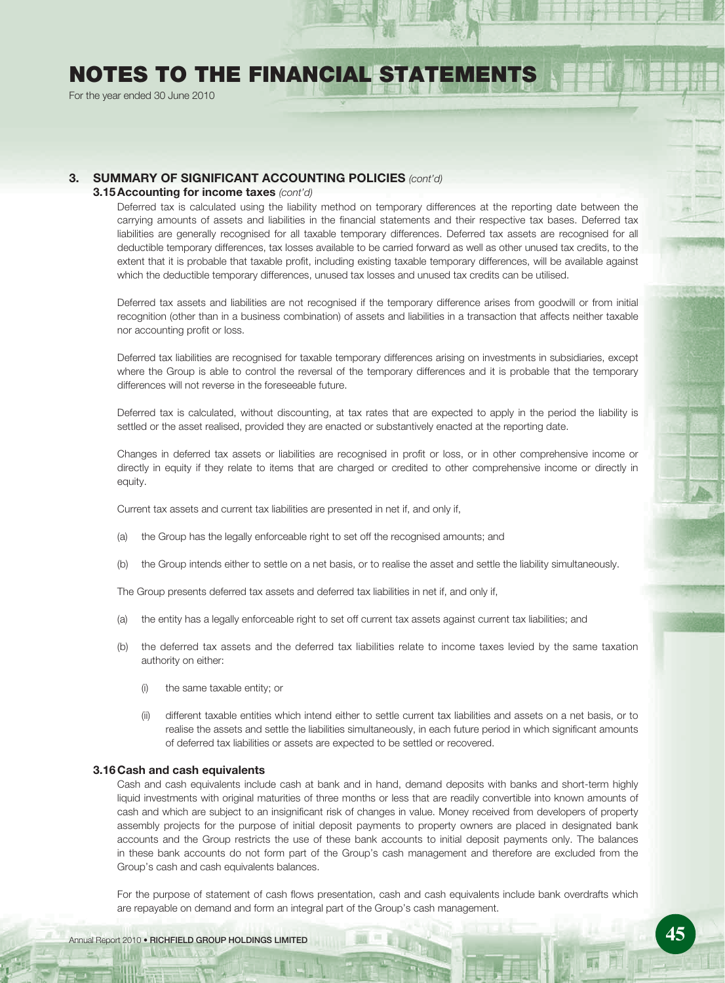For the year ended 30 June 2010

## **3. SUMMARY OF SIGNIFICANT ACCOUNTING POLICIES (cont'd)**

#### **3.15 Accounting for income taxes (cont'd)**

Deferred tax is calculated using the liability method on temporary differences at the reporting date between the carrying amounts of assets and liabilities in the financial statements and their respective tax bases. Deferred tax liabilities are generally recognised for all taxable temporary differences. Deferred tax assets are recognised for all deductible temporary differences, tax losses available to be carried forward as well as other unused tax credits, to the extent that it is probable that taxable profit, including existing taxable temporary differences, will be available against which the deductible temporary differences, unused tax losses and unused tax credits can be utilised.

Deferred tax assets and liabilities are not recognised if the temporary difference arises from goodwill or from initial recognition (other than in a business combination) of assets and liabilities in a transaction that affects neither taxable nor accounting profit or loss.

Deferred tax liabilities are recognised for taxable temporary differences arising on investments in subsidiaries, except where the Group is able to control the reversal of the temporary differences and it is probable that the temporary differences will not reverse in the foreseeable future.

Deferred tax is calculated, without discounting, at tax rates that are expected to apply in the period the liability is settled or the asset realised, provided they are enacted or substantively enacted at the reporting date.

Changes in deferred tax assets or liabilities are recognised in profit or loss, or in other comprehensive income or directly in equity if they relate to items that are charged or credited to other comprehensive income or directly in equity.

Current tax assets and current tax liabilities are presented in net if, and only if,

- (a) the Group has the legally enforceable right to set off the recognised amounts; and
- (b) the Group intends either to settle on a net basis, or to realise the asset and settle the liability simultaneously.

The Group presents deferred tax assets and deferred tax liabilities in net if, and only if,

- (a) the entity has a legally enforceable right to set off current tax assets against current tax liabilities; and
- (b) the deferred tax assets and the deferred tax liabilities relate to income taxes levied by the same taxation authority on either:
	- (i) the same taxable entity; or
	- (ii) different taxable entities which intend either to settle current tax liabilities and assets on a net basis, or to realise the assets and settle the liabilities simultaneously, in each future period in which significant amounts of deferred tax liabilities or assets are expected to be settled or recovered.

#### **3.16 Cash and cash equivalents**

Cash and cash equivalents include cash at bank and in hand, demand deposits with banks and short-term highly liquid investments with original maturities of three months or less that are readily convertible into known amounts of cash and which are subject to an insignificant risk of changes in value. Money received from developers of property assembly projects for the purpose of initial deposit payments to property owners are placed in designated bank accounts and the Group restricts the use of these bank accounts to initial deposit payments only. The balances in these bank accounts do not form part of the Group's cash management and therefore are excluded from the Group's cash and cash equivalents balances.

For the purpose of statement of cash flows presentation, cash and cash equivalents include bank overdrafts which are repayable on demand and form an integral part of the Group's cash management.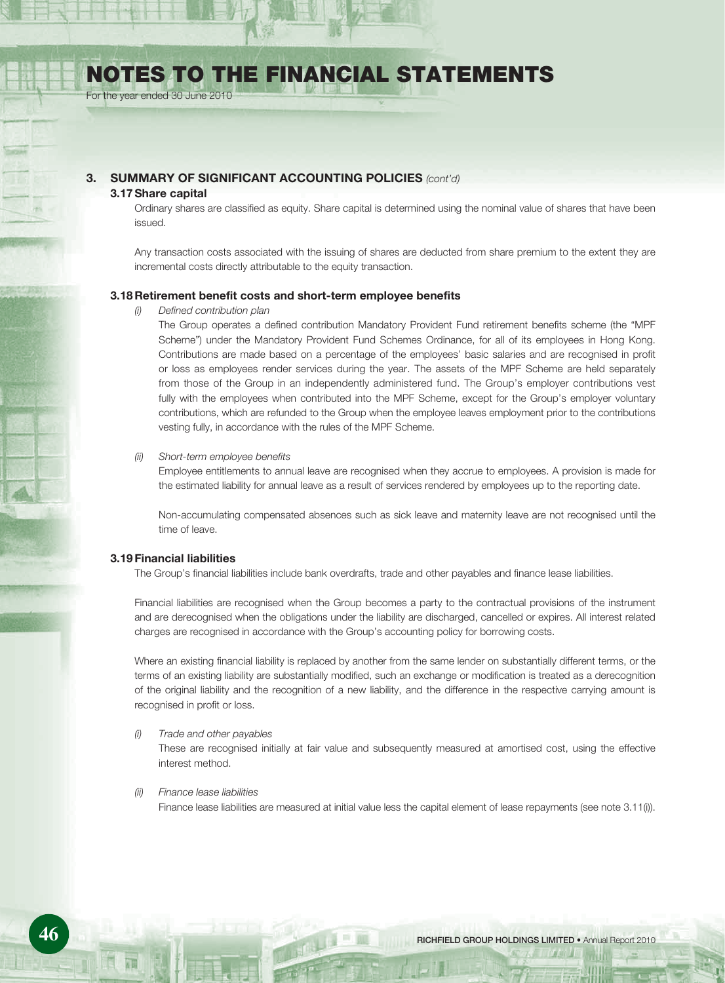For the year ended 30 June 2010

## **3. SUMMARY OF SIGNIFICANT ACCOUNTING POLICIES (cont'd)**

#### **3.17 Share capital**

Ordinary shares are classified as equity. Share capital is determined using the nominal value of shares that have been issued.

Any transaction costs associated with the issuing of shares are deducted from share premium to the extent they are incremental costs directly attributable to the equity transaction.

#### **3.18 Retirement benefit costs and short-term employee benefits**

(i) Defined contribution plan

The Group operates a defined contribution Mandatory Provident Fund retirement benefits scheme (the "MPF Scheme") under the Mandatory Provident Fund Schemes Ordinance, for all of its employees in Hong Kong. Contributions are made based on a percentage of the employees' basic salaries and are recognised in profit or loss as employees render services during the year. The assets of the MPF Scheme are held separately from those of the Group in an independently administered fund. The Group's employer contributions vest fully with the employees when contributed into the MPF Scheme, except for the Group's employer voluntary contributions, which are refunded to the Group when the employee leaves employment prior to the contributions vesting fully, in accordance with the rules of the MPF Scheme.

#### (ii) Short-term employee benefits

Employee entitlements to annual leave are recognised when they accrue to employees. A provision is made for the estimated liability for annual leave as a result of services rendered by employees up to the reporting date.

Non-accumulating compensated absences such as sick leave and maternity leave are not recognised until the time of leave.

#### **3.19 Financial liabilities**

The Group's financial liabilities include bank overdrafts, trade and other payables and finance lease liabilities.

Financial liabilities are recognised when the Group becomes a party to the contractual provisions of the instrument and are derecognised when the obligations under the liability are discharged, cancelled or expires. All interest related charges are recognised in accordance with the Group's accounting policy for borrowing costs.

Where an existing financial liability is replaced by another from the same lender on substantially different terms, or the terms of an existing liability are substantially modified, such an exchange or modification is treated as a derecognition of the original liability and the recognition of a new liability, and the difference in the respective carrying amount is recognised in profit or loss.

#### (i) Trade and other payables

These are recognised initially at fair value and subsequently measured at amortised cost, using the effective interest method.

**Finance lease liabilities** 

Finance lease liabilities are measured at initial value less the capital element of lease repayments (see note 3.11(i)).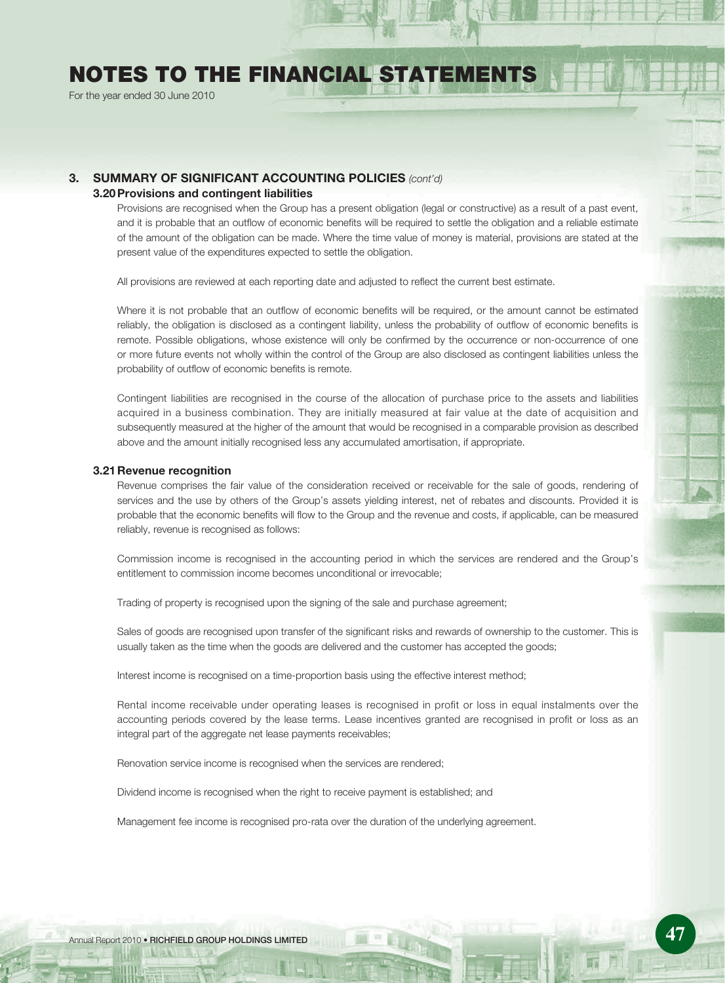For the year ended 30 June 2010

## **3. SUMMARY OF SIGNIFICANT ACCOUNTING POLICIES (cont'd)**

#### **3.20 Provisions and contingent liabilities**

Provisions are recognised when the Group has a present obligation (legal or constructive) as a result of a past event, and it is probable that an outflow of economic benefits will be required to settle the obligation and a reliable estimate of the amount of the obligation can be made. Where the time value of money is material, provisions are stated at the present value of the expenditures expected to settle the obligation.

All provisions are reviewed at each reporting date and adjusted to reflect the current best estimate.

Where it is not probable that an outflow of economic benefits will be required, or the amount cannot be estimated reliably, the obligation is disclosed as a contingent liability, unless the probability of outflow of economic benefits is remote. Possible obligations, whose existence will only be confirmed by the occurrence or non-occurrence of one or more future events not wholly within the control of the Group are also disclosed as contingent liabilities unless the probability of outflow of economic benefits is remote.

Contingent liabilities are recognised in the course of the allocation of purchase price to the assets and liabilities acquired in a business combination. They are initially measured at fair value at the date of acquisition and subsequently measured at the higher of the amount that would be recognised in a comparable provision as described above and the amount initially recognised less any accumulated amortisation, if appropriate.

#### **3.21 Revenue recognition**

Revenue comprises the fair value of the consideration received or receivable for the sale of goods, rendering of services and the use by others of the Group's assets yielding interest, net of rebates and discounts. Provided it is probable that the economic benefits will flow to the Group and the revenue and costs, if applicable, can be measured reliably, revenue is recognised as follows:

Commission income is recognised in the accounting period in which the services are rendered and the Group's entitlement to commission income becomes unconditional or irrevocable;

Trading of property is recognised upon the signing of the sale and purchase agreement;

Sales of goods are recognised upon transfer of the significant risks and rewards of ownership to the customer. This is usually taken as the time when the goods are delivered and the customer has accepted the goods;

Interest income is recognised on a time-proportion basis using the effective interest method;

Rental income receivable under operating leases is recognised in profit or loss in equal instalments over the accounting periods covered by the lease terms. Lease incentives granted are recognised in profit or loss as an integral part of the aggregate net lease payments receivables;

Renovation service income is recognised when the services are rendered;

Dividend income is recognised when the right to receive payment is established; and

Management fee income is recognised pro-rata over the duration of the underlying agreement.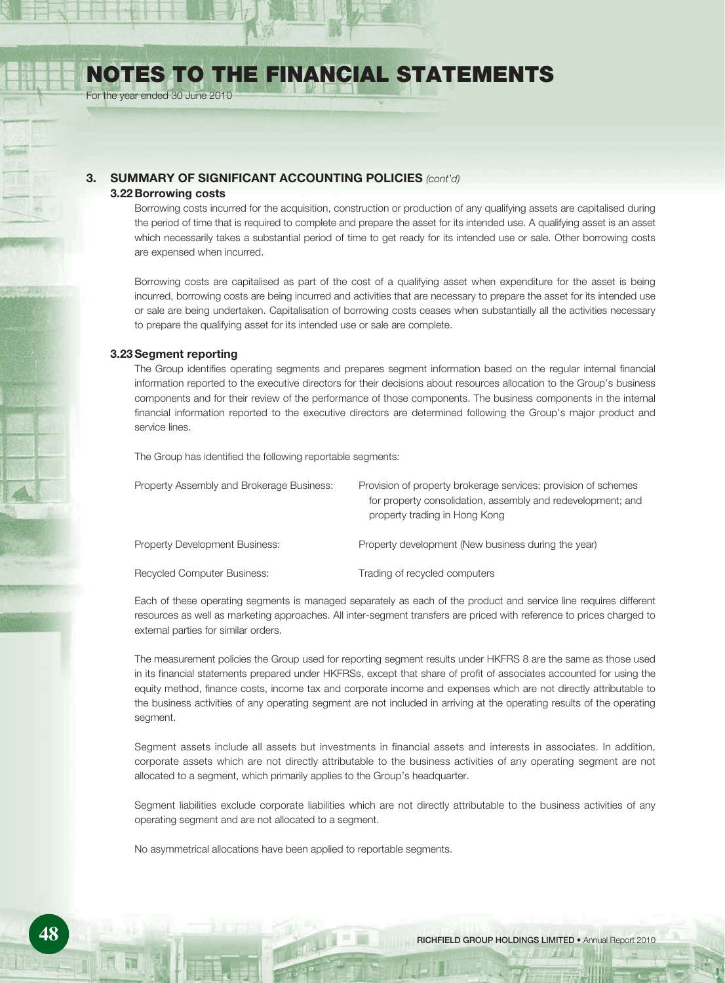For the year ended 30 June 2010

## **3. SUMMARY OF SIGNIFICANT ACCOUNTING POLICIES (cont'd)**

#### **3.22 Borrowing costs**

Borrowing costs incurred for the acquisition, construction or production of any qualifying assets are capitalised during the period of time that is required to complete and prepare the asset for its intended use. A qualifying asset is an asset which necessarily takes a substantial period of time to get ready for its intended use or sale. Other borrowing costs are expensed when incurred.

Borrowing costs are capitalised as part of the cost of a qualifying asset when expenditure for the asset is being incurred, borrowing costs are being incurred and activities that are necessary to prepare the asset for its intended use or sale are being undertaken. Capitalisation of borrowing costs ceases when substantially all the activities necessary to prepare the qualifying asset for its intended use or sale are complete.

#### **3.23 Segment reporting**

The Group identifies operating segments and prepares segment information based on the regular internal financial information reported to the executive directors for their decisions about resources allocation to the Group's business components and for their review of the performance of those components. The business components in the internal financial information reported to the executive directors are determined following the Group's major product and service lines.

The Group has identified the following reportable segments:

| Property Assembly and Brokerage Business: | Provision of property brokerage services; provision of schemes<br>for property consolidation, assembly and redevelopment; and<br>property trading in Hong Kong |
|-------------------------------------------|----------------------------------------------------------------------------------------------------------------------------------------------------------------|
| <b>Property Development Business:</b>     | Property development (New business during the year)                                                                                                            |
| <b>Recycled Computer Business:</b>        | Trading of recycled computers                                                                                                                                  |

Each of these operating segments is managed separately as each of the product and service line requires different resources as well as marketing approaches. All inter-segment transfers are priced with reference to prices charged to external parties for similar orders.

The measurement policies the Group used for reporting segment results under HKFRS 8 are the same as those used in its financial statements prepared under HKFRSs, except that share of profit of associates accounted for using the equity method, finance costs, income tax and corporate income and expenses which are not directly attributable to the business activities of any operating segment are not included in arriving at the operating results of the operating segment.

Segment assets include all assets but investments in financial assets and interests in associates. In addition, corporate assets which are not directly attributable to the business activities of any operating segment are not allocated to a segment, which primarily applies to the Group's headquarter.

Segment liabilities exclude corporate liabilities which are not directly attributable to the business activities of any operating segment and are not allocated to a segment.

No asymmetrical allocations have been applied to reportable segments.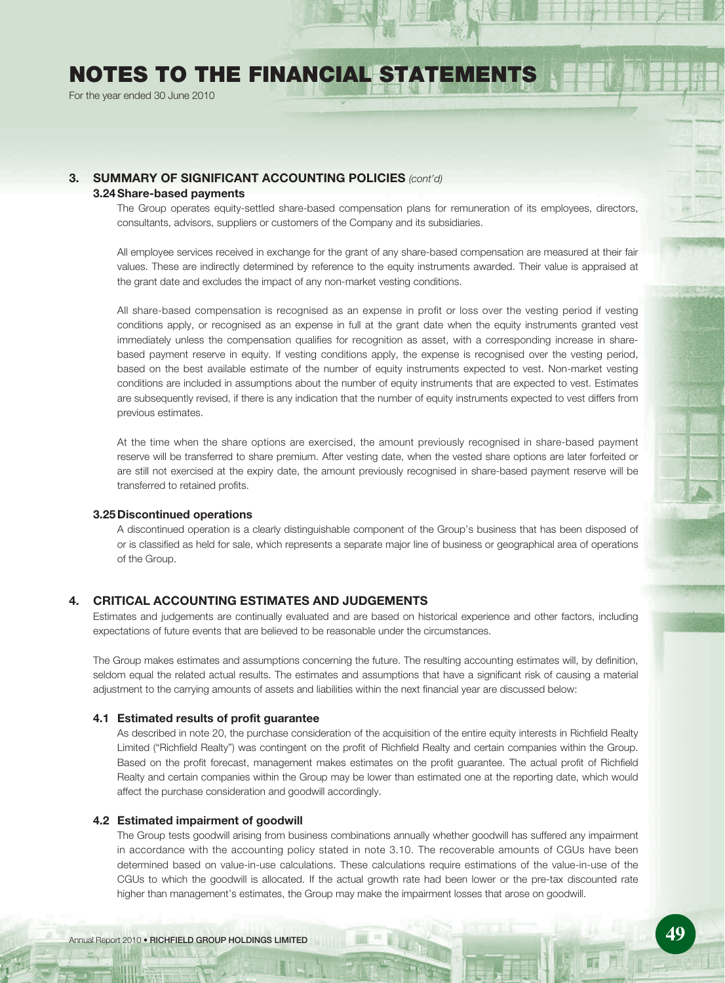For the year ended 30 June 2010

## **3. SUMMARY OF SIGNIFICANT ACCOUNTING POLICIES** (cont'd)

#### **3.24 Share-based payments**

The Group operates equity-settled share-based compensation plans for remuneration of its employees, directors, consultants, advisors, suppliers or customers of the Company and its subsidiaries.

All employee services received in exchange for the grant of any share-based compensation are measured at their fair values. These are indirectly determined by reference to the equity instruments awarded. Their value is appraised at the grant date and excludes the impact of any non-market vesting conditions.

All share-based compensation is recognised as an expense in profit or loss over the vesting period if vesting conditions apply, or recognised as an expense in full at the grant date when the equity instruments granted vest immediately unless the compensation qualifies for recognition as asset, with a corresponding increase in sharebased payment reserve in equity. If vesting conditions apply, the expense is recognised over the vesting period, based on the best available estimate of the number of equity instruments expected to vest. Non-market vesting conditions are included in assumptions about the number of equity instruments that are expected to vest. Estimates are subsequently revised, if there is any indication that the number of equity instruments expected to vest differs from previous estimates.

At the time when the share options are exercised, the amount previously recognised in share-based payment reserve will be transferred to share premium. After vesting date, when the vested share options are later forfeited or are still not exercised at the expiry date, the amount previously recognised in share-based payment reserve will be transferred to retained profits.

#### **3.25 Discontinued operations**

A discontinued operation is a clearly distinguishable component of the Group's business that has been disposed of or is classified as held for sale, which represents a separate major line of business or geographical area of operations of the Group.

#### **4. CRITICAL ACCOUNTING ESTIMATES AND JUDGEMENTS**

Estimates and judgements are continually evaluated and are based on historical experience and other factors, including expectations of future events that are believed to be reasonable under the circumstances.

The Group makes estimates and assumptions concerning the future. The resulting accounting estimates will, by definition, seldom equal the related actual results. The estimates and assumptions that have a significant risk of causing a material adjustment to the carrying amounts of assets and liabilities within the next financial year are discussed below:

#### **4.1 Estimated results of profit guarantee**

As described in note 20, the purchase consideration of the acquisition of the entire equity interests in Richfield Realty Limited ("Richfield Realty") was contingent on the profit of Richfield Realty and certain companies within the Group. Based on the profit forecast, management makes estimates on the profit guarantee. The actual profit of Richfield Realty and certain companies within the Group may be lower than estimated one at the reporting date, which would affect the purchase consideration and goodwill accordingly.

#### **4.2 Estimated impairment of goodwill**

The Group tests goodwill arising from business combinations annually whether goodwill has suffered any impairment in accordance with the accounting policy stated in note 3.10. The recoverable amounts of CGUs have been determined based on value-in-use calculations. These calculations require estimations of the value-in-use of the CGUs to which the goodwill is allocated. If the actual growth rate had been lower or the pre-tax discounted rate higher than management's estimates, the Group may make the impairment losses that arose on goodwill.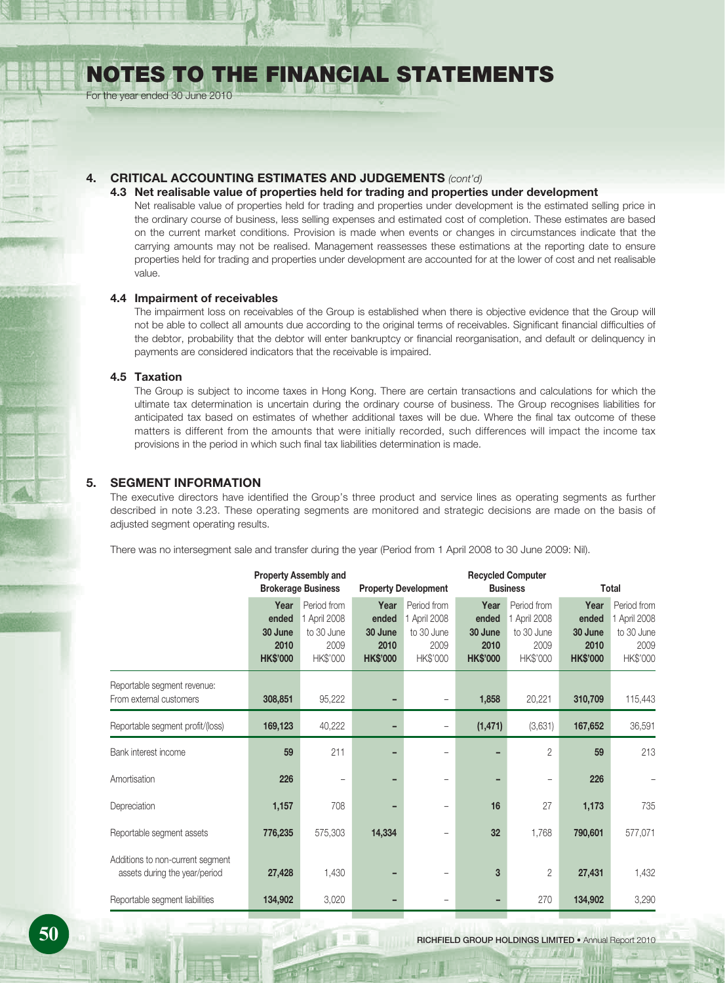For the year ended 30 June 2010

## **CRITICAL ACCOUNTING ESTIMATES AND JUDGEMENTS (cont'd)**

#### **4.3 Net realisable value of properties held for trading and properties under development**

Net realisable value of properties held for trading and properties under development is the estimated selling price in the ordinary course of business, less selling expenses and estimated cost of completion. These estimates are based on the current market conditions. Provision is made when events or changes in circumstances indicate that the carrying amounts may not be realised. Management reassesses these estimations at the reporting date to ensure properties held for trading and properties under development are accounted for at the lower of cost and net realisable value.

#### **4.4 Impairment of receivables**

The impairment loss on receivables of the Group is established when there is objective evidence that the Group will not be able to collect all amounts due according to the original terms of receivables. Significant financial difficulties of the debtor, probability that the debtor will enter bankruptcy or financial reorganisation, and default or delinquency in payments are considered indicators that the receivable is impaired.

#### **4.5 Taxation**

The Group is subject to income taxes in Hong Kong. There are certain transactions and calculations for which the ultimate tax determination is uncertain during the ordinary course of business. The Group recognises liabilities for anticipated tax based on estimates of whether additional taxes will be due. Where the final tax outcome of these matters is different from the amounts that were initially recorded, such differences will impact the income tax provisions in the period in which such final tax liabilities determination is made.

## **5. SEGMENT INFORMATION**

The executive directors have identified the Group's three product and service lines as operating segments as further described in note 3.23. These operating segments are monitored and strategic decisions are made on the basis of adjusted segment operating results.

There was no intersegment sale and transfer during the year (Period from 1 April 2008 to 30 June 2009: Nil).

|                                                                   |                                                     | <b>Property Assembly and</b><br><b>Brokerage Business</b>     |                                                     | <b>Property Development</b>                                   | <b>Recycled Computer</b><br><b>Business</b>         |                                                               | Total                                               |                                                               |
|-------------------------------------------------------------------|-----------------------------------------------------|---------------------------------------------------------------|-----------------------------------------------------|---------------------------------------------------------------|-----------------------------------------------------|---------------------------------------------------------------|-----------------------------------------------------|---------------------------------------------------------------|
|                                                                   | Year<br>ended<br>30 June<br>2010<br><b>HK\$'000</b> | Period from<br>1 April 2008<br>to 30 June<br>2009<br>HK\$'000 | Year<br>ended<br>30 June<br>2010<br><b>HK\$'000</b> | Period from<br>1 April 2008<br>to 30 June<br>2009<br>HK\$'000 | Year<br>ended<br>30 June<br>2010<br><b>HK\$'000</b> | Period from<br>1 April 2008<br>to 30 June<br>2009<br>HK\$'000 | Year<br>ended<br>30 June<br>2010<br><b>HK\$'000</b> | Period from<br>1 April 2008<br>to 30 June<br>2009<br>HK\$'000 |
| Reportable segment revenue:<br>From external customers            | 308,851                                             | 95,222                                                        |                                                     |                                                               | 1,858                                               | 20,221                                                        | 310,709                                             | 115,443                                                       |
| Reportable segment profit/(loss)                                  | 169,123                                             | 40,222                                                        |                                                     |                                                               | (1, 471)                                            | (3,631)                                                       | 167,652                                             | 36,591                                                        |
| Bank interest income                                              | 59                                                  | 211                                                           |                                                     |                                                               |                                                     | $\overline{2}$                                                | 59                                                  | 213                                                           |
| Amortisation                                                      | 226                                                 |                                                               |                                                     |                                                               |                                                     |                                                               | 226                                                 |                                                               |
| Depreciation                                                      | 1,157                                               | 708                                                           |                                                     |                                                               | 16                                                  | 27                                                            | 1,173                                               | 735                                                           |
| Reportable segment assets                                         | 776,235                                             | 575,303                                                       | 14,334                                              |                                                               | 32                                                  | 1,768                                                         | 790,601                                             | 577,071                                                       |
| Additions to non-current segment<br>assets during the year/period | 27,428                                              | 1,430                                                         |                                                     |                                                               | 3                                                   | 2                                                             | 27,431                                              | 1,432                                                         |
| Reportable segment liabilities                                    | 134,902                                             | 3,020                                                         |                                                     |                                                               |                                                     | 270                                                           | 134,902                                             | 3,290                                                         |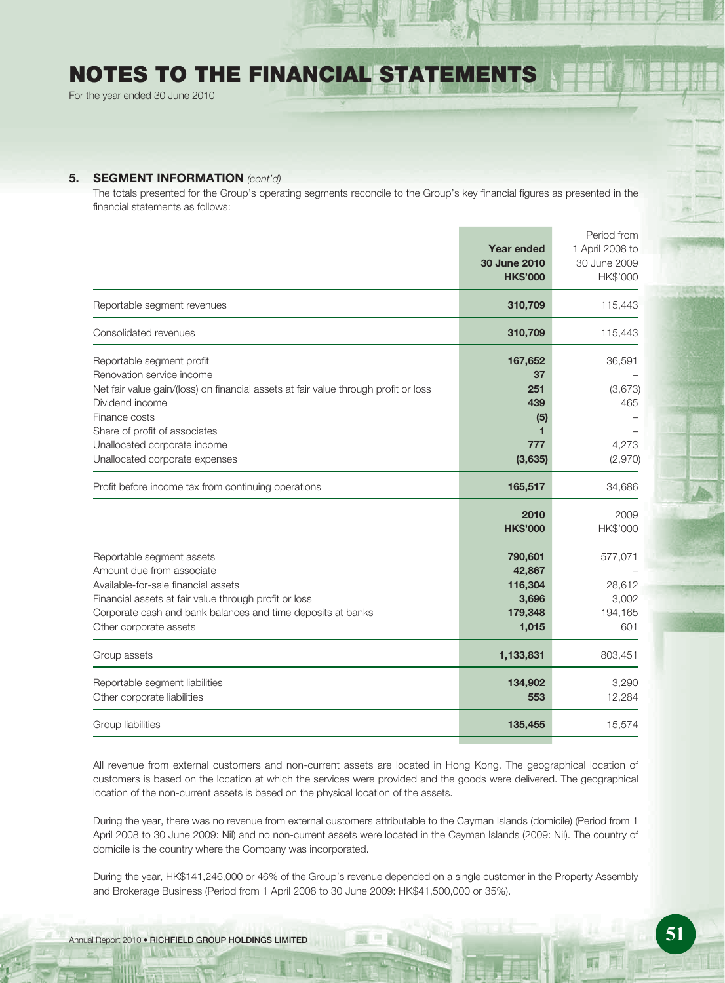For the year ended 30 June 2010

#### **5. SEGMENT INFORMATION** (cont'd)

The totals presented for the Group's operating segments reconcile to the Group's key financial figures as presented in the financial statements as follows:

|                                                                                                                                                                                                                                                                                      | Year ended<br>30 June 2010<br><b>HK\$'000</b>             | Period from<br>1 April 2008 to<br>30 June 2009<br>HK\$'000 |
|--------------------------------------------------------------------------------------------------------------------------------------------------------------------------------------------------------------------------------------------------------------------------------------|-----------------------------------------------------------|------------------------------------------------------------|
| Reportable segment revenues                                                                                                                                                                                                                                                          | 310,709                                                   | 115,443                                                    |
| Consolidated revenues                                                                                                                                                                                                                                                                | 310,709                                                   | 115,443                                                    |
| Reportable segment profit<br>Renovation service income<br>Net fair value gain/(loss) on financial assets at fair value through profit or loss<br>Dividend income<br>Finance costs<br>Share of profit of associates<br>Unallocated corporate income<br>Unallocated corporate expenses | 167,652<br>37<br>251<br>439<br>(5)<br>1<br>777<br>(3,635) | 36,591<br>(3,673)<br>465<br>4,273<br>(2,970)               |
| Profit before income tax from continuing operations                                                                                                                                                                                                                                  | 165,517                                                   | 34,686                                                     |
|                                                                                                                                                                                                                                                                                      | 2010<br><b>HK\$'000</b>                                   | 2009<br>HK\$'000                                           |
| Reportable segment assets<br>Amount due from associate<br>Available-for-sale financial assets<br>Financial assets at fair value through profit or loss<br>Corporate cash and bank balances and time deposits at banks<br>Other corporate assets                                      | 790,601<br>42,867<br>116,304<br>3,696<br>179,348<br>1,015 | 577,071<br>28,612<br>3,002<br>194,165<br>601               |
| Group assets                                                                                                                                                                                                                                                                         | 1,133,831                                                 | 803,451                                                    |
| Reportable segment liabilities<br>Other corporate liabilities                                                                                                                                                                                                                        | 134,902<br>553                                            | 3,290<br>12,284                                            |
| Group liabilities                                                                                                                                                                                                                                                                    | 135,455                                                   | 15,574                                                     |

All revenue from external customers and non-current assets are located in Hong Kong. The geographical location of customers is based on the location at which the services were provided and the goods were delivered. The geographical location of the non-current assets is based on the physical location of the assets.

During the year, there was no revenue from external customers attributable to the Cayman Islands (domicile) (Period from 1 April 2008 to 30 June 2009: Nil) and no non-current assets were located in the Cayman Islands (2009: Nil). The country of domicile is the country where the Company was incorporated.

During the year, HK\$141,246,000 or 46% of the Group's revenue depended on a single customer in the Property Assembly and Brokerage Business (Period from 1 April 2008 to 30 June 2009: HK\$41,500,000 or 35%).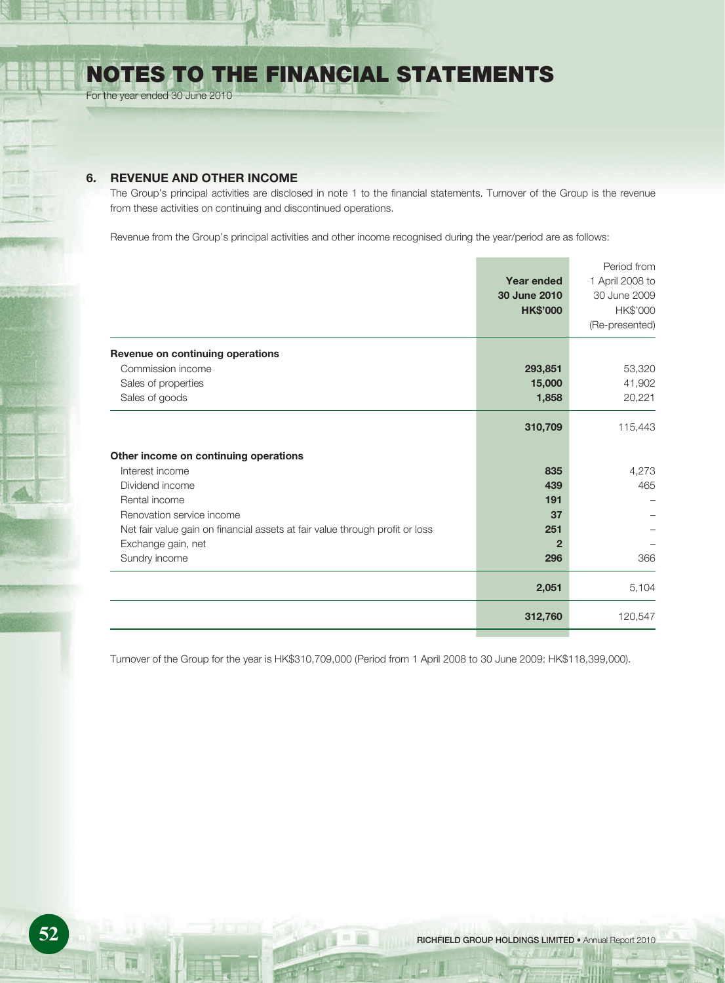For the year ended 30 June 2010

## **6. REVENUE AND OTHER INCOME**

The Group's principal activities are disclosed in note 1 to the financial statements. Turnover of the Group is the revenue from these activities on continuing and discontinued operations.

Revenue from the Group's principal activities and other income recognised during the year/period are as follows:

|                                                                              | Year ended<br>30 June 2010<br><b>HK\$'000</b> | Period from<br>1 April 2008 to<br>30 June 2009<br>HK\$'000<br>(Re-presented) |
|------------------------------------------------------------------------------|-----------------------------------------------|------------------------------------------------------------------------------|
| Revenue on continuing operations                                             |                                               |                                                                              |
| Commission income                                                            | 293,851                                       | 53,320                                                                       |
| Sales of properties                                                          | 15,000                                        | 41,902                                                                       |
| Sales of goods                                                               | 1,858                                         | 20,221                                                                       |
|                                                                              | 310,709                                       | 115,443                                                                      |
| Other income on continuing operations                                        |                                               |                                                                              |
| Interest income                                                              | 835                                           | 4,273                                                                        |
| Dividend income                                                              | 439                                           | 465                                                                          |
| Rental income                                                                | 191                                           |                                                                              |
| Renovation service income                                                    | 37                                            |                                                                              |
| Net fair value gain on financial assets at fair value through profit or loss | 251                                           |                                                                              |
| Exchange gain, net                                                           | $\mathbf{2}$                                  |                                                                              |
| Sundry income                                                                | 296                                           | 366                                                                          |
|                                                                              | 2,051                                         | 5,104                                                                        |
|                                                                              | 312,760                                       | 120,547                                                                      |

Turnover of the Group for the year is HK\$310,709,000 (Period from 1 April 2008 to 30 June 2009: HK\$118,399,000).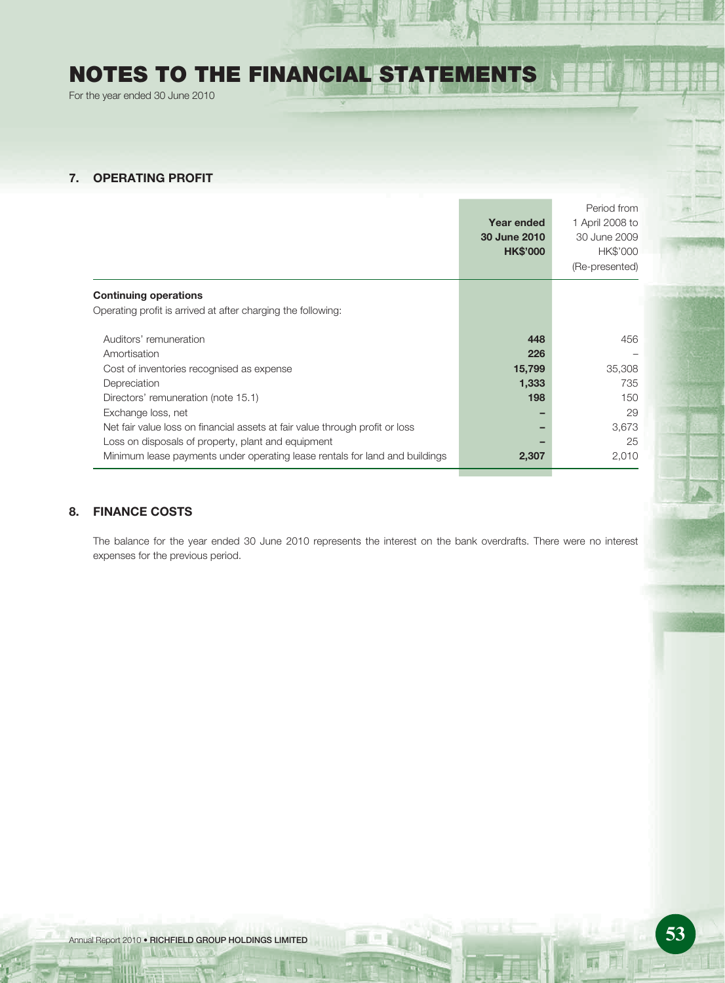For the year ended 30 June 2010

## **7. OPERATING PROFIT**

|                                                                              | Year ended<br>30 June 2010<br><b>HK\$'000</b> | Period from<br>1 April 2008 to<br>30 June 2009<br>HK\$'000<br>(Re-presented) |
|------------------------------------------------------------------------------|-----------------------------------------------|------------------------------------------------------------------------------|
| <b>Continuing operations</b>                                                 |                                               |                                                                              |
| Operating profit is arrived at after charging the following:                 |                                               |                                                                              |
| Auditors' remuneration                                                       | 448                                           | 456                                                                          |
| Amortisation                                                                 | 226                                           |                                                                              |
| Cost of inventories recognised as expense                                    | 15,799                                        | 35,308                                                                       |
| Depreciation                                                                 | 1,333                                         | 735                                                                          |
| Directors' remuneration (note 15.1)                                          | 198                                           | 150                                                                          |
| Exchange loss, net                                                           |                                               | 29                                                                           |
| Net fair value loss on financial assets at fair value through profit or loss |                                               | 3,673                                                                        |
| Loss on disposals of property, plant and equipment                           |                                               | 25                                                                           |
| Minimum lease payments under operating lease rentals for land and buildings  | 2,307                                         | 2,010                                                                        |

## **8. FINANCE COSTS**

The balance for the year ended 30 June 2010 represents the interest on the bank overdrafts. There were no interest expenses for the previous period.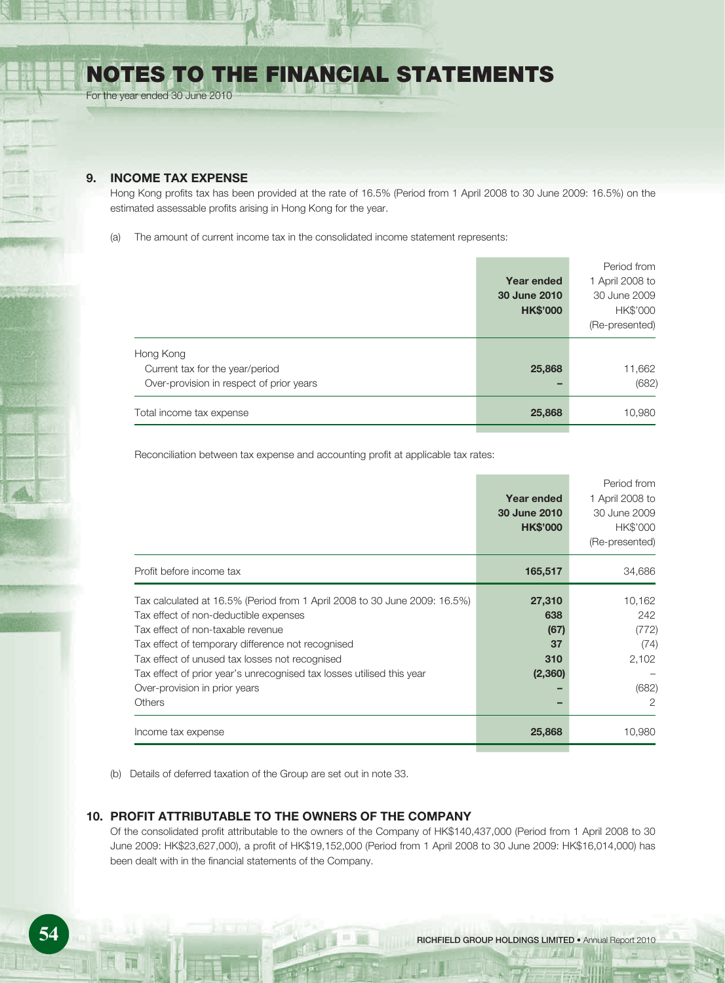## **9. INCOME TAX EXPENSE**

Hong Kong profits tax has been provided at the rate of 16.5% (Period from 1 April 2008 to 30 June 2009: 16.5%) on the estimated assessable profits arising in Hong Kong for the year.

(a) The amount of current income tax in the consolidated income statement represents:

|                                          |                 | Period from     |
|------------------------------------------|-----------------|-----------------|
|                                          | Year ended      | 1 April 2008 to |
|                                          | 30 June 2010    | 30 June 2009    |
|                                          | <b>HK\$'000</b> | HK\$'000        |
|                                          |                 | (Re-presented)  |
| Hong Kong                                |                 |                 |
| Current tax for the year/period          | 25,868          | 11,662          |
| Over-provision in respect of prior years |                 | (682)           |
| Total income tax expense                 | 25,868          | 10,980          |
|                                          |                 |                 |

Reconciliation between tax expense and accounting profit at applicable tax rates:

|                                                                           | Year ended<br>30 June 2010<br><b>HK\$'000</b> | Period from<br>1 April 2008 to<br>30 June 2009<br>HK\$'000<br>(Re-presented) |
|---------------------------------------------------------------------------|-----------------------------------------------|------------------------------------------------------------------------------|
| Profit before income tax                                                  | 165,517                                       | 34,686                                                                       |
| Tax calculated at 16.5% (Period from 1 April 2008 to 30 June 2009: 16.5%) | 27,310                                        | 10,162                                                                       |
| Tax effect of non-deductible expenses                                     | 638                                           | 242                                                                          |
| Tax effect of non-taxable revenue                                         | (67)                                          | (772)                                                                        |
| Tax effect of temporary difference not recognised                         | 37                                            | (74)                                                                         |
| Tax effect of unused tax losses not recognised                            | 310                                           | 2,102                                                                        |
| Tax effect of prior year's unrecognised tax losses utilised this year     | (2,360)                                       |                                                                              |
| Over-provision in prior years                                             |                                               | (682)                                                                        |
| <b>Others</b>                                                             |                                               | 2                                                                            |
| Income tax expense                                                        | 25,868                                        | 10,980                                                                       |

(b) Details of deferred taxation of the Group are set out in note 33.

#### **10. PROFIT ATTRIBUTABLE TO THE OWNERS OF THE COMPANY**

Of the consolidated profit attributable to the owners of the Company of HK\$140,437,000 (Period from 1 April 2008 to 30 June 2009: HK\$23,627,000), a profit of HK\$19,152,000 (Period from 1 April 2008 to 30 June 2009: HK\$16,014,000) has been dealt with in the financial statements of the Company.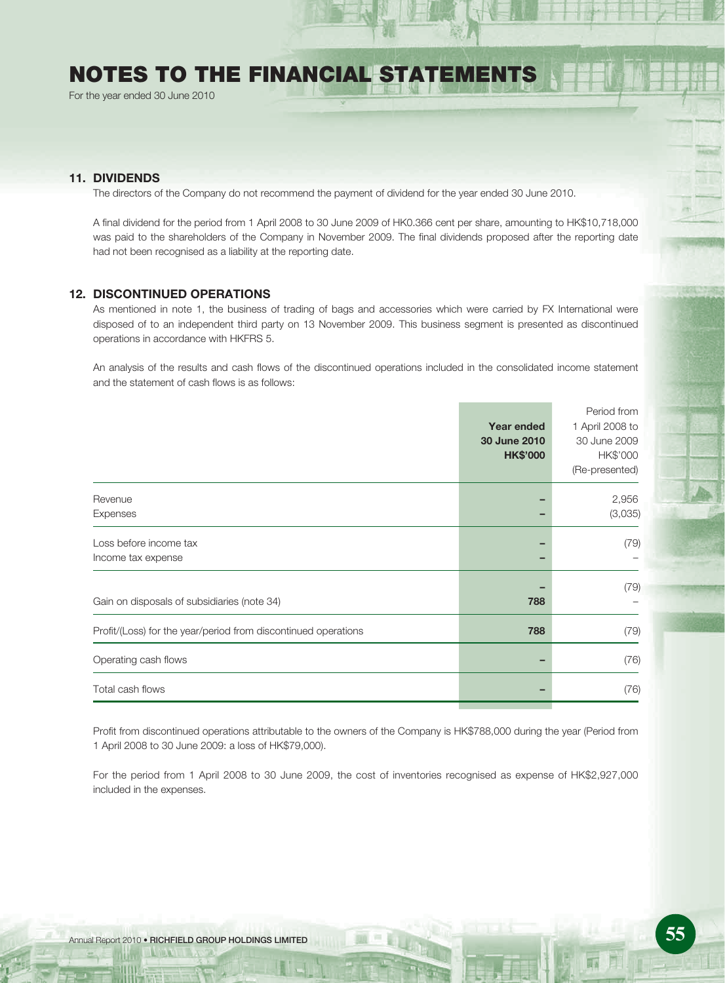For the year ended 30 June 2010

## **11. DIVIDENDS**

The directors of the Company do not recommend the payment of dividend for the year ended 30 June 2010.

A final dividend for the period from 1 April 2008 to 30 June 2009 of HK0.366 cent per share, amounting to HK\$10,718,000 was paid to the shareholders of the Company in November 2009. The final dividends proposed after the reporting date had not been recognised as a liability at the reporting date.

## **12. DISCONTINUED OPERATIONS**

As mentioned in note 1, the business of trading of bags and accessories which were carried by FX International were disposed of to an independent third party on 13 November 2009. This business segment is presented as discontinued operations in accordance with HKFRS 5.

An analysis of the results and cash flows of the discontinued operations included in the consolidated income statement and the statement of cash flows is as follows:

|                                                                | <b>Year ended</b><br>30 June 2010<br><b>HK\$'000</b> | Period from<br>1 April 2008 to<br>30 June 2009<br>HK\$'000<br>(Re-presented) |
|----------------------------------------------------------------|------------------------------------------------------|------------------------------------------------------------------------------|
| Revenue<br>Expenses                                            |                                                      | 2,956<br>(3,035)                                                             |
| Loss before income tax<br>Income tax expense                   |                                                      | (79)                                                                         |
| Gain on disposals of subsidiaries (note 34)                    | 788                                                  | (79)                                                                         |
| Profit/(Loss) for the year/period from discontinued operations | 788                                                  | (79)                                                                         |
| Operating cash flows                                           |                                                      | (76)                                                                         |
| Total cash flows                                               |                                                      | (76)                                                                         |

Profit from discontinued operations attributable to the owners of the Company is HK\$788,000 during the year (Period from 1 April 2008 to 30 June 2009: a loss of HK\$79,000).

For the period from 1 April 2008 to 30 June 2009, the cost of inventories recognised as expense of HK\$2,927,000 included in the expenses.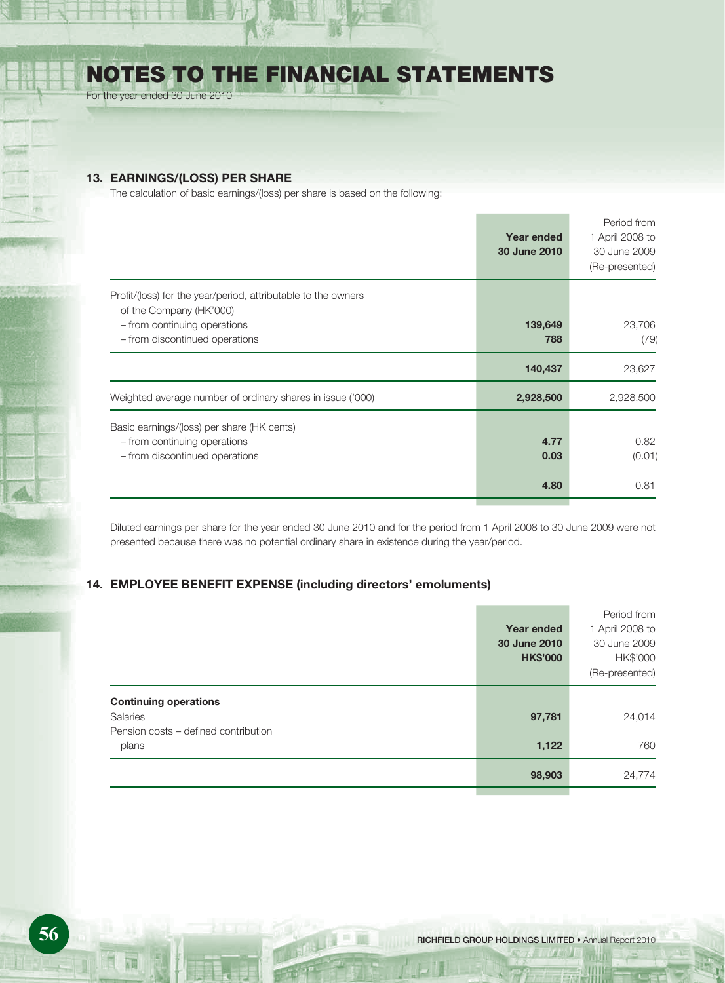For the year ended 30 June 2010

## **13. EARNINGS/(LOSS) PER SHARE**

The calculation of basic earnings/(loss) per share is based on the following:

|                                                                                                                                                            | Year ended<br>30 June 2010 | Period from<br>1 April 2008 to<br>30 June 2009<br>(Re-presented) |
|------------------------------------------------------------------------------------------------------------------------------------------------------------|----------------------------|------------------------------------------------------------------|
| Profit/(loss) for the year/period, attributable to the owners<br>of the Company (HK'000)<br>- from continuing operations<br>- from discontinued operations | 139,649<br>788             | 23,706<br>(79)                                                   |
|                                                                                                                                                            | 140,437                    | 23,627                                                           |
| Weighted average number of ordinary shares in issue ('000)                                                                                                 | 2,928,500                  | 2,928,500                                                        |
| Basic earnings/(loss) per share (HK cents)<br>- from continuing operations<br>- from discontinued operations                                               | 4.77<br>0.03<br>4.80       | 0.82<br>(0.01)<br>0.81                                           |

Diluted earnings per share for the year ended 30 June 2010 and for the period from 1 April 2008 to 30 June 2009 were not presented because there was no potential ordinary share in existence during the year/period.

## **14. EMPLOYEE BENEFIT EXPENSE (including directors' emoluments)**

|                   | Period from     |
|-------------------|-----------------|
| <b>Year ended</b> | 1 April 2008 to |
| 30 June 2010      | 30 June 2009    |
| <b>HK\$'000</b>   | HK\$'000        |
|                   | (Re-presented)  |
|                   |                 |
| 97,781            | 24,014          |
|                   |                 |
| 1,122             | 760             |
| 98,903            | 24,774          |
|                   |                 |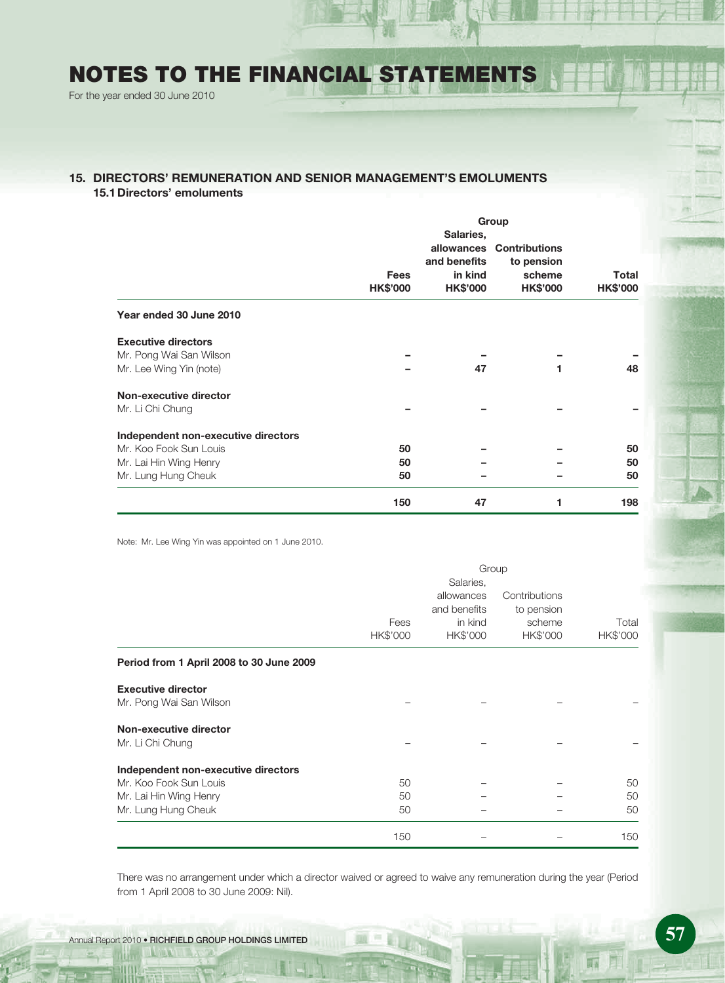For the year ended 30 June 2010

## **15. DIRECTORS' REMUNERATION AND SENIOR MANAGEMENT'S EMOLUMENTS 15.1 Directors' emoluments**

|                                     | Group           |                 |                          |                 |
|-------------------------------------|-----------------|-----------------|--------------------------|-----------------|
|                                     |                 | Salaries,       |                          |                 |
|                                     |                 |                 | allowances Contributions |                 |
|                                     |                 | and benefits    | to pension               |                 |
|                                     | <b>Fees</b>     | in kind         | scheme                   | Total           |
|                                     | <b>HK\$'000</b> | <b>HK\$'000</b> | <b>HK\$'000</b>          | <b>HK\$'000</b> |
| Year ended 30 June 2010             |                 |                 |                          |                 |
| <b>Executive directors</b>          |                 |                 |                          |                 |
| Mr. Pong Wai San Wilson             |                 |                 |                          |                 |
| Mr. Lee Wing Yin (note)             |                 | 47              | 1                        | 48              |
| Non-executive director              |                 |                 |                          |                 |
| Mr. Li Chi Chung                    |                 |                 |                          |                 |
| Independent non-executive directors |                 |                 |                          |                 |
| Mr. Koo Fook Sun Louis              | 50              |                 |                          | 50              |
| Mr. Lai Hin Wing Henry              | 50              |                 |                          | 50              |
| Mr. Lung Hung Cheuk                 | 50              |                 |                          | 50              |
|                                     | 150             | 47              | 1                        | 198             |

Note: Mr. Lee Wing Yin was appointed on 1 June 2010.

|                                          |                  | Group                                                          |                                                   |                   |
|------------------------------------------|------------------|----------------------------------------------------------------|---------------------------------------------------|-------------------|
|                                          | Fees<br>HK\$'000 | Salaries,<br>allowances<br>and benefits<br>in kind<br>HK\$'000 | Contributions<br>to pension<br>scheme<br>HK\$'000 | Total<br>HK\$'000 |
| Period from 1 April 2008 to 30 June 2009 |                  |                                                                |                                                   |                   |
| <b>Executive director</b>                |                  |                                                                |                                                   |                   |
| Mr. Pong Wai San Wilson                  |                  |                                                                |                                                   |                   |
| Non-executive director                   |                  |                                                                |                                                   |                   |
| Mr. Li Chi Chung                         |                  |                                                                |                                                   |                   |
| Independent non-executive directors      |                  |                                                                |                                                   |                   |
| Mr. Koo Fook Sun Louis                   | 50               |                                                                |                                                   | 50                |
| Mr. Lai Hin Wing Henry                   | 50               |                                                                |                                                   | 50                |
| Mr. Lung Hung Cheuk                      | 50               |                                                                |                                                   | 50                |
|                                          | 150              |                                                                |                                                   | 150               |

There was no arrangement under which a director waived or agreed to waive any remuneration during the year (Period from 1 April 2008 to 30 June 2009: Nil).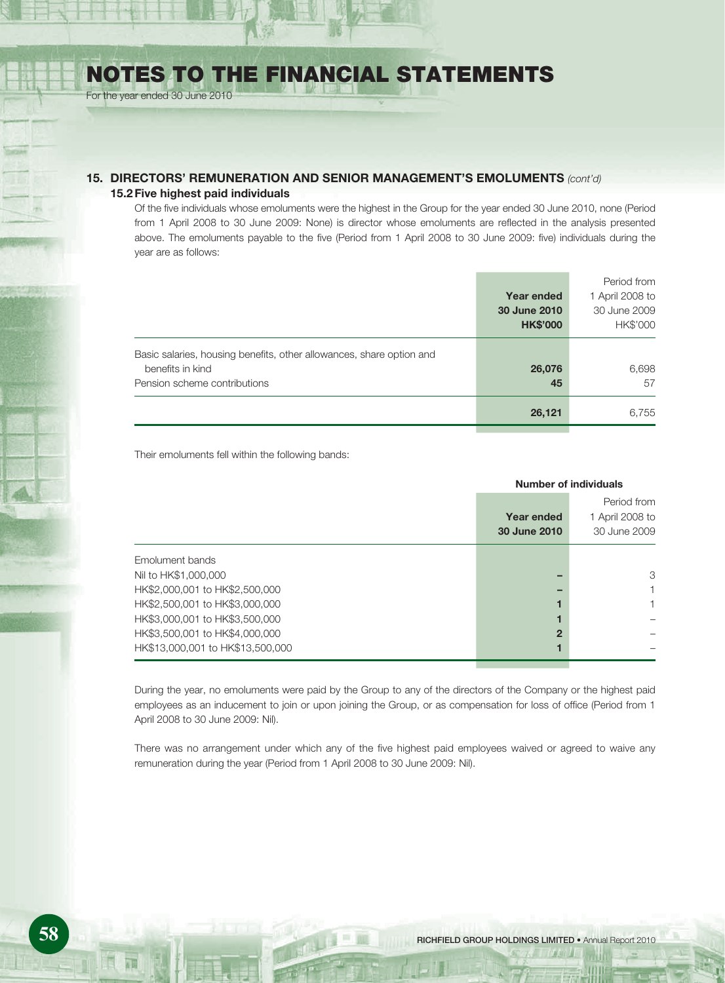For the year ended 30 June 2010

## **15. DIRECTORS' REMUNERATION AND SENIOR MANAGEMENT'S EMOLUMENTS** (cont'd) **15.2 Five highest paid individuals**

Of the five individuals whose emoluments were the highest in the Group for the year ended 30 June 2010, none (Period from 1 April 2008 to 30 June 2009: None) is director whose emoluments are reflected in the analysis presented above. The emoluments payable to the five (Period from 1 April 2008 to 30 June 2009: five) individuals during the year are as follows:

|                                                                                                                          | 26,121                                        | 6,755                                                      |
|--------------------------------------------------------------------------------------------------------------------------|-----------------------------------------------|------------------------------------------------------------|
| Basic salaries, housing benefits, other allowances, share option and<br>benefits in kind<br>Pension scheme contributions | 26,076<br>45                                  | 6,698<br>57                                                |
|                                                                                                                          | Year ended<br>30 June 2010<br><b>HK\$'000</b> | Period from<br>1 April 2008 to<br>30 June 2009<br>HK\$'000 |

Their emoluments fell within the following bands:

|                                  | <b>Number of individuals</b>      |                                                |
|----------------------------------|-----------------------------------|------------------------------------------------|
|                                  | <b>Year ended</b><br>30 June 2010 | Period from<br>1 April 2008 to<br>30 June 2009 |
| Emolument bands                  |                                   |                                                |
| Nil to HK\$1,000,000             |                                   | 3                                              |
| HK\$2,000,001 to HK\$2,500,000   |                                   |                                                |
| HK\$2,500,001 to HK\$3,000,000   |                                   |                                                |
| HK\$3,000,001 to HK\$3,500,000   |                                   |                                                |
| HK\$3,500,001 to HK\$4,000,000   | 2                                 |                                                |
| HK\$13,000,001 to HK\$13,500,000 |                                   |                                                |
|                                  |                                   |                                                |

During the year, no emoluments were paid by the Group to any of the directors of the Company or the highest paid employees as an inducement to join or upon joining the Group, or as compensation for loss of office (Period from 1 April 2008 to 30 June 2009: Nil).

There was no arrangement under which any of the five highest paid employees waived or agreed to waive any remuneration during the year (Period from 1 April 2008 to 30 June 2009: Nil).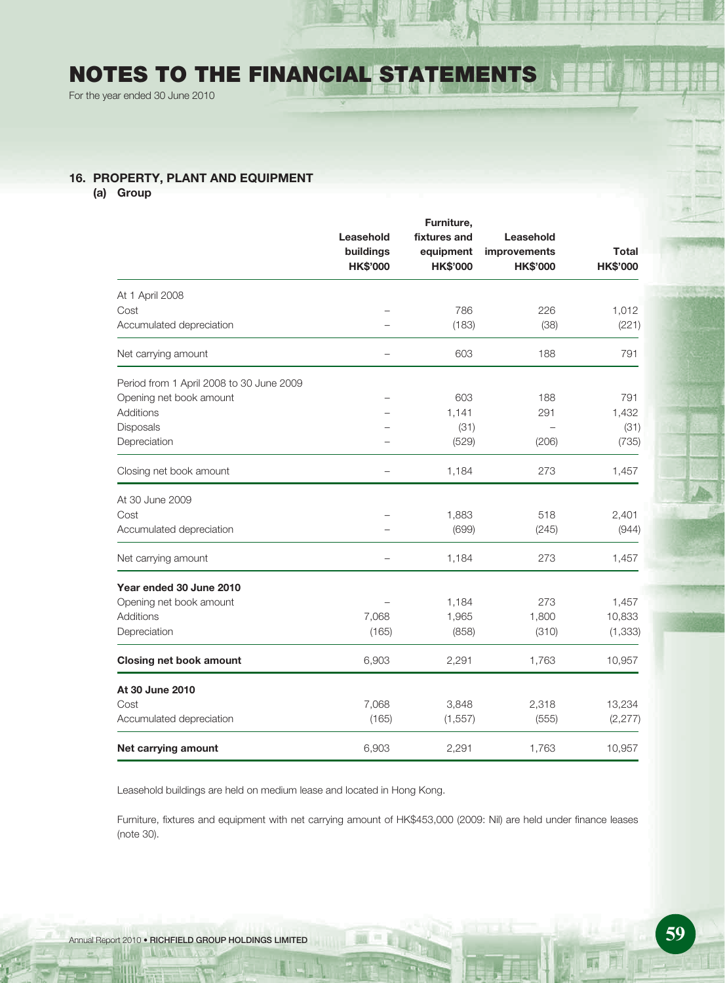For the year ended 30 June 2010

## **16. PROPERTY, PLANT AND EQUIPMENT**

## **(a) Group**

|                                          | Leasehold<br>buildings<br><b>HK\$'000</b> | Furniture,<br>fixtures and<br>equipment<br><b>HK\$'000</b> | Leasehold<br>improvements<br><b>HK\$'000</b> | <b>Total</b><br><b>HK\$'000</b> |
|------------------------------------------|-------------------------------------------|------------------------------------------------------------|----------------------------------------------|---------------------------------|
| At 1 April 2008                          |                                           |                                                            |                                              |                                 |
| Cost                                     |                                           | 786                                                        | 226                                          | 1,012                           |
| Accumulated depreciation                 |                                           | (183)                                                      | (38)                                         | (221)                           |
| Net carrying amount                      |                                           | 603                                                        | 188                                          | 791                             |
| Period from 1 April 2008 to 30 June 2009 |                                           |                                                            |                                              |                                 |
| Opening net book amount                  |                                           | 603                                                        | 188                                          | 791                             |
| <b>Additions</b>                         |                                           | 1,141                                                      | 291                                          | 1,432                           |
| Disposals                                |                                           | (31)                                                       |                                              | (31)                            |
| Depreciation                             |                                           | (529)                                                      | (206)                                        | (735)                           |
| Closing net book amount                  | $\overline{\phantom{0}}$                  | 1,184                                                      | 273                                          | 1,457                           |
| At 30 June 2009                          |                                           |                                                            |                                              |                                 |
| Cost                                     |                                           | 1,883                                                      | 518                                          | 2,401                           |
| Accumulated depreciation                 |                                           | (699)                                                      | (245)                                        | (944)                           |
| Net carrying amount                      |                                           | 1,184                                                      | 273                                          | 1,457                           |
| Year ended 30 June 2010                  |                                           |                                                            |                                              |                                 |
| Opening net book amount                  |                                           | 1,184                                                      | 273                                          | 1,457                           |
| Additions                                | 7,068                                     | 1,965                                                      | 1,800                                        | 10,833                          |
| Depreciation                             | (165)                                     | (858)                                                      | (310)                                        | (1, 333)                        |
| <b>Closing net book amount</b>           | 6,903                                     | 2,291                                                      | 1,763                                        | 10,957                          |
| At 30 June 2010                          |                                           |                                                            |                                              |                                 |
| Cost                                     | 7,068                                     | 3,848                                                      | 2,318                                        | 13,234                          |
| Accumulated depreciation                 | (165)                                     | (1, 557)                                                   | (555)                                        | (2, 277)                        |
| Net carrying amount                      | 6,903                                     | 2,291                                                      | 1,763                                        | 10,957                          |

Leasehold buildings are held on medium lease and located in Hong Kong.

Furniture, fixtures and equipment with net carrying amount of HK\$453,000 (2009: Nil) are held under finance leases (note 30).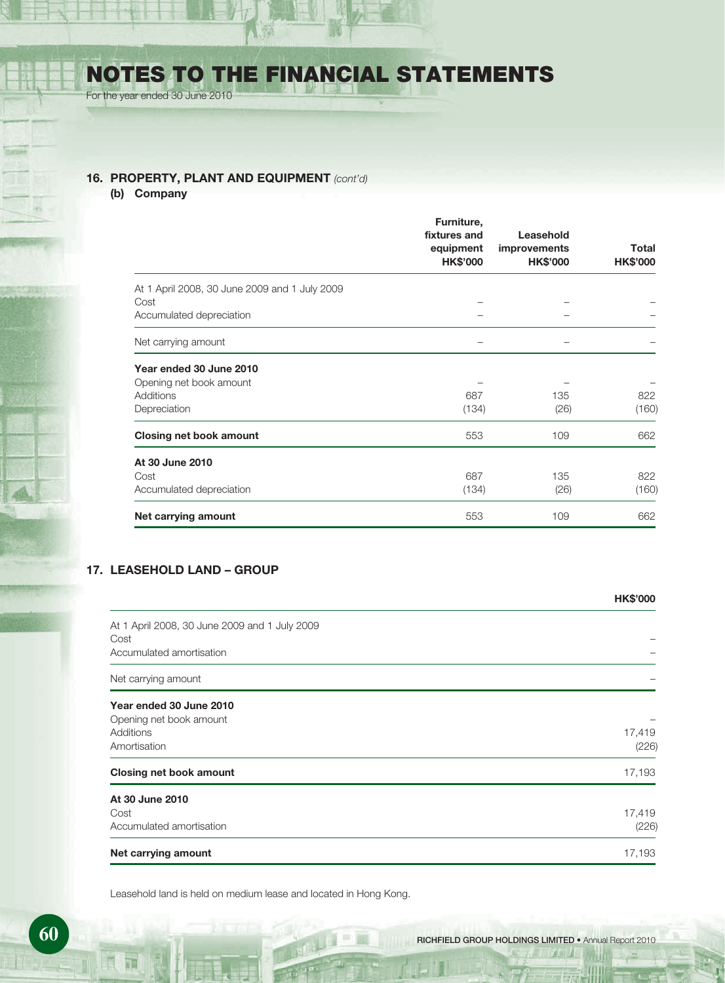For the year ended 30 June 2010

## **16. PROPERTY, PLANT AND EQUIPMENT** (cont'd)

**(b) Company**

|                                               | Furniture,<br>fixtures and<br>equipment<br><b>HK\$'000</b> | Leasehold<br>improvements<br><b>HK\$'000</b> | <b>Total</b><br><b>HK\$'000</b> |
|-----------------------------------------------|------------------------------------------------------------|----------------------------------------------|---------------------------------|
| At 1 April 2008, 30 June 2009 and 1 July 2009 |                                                            |                                              |                                 |
| Cost<br>Accumulated depreciation              |                                                            |                                              |                                 |
| Net carrying amount                           |                                                            |                                              |                                 |
| Year ended 30 June 2010                       |                                                            |                                              |                                 |
| Opening net book amount                       |                                                            |                                              |                                 |
| Additions                                     | 687                                                        | 135                                          | 822                             |
| Depreciation                                  | (134)                                                      | (26)                                         | (160)                           |
| <b>Closing net book amount</b>                | 553                                                        | 109                                          | 662                             |
| At 30 June 2010                               |                                                            |                                              |                                 |
| Cost                                          | 687                                                        | 135                                          | 822                             |
| Accumulated depreciation                      | (134)                                                      | (26)                                         | (160)                           |
| Net carrying amount                           | 553                                                        | 109                                          | 662                             |

## **17. LEASEHOLD LAND – GROUP**

|                                               | <b>HK\$'000</b> |
|-----------------------------------------------|-----------------|
| At 1 April 2008, 30 June 2009 and 1 July 2009 |                 |
| Cost                                          |                 |
| Accumulated amortisation                      |                 |
| Net carrying amount                           |                 |
| Year ended 30 June 2010                       |                 |
| Opening net book amount                       |                 |
| Additions                                     | 17,419          |
| Amortisation                                  | (226)           |
| <b>Closing net book amount</b>                | 17,193          |
| At 30 June 2010                               |                 |
| Cost                                          | 17,419          |
| Accumulated amortisation                      | (226)           |
| Net carrying amount                           | 17,193          |

Leasehold land is held on medium lease and located in Hong Kong.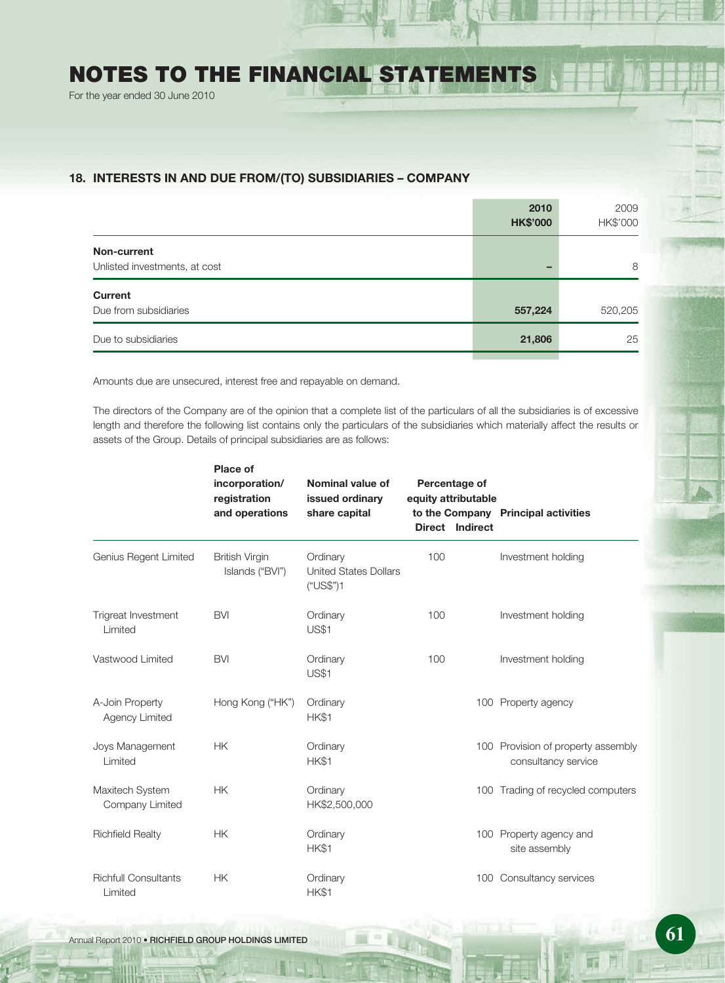For the year ended 30 June 2010

## **18. INTERESTS IN AND DUE FROM/(TO) SUBSIDIARIES – COMPANY**

|                                              | 2010<br><b>HK\$'000</b> | 2009<br>HK\$'000 |
|----------------------------------------------|-------------------------|------------------|
| Non-current<br>Unlisted investments, at cost | -                       | 8                |
| <b>Current</b><br>Due from subsidiaries      | 557,224                 | 520,205          |
| Due to subsidiaries                          | 21,806                  | 25               |

Amounts due are unsecured, interest free and repayable on demand.

The directors of the Company are of the opinion that a complete list of the particulars of all the subsidiaries is of excessive length and therefore the following list contains only the particulars of the subsidiaries which materially affect the results or assets of the Group. Details of principal subsidiaries are as follows:

|                                          | <b>Place of</b><br>incorporation/<br>registration<br>and operations | Nominal value of<br>issued ordinary<br>share capital  | Percentage of<br>equity attributable<br>Direct Indirect | to the Company Principal activities                       |
|------------------------------------------|---------------------------------------------------------------------|-------------------------------------------------------|---------------------------------------------------------|-----------------------------------------------------------|
| Genius Regent Limited                    | <b>British Virgin</b><br>Islands ("BVI")                            | Ordinary<br><b>United States Dollars</b><br>("US\$")1 | 100                                                     | Investment holding                                        |
| <b>Trigreat Investment</b><br>Limited    | <b>BVI</b>                                                          | Ordinary<br><b>US\$1</b>                              | 100                                                     | Investment holding                                        |
| Vastwood Limited                         | <b>BVI</b>                                                          | Ordinary<br><b>US\$1</b>                              | 100                                                     | Investment holding                                        |
| A-Join Property<br><b>Agency Limited</b> | Hong Kong ("HK")                                                    | Ordinary<br><b>HK\$1</b>                              |                                                         | 100 Property agency                                       |
| Joys Management<br>Limited               | <b>HK</b>                                                           | Ordinary<br><b>HK\$1</b>                              |                                                         | 100 Provision of property assembly<br>consultancy service |
| Maxitech System<br>Company Limited       | <b>HK</b>                                                           | Ordinary<br>HK\$2,500,000                             |                                                         | 100 Trading of recycled computers                         |
| <b>Richfield Realty</b>                  | <b>HK</b>                                                           | Ordinary<br><b>HK\$1</b>                              |                                                         | 100 Property agency and<br>site assembly                  |
| <b>Richfull Consultants</b><br>Limited   | <b>HK</b>                                                           | Ordinary<br><b>HK\$1</b>                              |                                                         | 100 Consultancy services                                  |

Annual Report 2010 • **RICHFIELD GROUP HOLDINGS LIMITED 61**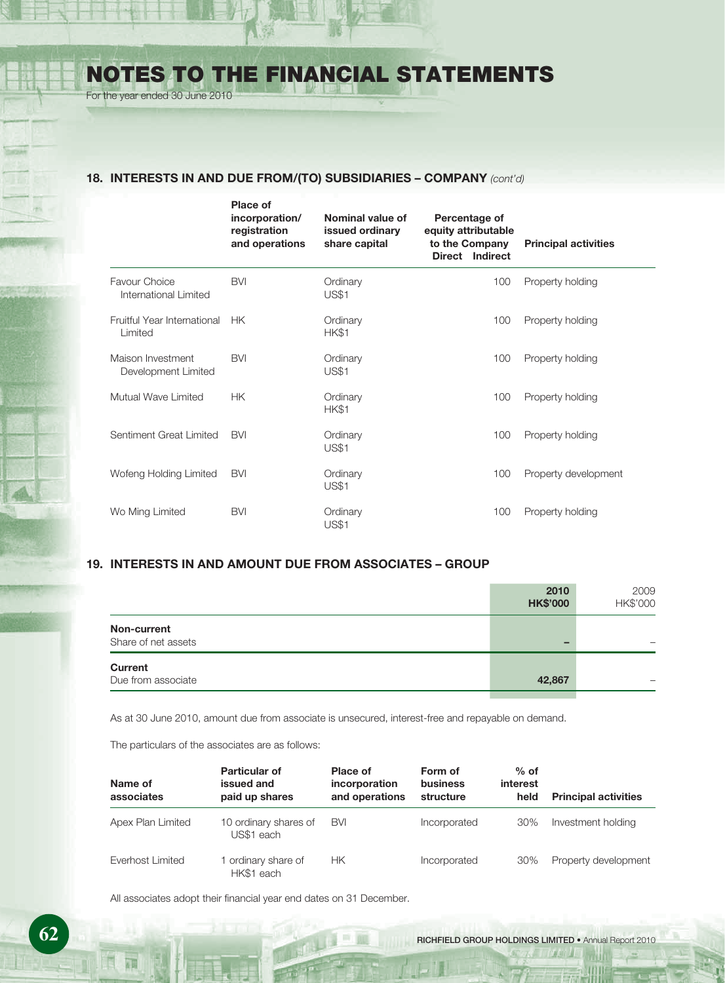For the year ended 30 June 2010

## **18. INTERESTS IN AND DUE FROM/(TO) SUBSIDIARIES - COMPANY** (cont'd)

|                                          | Place of<br>incorporation/<br>registration<br>and operations | Nominal value of<br>issued ordinary<br>share capital | Percentage of<br>equity attributable<br>to the Company<br><b>Direct Indirect</b> | <b>Principal activities</b> |
|------------------------------------------|--------------------------------------------------------------|------------------------------------------------------|----------------------------------------------------------------------------------|-----------------------------|
| Favour Choice<br>International Limited   | <b>BVI</b>                                                   | Ordinary<br><b>US\$1</b>                             | 100                                                                              | Property holding            |
| Fruitful Year International<br>Limited   | <b>HK</b>                                                    | Ordinary<br><b>HK\$1</b>                             | 100                                                                              | Property holding            |
| Maison Investment<br>Development Limited | <b>BVI</b>                                                   | Ordinary<br><b>US\$1</b>                             | 100                                                                              | Property holding            |
| Mutual Wave Limited                      | <b>HK</b>                                                    | Ordinary<br><b>HK\$1</b>                             | 100                                                                              | Property holding            |
| Sentiment Great Limited                  | <b>BVI</b>                                                   | Ordinary<br><b>US\$1</b>                             | 100                                                                              | Property holding            |
| Wofeng Holding Limited                   | <b>BVI</b>                                                   | Ordinary<br><b>US\$1</b>                             | 100                                                                              | Property development        |
| Wo Ming Limited                          | <b>BVI</b>                                                   | Ordinary<br><b>US\$1</b>                             | 100                                                                              | Property holding            |

## **19. INTERESTS IN AND AMOUNT DUE FROM ASSOCIATES – GROUP**

|                                    | 2010<br><b>HK\$'000</b> | 2009<br>HK\$'000 |
|------------------------------------|-------------------------|------------------|
| Non-current<br>Share of net assets | -                       |                  |
| Current<br>Due from associate      | 42,867                  |                  |

As at 30 June 2010, amount due from associate is unsecured, interest-free and repayable on demand.

The particulars of the associates are as follows:

| Name of<br>associates | <b>Particular of</b><br>issued and<br>paid up shares | Place of<br>incorporation<br>and operations | Form of<br><b>business</b><br>structure | $%$ of<br>interest<br>held | <b>Principal activities</b> |
|-----------------------|------------------------------------------------------|---------------------------------------------|-----------------------------------------|----------------------------|-----------------------------|
| Apex Plan Limited     | 10 ordinary shares of<br>US\$1 each                  | BVI                                         | Incorporated                            | 30%                        | Investment holding          |
| Everhost Limited      | 1 ordinary share of<br>HK\$1 each                    | HK.                                         | Incorporated                            | $30\%$                     | Property development        |

All associates adopt their financial year end dates on 31 December.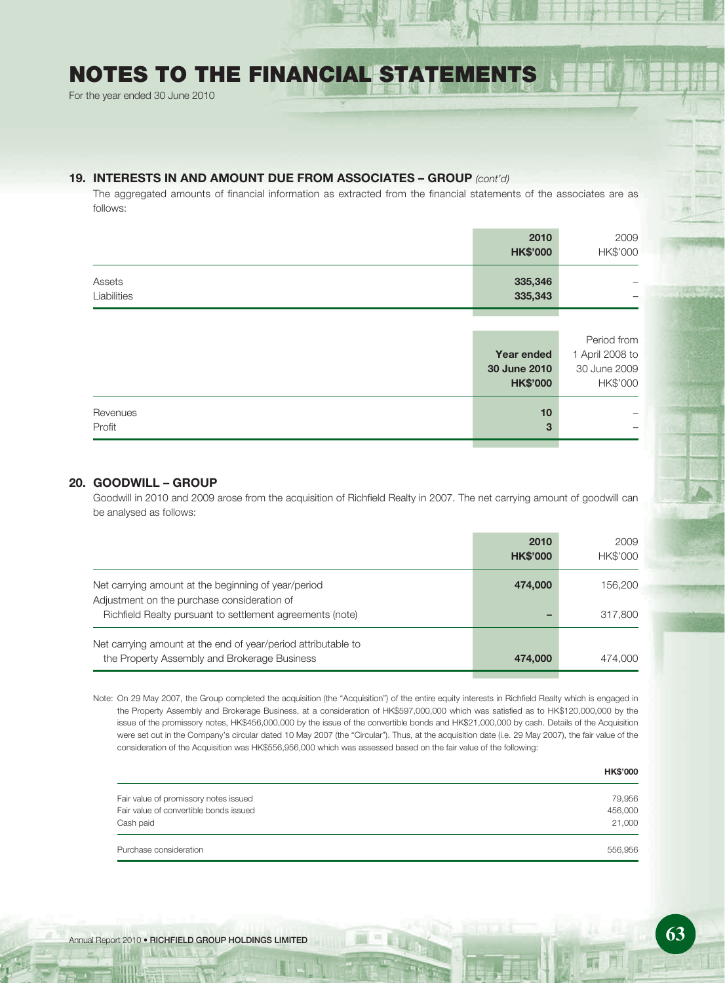For the year ended 30 June 2010

## **19. INTERESTS IN AND AMOUNT DUE FROM ASSOCIATES - GROUP (cont'd)**

The aggregated amounts of financial information as extracted from the financial statements of the associates are as follows:

|                       | 2010<br><b>HK\$'000</b> | 2009<br>HK\$'000 |
|-----------------------|-------------------------|------------------|
| Assets<br>Liabilities | 335,346<br>335,343      |                  |
|                       |                         |                  |
|                       |                         | Period from      |
|                       | Year ended              | 1 April 2008 to  |
|                       | 30 June 2010            | 30 June 2009     |
|                       | <b>HK\$'000</b>         | HK\$'000         |
| Revenues              | 10                      |                  |
| Profit                | 3                       |                  |

## **20. GOODWILL – GROUP**

Goodwill in 2010 and 2009 arose from the acquisition of Richfield Realty in 2007. The net carrying amount of goodwill can be analysed as follows:

|                                                                                                                                                                 | 2010<br><b>HK\$'000</b> | 2009<br>HK\$'000   |
|-----------------------------------------------------------------------------------------------------------------------------------------------------------------|-------------------------|--------------------|
| Net carrying amount at the beginning of year/period<br>Adjustment on the purchase consideration of<br>Richfield Realty pursuant to settlement agreements (note) | 474,000                 | 156,200<br>317,800 |
| Net carrying amount at the end of year/period attributable to<br>the Property Assembly and Brokerage Business                                                   | 474,000                 | 474,000            |

Note: On 29 May 2007, the Group completed the acquisition (the "Acquisition") of the entire equity interests in Richfield Realty which is engaged in the Property Assembly and Brokerage Business, at a consideration of HK\$597,000,000 which was satisfied as to HK\$120,000,000 by the issue of the promissory notes, HK\$456,000,000 by the issue of the convertible bonds and HK\$21,000,000 by cash. Details of the Acquisition were set out in the Company's circular dated 10 May 2007 (the "Circular"). Thus, at the acquisition date (i.e. 29 May 2007), the fair value of the consideration of the Acquisition was HK\$556,956,000 which was assessed based on the fair value of the following:

|                                        | <b>HK\$'000</b> |
|----------------------------------------|-----------------|
| Fair value of promissory notes issued  | 79,956          |
| Fair value of convertible bonds issued | 456,000         |
| Cash paid                              | 21,000          |
| Purchase consideration                 | 556.956         |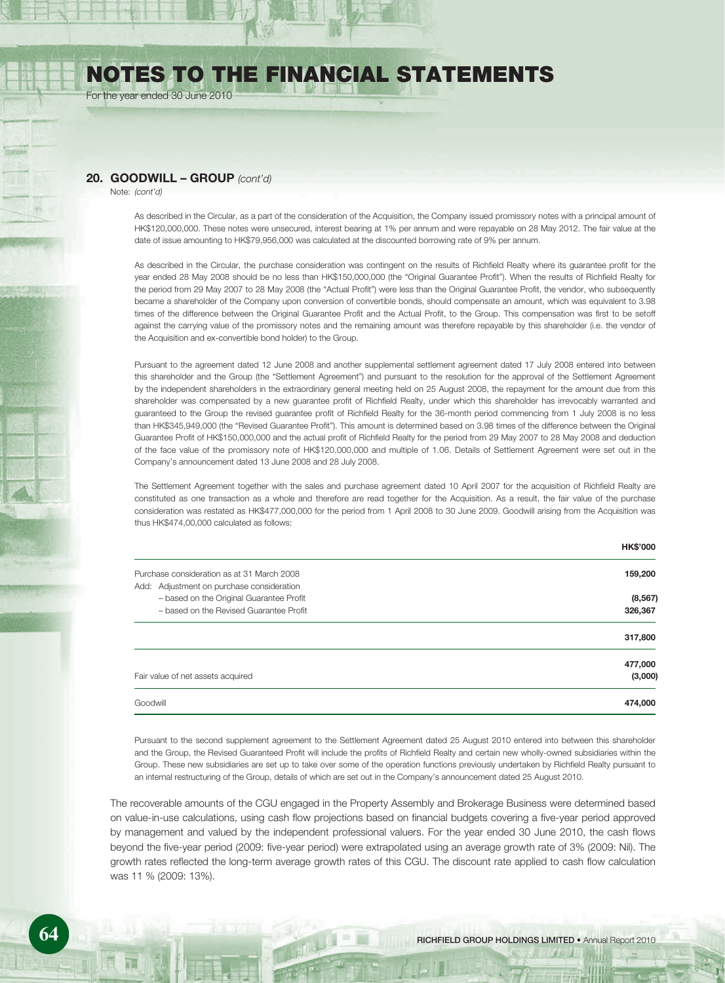For the year ended 30 June 2010

## 20. GOODWILL - GROUP (cont'd)

Note: (cont'd)

As described in the Circular, as a part of the consideration of the Acquisition, the Company issued promissory notes with a principal amount of HK\$120,000,000. These notes were unsecured, interest bearing at 1% per annum and were repayable on 28 May 2012. The fair value at the date of issue amounting to HK\$79,956,000 was calculated at the discounted borrowing rate of 9% per annum.

As described in the Circular, the purchase consideration was contingent on the results of Richfield Realty where its guarantee profit for the year ended 28 May 2008 should be no less than HK\$150,000,000 (the "Original Guarantee Profit"). When the results of Richfield Realty for the period from 29 May 2007 to 28 May 2008 (the "Actual Profit") were less than the Original Guarantee Profit, the vendor, who subsequently became a shareholder of the Company upon conversion of convertible bonds, should compensate an amount, which was equivalent to 3.98 times of the difference between the Original Guarantee Profit and the Actual Profit, to the Group. This compensation was first to be setoff against the carrying value of the promissory notes and the remaining amount was therefore repayable by this shareholder (i.e. the vendor of the Acquisition and ex-convertible bond holder) to the Group.

Pursuant to the agreement dated 12 June 2008 and another supplemental settlement agreement dated 17 July 2008 entered into between this shareholder and the Group (the "Settlement Agreement") and pursuant to the resolution for the approval of the Settlement Agreement by the independent shareholders in the extraordinary general meeting held on 25 August 2008, the repayment for the amount due from this shareholder was compensated by a new guarantee profit of Richfield Realty, under which this shareholder has irrevocably warranted and guaranteed to the Group the revised guarantee profit of Richfield Realty for the 36-month period commencing from 1 July 2008 is no less than HK\$345,949,000 (the "Revised Guarantee Profit"). This amount is determined based on 3.98 times of the difference between the Original Guarantee Profit of HK\$150,000,000 and the actual profit of Richfield Realty for the period from 29 May 2007 to 28 May 2008 and deduction of the face value of the promissory note of HK\$120,000,000 and multiple of 1.06. Details of Settlement Agreement were set out in the Company's announcement dated 13 June 2008 and 28 July 2008.

The Settlement Agreement together with the sales and purchase agreement dated 10 April 2007 for the acquisition of Richfield Realty are constituted as one transaction as a whole and therefore are read together for the Acquisition. As a result, the fair value of the purchase consideration was restated as HK\$477,000,000 for the period from 1 April 2008 to 30 June 2009. Goodwill arising from the Acquisition was thus HK\$474,00,000 calculated as follows:

|                                            | 11149000 |
|--------------------------------------------|----------|
| Purchase consideration as at 31 March 2008 | 159,200  |
| Add: Adjustment on purchase consideration  |          |
| - based on the Original Guarantee Profit   | (8, 567) |
| - based on the Revised Guarantee Profit    | 326,367  |
|                                            | 317,800  |
|                                            | 477,000  |
| Fair value of net assets acquired          | (3,000)  |
| Goodwill                                   | 474,000  |
|                                            |          |

Pursuant to the second supplement agreement to the Settlement Agreement dated 25 August 2010 entered into between this shareholder and the Group, the Revised Guaranteed Profit will include the profits of Richfield Realty and certain new wholly-owned subsidiaries within the Group. These new subsidiaries are set up to take over some of the operation functions previously undertaken by Richfield Realty pursuant to an internal restructuring of the Group, details of which are set out in the Company's announcement dated 25 August 2010.

The recoverable amounts of the CGU engaged in the Property Assembly and Brokerage Business were determined based on value-in-use calculations, using cash flow projections based on financial budgets covering a five-year period approved by management and valued by the independent professional valuers. For the year ended 30 June 2010, the cash flows beyond the five-year period (2009: five-year period) were extrapolated using an average growth rate of 3% (2009: Nil). The growth rates reflected the long-term average growth rates of this CGU. The discount rate applied to cash flow calculation was 11 % (2009: 13%).

**HK\$'000**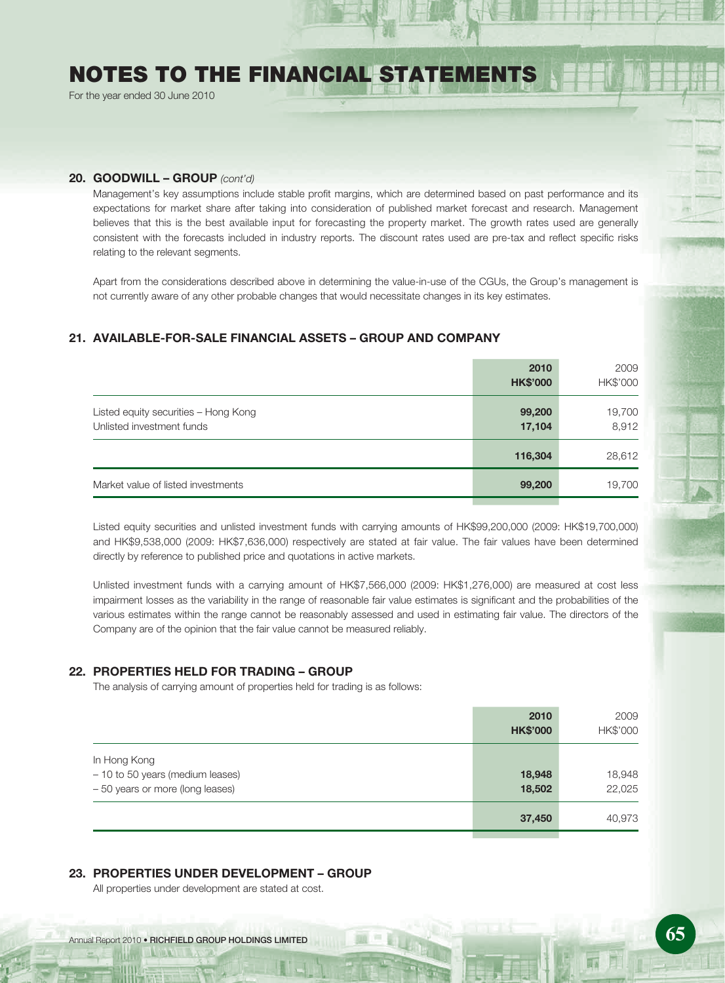For the year ended 30 June 2010

#### 20. GOODWILL – GROUP (cont'd)

Management's key assumptions include stable profit margins, which are determined based on past performance and its expectations for market share after taking into consideration of published market forecast and research. Management believes that this is the best available input for forecasting the property market. The growth rates used are generally consistent with the forecasts included in industry reports. The discount rates used are pre-tax and reflect specific risks relating to the relevant segments.

Apart from the considerations described above in determining the value-in-use of the CGUs, the Group's management is not currently aware of any other probable changes that would necessitate changes in its key estimates.

## **21. AVAILABLE-FOR-SALE FINANCIAL ASSETS – GROUP AND COMPANY**

|                                                                   | 2010<br><b>HK\$'000</b> | 2009<br>HK\$'000 |
|-------------------------------------------------------------------|-------------------------|------------------|
| Listed equity securities - Hong Kong<br>Unlisted investment funds | 99,200<br>17,104        | 19,700<br>8,912  |
|                                                                   | 116,304                 | 28,612           |
| Market value of listed investments                                | 99,200                  | 19,700           |

Listed equity securities and unlisted investment funds with carrying amounts of HK\$99,200,000 (2009: HK\$19,700,000) and HK\$9,538,000 (2009: HK\$7,636,000) respectively are stated at fair value. The fair values have been determined directly by reference to published price and quotations in active markets.

Unlisted investment funds with a carrying amount of HK\$7,566,000 (2009: HK\$1,276,000) are measured at cost less impairment losses as the variability in the range of reasonable fair value estimates is significant and the probabilities of the various estimates within the range cannot be reasonably assessed and used in estimating fair value. The directors of the Company are of the opinion that the fair value cannot be measured reliably.

#### **22. PROPERTIES HELD FOR TRADING – GROUP**

The analysis of carrying amount of properties held for trading is as follows:

|                                  | 2010<br><b>HK\$'000</b> | 2009<br>HK\$'000 |
|----------------------------------|-------------------------|------------------|
| In Hong Kong                     |                         |                  |
| - 10 to 50 years (medium leases) | 18,948                  | 18,948           |
| - 50 years or more (long leases) | 18,502                  | 22,025           |
|                                  | 37,450                  | 40,973           |

## **23. PROPERTIES UNDER DEVELOPMENT – GROUP**

All properties under development are stated at cost.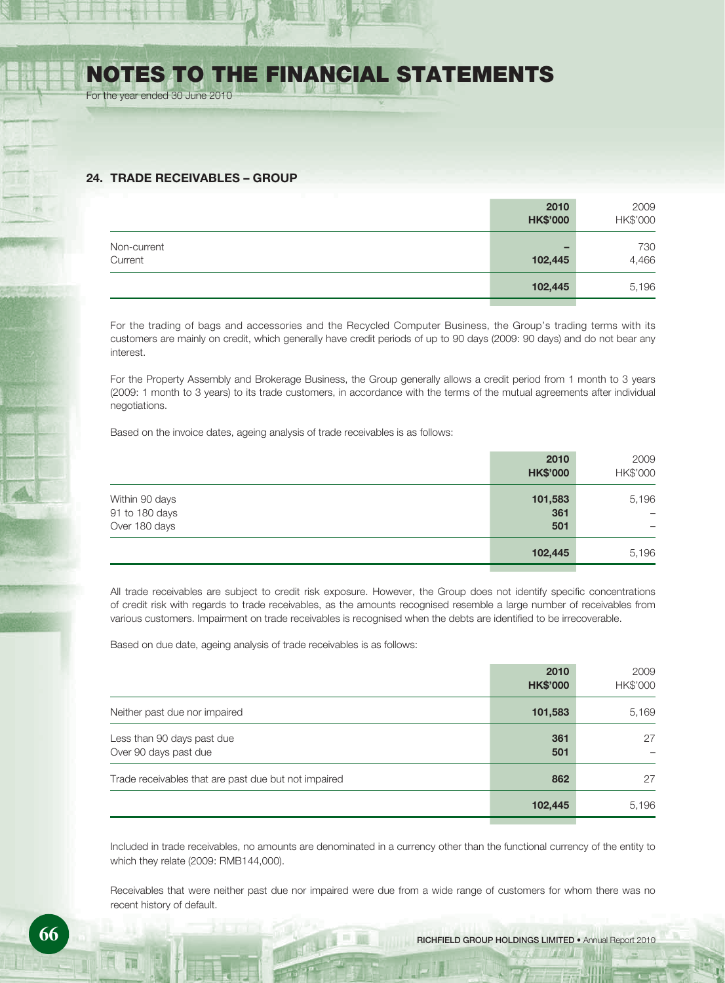For the year ended 30 June 2010

## **24. TRADE RECEIVABLES – GROUP**

|                        | 2010<br><b>HK\$'000</b> | 2009<br>HK\$'000 |
|------------------------|-------------------------|------------------|
| Non-current<br>Current | -<br>102,445            | 730<br>4,466     |
|                        | 102,445                 | 5,196            |

For the trading of bags and accessories and the Recycled Computer Business, the Group's trading terms with its customers are mainly on credit, which generally have credit periods of up to 90 days (2009: 90 days) and do not bear any interest.

For the Property Assembly and Brokerage Business, the Group generally allows a credit period from 1 month to 3 years (2009: 1 month to 3 years) to its trade customers, in accordance with the terms of the mutual agreements after individual negotiations.

Based on the invoice dates, ageing analysis of trade receivables is as follows:

|                                                   | 2010<br><b>HK\$'000</b> | 2009<br>HK\$'000                                                    |
|---------------------------------------------------|-------------------------|---------------------------------------------------------------------|
| Within 90 days<br>91 to 180 days<br>Over 180 days | 101,583<br>361<br>501   | 5,196<br>$\overline{\phantom{0}}$<br>$\qquad \qquad \longleftarrow$ |
|                                                   | 102,445                 | 5,196                                                               |

All trade receivables are subject to credit risk exposure. However, the Group does not identify specific concentrations of credit risk with regards to trade receivables, as the amounts recognised resemble a large number of receivables from various customers. Impairment on trade receivables is recognised when the debts are identified to be irrecoverable.

Based on due date, ageing analysis of trade receivables is as follows:

|                                                      | 2010<br><b>HK\$'000</b> | 2009<br>HK\$'000 |
|------------------------------------------------------|-------------------------|------------------|
| Neither past due nor impaired                        | 101,583                 | 5,169            |
| Less than 90 days past due<br>Over 90 days past due  | 361<br>501              | 27               |
| Trade receivables that are past due but not impaired | 862                     | 27               |
|                                                      | 102,445                 | 5,196            |

Included in trade receivables, no amounts are denominated in a currency other than the functional currency of the entity to which they relate (2009: RMB144,000).

Receivables that were neither past due nor impaired were due from a wide range of customers for whom there was no recent history of default.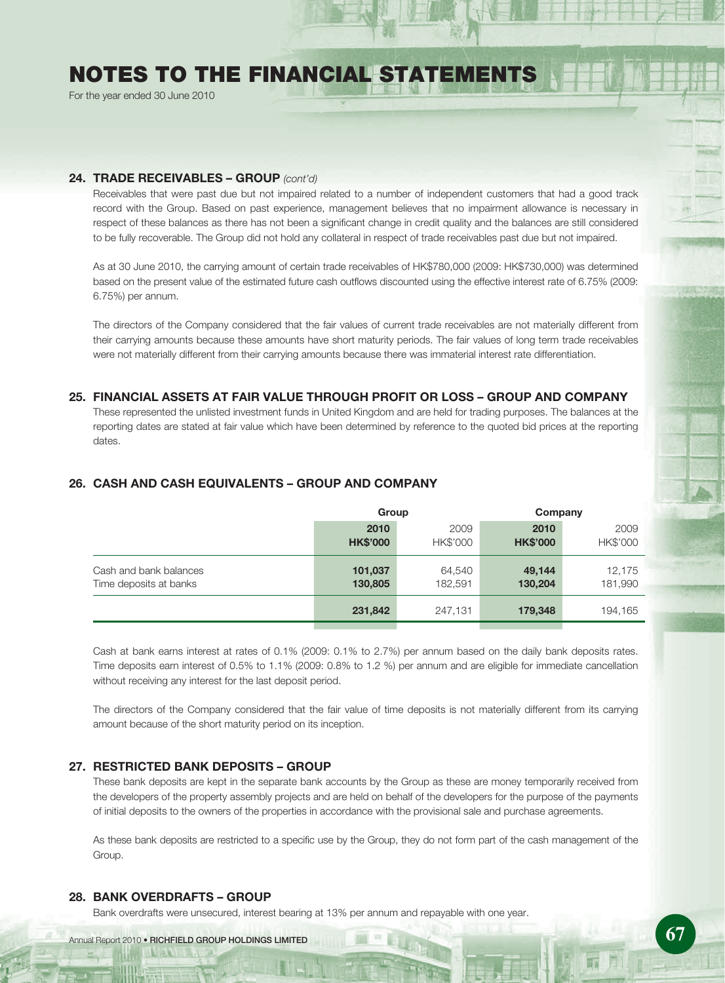For the year ended 30 June 2010

#### 24. TRADE RECEIVABLES - GROUP (cont'd)

Receivables that were past due but not impaired related to a number of independent customers that had a good track record with the Group. Based on past experience, management believes that no impairment allowance is necessary in respect of these balances as there has not been a significant change in credit quality and the balances are still considered to be fully recoverable. The Group did not hold any collateral in respect of trade receivables past due but not impaired.

As at 30 June 2010, the carrying amount of certain trade receivables of HK\$780,000 (2009: HK\$730,000) was determined based on the present value of the estimated future cash outflows discounted using the effective interest rate of 6.75% (2009: 6.75%) per annum.

The directors of the Company considered that the fair values of current trade receivables are not materially different from their carrying amounts because these amounts have short maturity periods. The fair values of long term trade receivables were not materially different from their carrying amounts because there was immaterial interest rate differentiation.

#### **25. FINANCIAL ASSETS AT FAIR VALUE THROUGH PROFIT OR LOSS – GROUP AND COMPANY**

These represented the unlisted investment funds in United Kingdom and are held for trading purposes. The balances at the reporting dates are stated at fair value which have been determined by reference to the quoted bid prices at the reporting dates.

## **26. CASH AND CASH EQUIVALENTS – GROUP AND COMPANY**

|                                                  | Group                   |                   | Company                 |                   |
|--------------------------------------------------|-------------------------|-------------------|-------------------------|-------------------|
|                                                  | 2010<br><b>HK\$'000</b> | 2009<br>HK\$'000  | 2010<br><b>HK\$'000</b> | 2009<br>HK\$'000  |
| Cash and bank balances<br>Time deposits at banks | 101,037<br>130,805      | 64,540<br>182,591 | 49,144<br>130,204       | 12,175<br>181,990 |
|                                                  | 231,842                 | 247.131           | 179,348                 | 194,165           |
|                                                  |                         |                   |                         |                   |

Cash at bank earns interest at rates of 0.1% (2009: 0.1% to 2.7%) per annum based on the daily bank deposits rates. Time deposits earn interest of 0.5% to 1.1% (2009: 0.8% to 1.2 %) per annum and are eligible for immediate cancellation without receiving any interest for the last deposit period.

The directors of the Company considered that the fair value of time deposits is not materially different from its carrying amount because of the short maturity period on its inception.

### **27. RESTRICTED BANK DEPOSITS – GROUP**

These bank deposits are kept in the separate bank accounts by the Group as these are money temporarily received from the developers of the property assembly projects and are held on behalf of the developers for the purpose of the payments of initial deposits to the owners of the properties in accordance with the provisional sale and purchase agreements.

As these bank deposits are restricted to a specific use by the Group, they do not form part of the cash management of the Group.

#### **28. BANK OVERDRAFTS – GROUP**

Bank overdrafts were unsecured, interest bearing at 13% per annum and repayable with one year.

Annual Report 2010 • **RICHFIELD GROUP HOLDINGS LIMITED 67**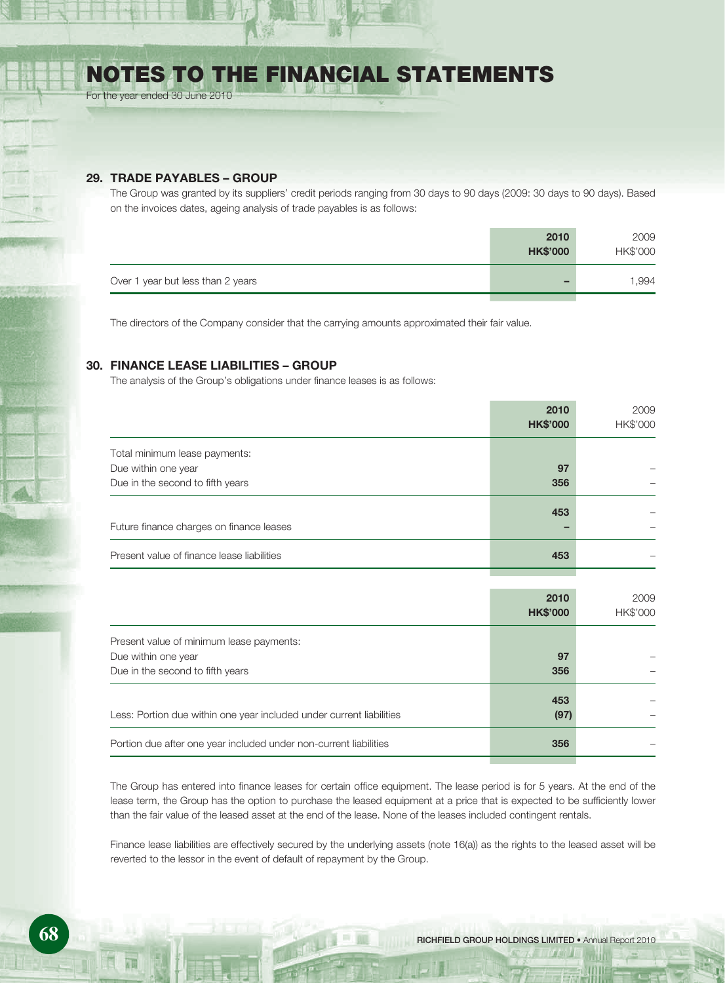For the year ended 30 June 2010

## **29. TRADE PAYABLES – GROUP**

The Group was granted by its suppliers' credit periods ranging from 30 days to 90 days (2009: 30 days to 90 days). Based on the invoices dates, ageing analysis of trade payables is as follows:

|                                   | 2010<br><b>HK\$'000</b> | 2009<br>HK\$'000 |
|-----------------------------------|-------------------------|------------------|
| Over 1 year but less than 2 years | -                       | 1,994            |

The directors of the Company consider that the carrying amounts approximated their fair value.

## **30. FINANCE LEASE LIABILITIES – GROUP**

The analysis of the Group's obligations under finance leases is as follows:

|                                            | 2010<br><b>HK\$'000</b> | 2009<br>HK\$'000 |
|--------------------------------------------|-------------------------|------------------|
| Total minimum lease payments:              |                         |                  |
| Due within one year                        | 97                      |                  |
| Due in the second to fifth years           | 356                     |                  |
|                                            | 453                     |                  |
| Future finance charges on finance leases   |                         |                  |
| Present value of finance lease liabilities | 453                     |                  |
|                                            |                         |                  |

|                                                                                                     | 2010<br><b>HK\$'000</b> | 2009<br>HK\$'000 |
|-----------------------------------------------------------------------------------------------------|-------------------------|------------------|
| Present value of minimum lease payments:<br>Due within one year<br>Due in the second to fifth years | 97<br>356               |                  |
| Less: Portion due within one year included under current liabilities                                | 453<br>(97)             |                  |
| Portion due after one year included under non-current liabilities                                   | 356                     |                  |

The Group has entered into finance leases for certain office equipment. The lease period is for 5 years. At the end of the lease term, the Group has the option to purchase the leased equipment at a price that is expected to be sufficiently lower than the fair value of the leased asset at the end of the lease. None of the leases included contingent rentals.

Finance lease liabilities are effectively secured by the underlying assets (note 16(a)) as the rights to the leased asset will be reverted to the lessor in the event of default of repayment by the Group.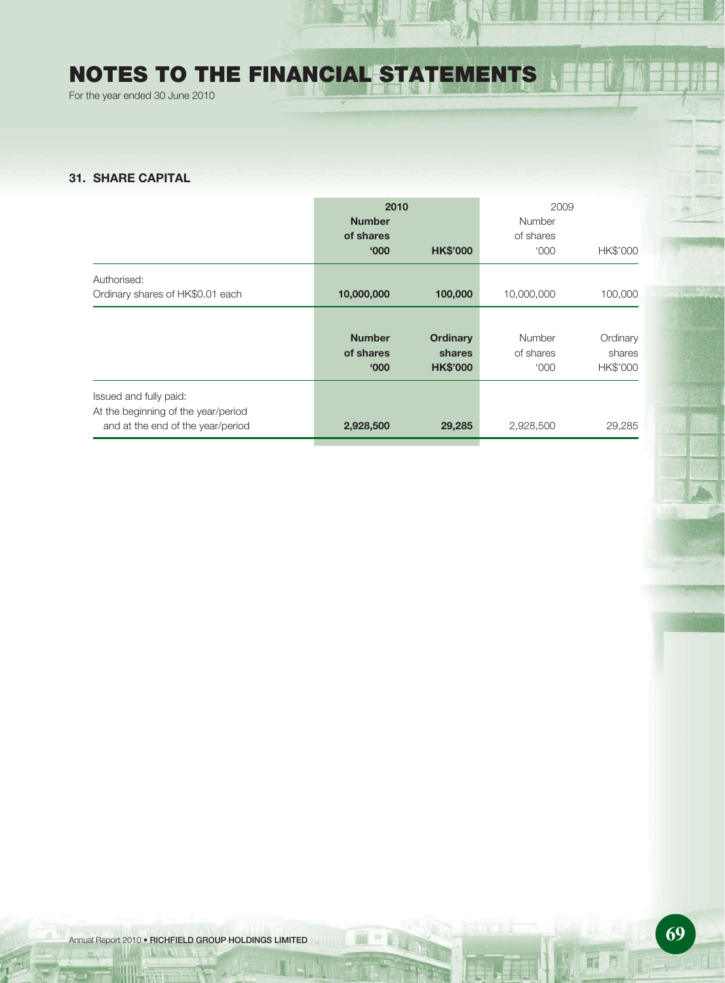For the year ended 30 June 2010

## **31. SHARE CAPITAL**

|                                                               | 2010          |                 | 2009        |                 |
|---------------------------------------------------------------|---------------|-----------------|-------------|-----------------|
|                                                               | <b>Number</b> |                 | Number      |                 |
|                                                               | of shares     |                 | of shares   |                 |
|                                                               | 000'          | <b>HK\$'000</b> | <b>'000</b> | HK\$'000        |
| Authorised:                                                   |               |                 |             |                 |
| Ordinary shares of HK\$0.01 each                              | 10,000,000    | 100,000         | 10,000,000  | 100,000         |
|                                                               |               |                 |             |                 |
|                                                               | <b>Number</b> | <b>Ordinary</b> | Number      | Ordinary        |
|                                                               | of shares     | shares          | of shares   | shares          |
|                                                               | '000'         | <b>HK\$'000</b> | <b>'000</b> | <b>HK\$'000</b> |
| Issued and fully paid:<br>At the beginning of the year/period |               |                 |             |                 |
| and at the end of the year/period                             | 2,928,500     | 29,285          | 2,928,500   | 29,285          |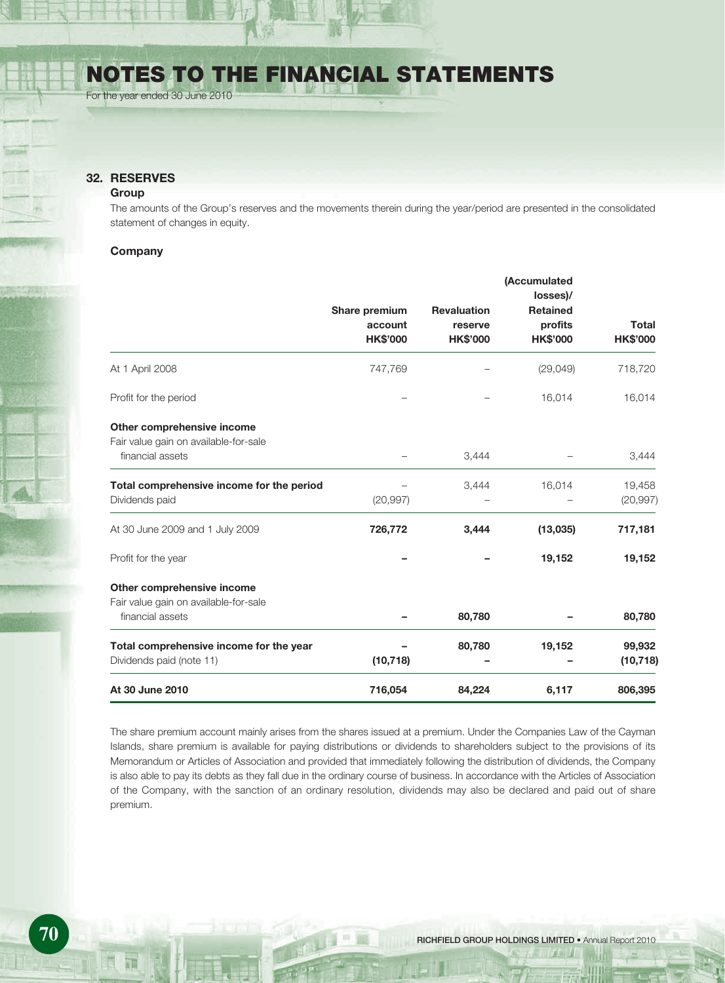For the year ended 30 June 2010

## **32. RESERVES**

#### **Group**

The amounts of the Group's reserves and the movements therein during the year/period are presented in the consolidated statement of changes in equity.

#### **Company**

|                                                                                         | Share premium<br>account<br><b>HK\$'000</b> | <b>Revaluation</b><br>reserve<br><b>HK\$'000</b> | (Accumulated<br>losses)/<br><b>Retained</b><br>profits<br><b>HK\$'000</b> | <b>Total</b><br><b>HK\$'000</b> |
|-----------------------------------------------------------------------------------------|---------------------------------------------|--------------------------------------------------|---------------------------------------------------------------------------|---------------------------------|
| At 1 April 2008                                                                         | 747,769                                     |                                                  | (29, 049)                                                                 | 718,720                         |
| Profit for the period                                                                   |                                             |                                                  | 16,014                                                                    | 16,014                          |
| Other comprehensive income<br>Fair value gain on available-for-sale<br>financial assets |                                             | 3,444                                            |                                                                           | 3,444                           |
| Total comprehensive income for the period<br>Dividends paid                             | (20, 997)                                   | 3,444                                            | 16,014                                                                    | 19,458<br>(20, 997)             |
| At 30 June 2009 and 1 July 2009                                                         | 726,772                                     | 3,444                                            | (13,035)                                                                  | 717,181                         |
| Profit for the year                                                                     |                                             |                                                  | 19,152                                                                    | 19,152                          |
| Other comprehensive income<br>Fair value gain on available-for-sale<br>financial assets |                                             | 80,780                                           |                                                                           | 80,780                          |
| Total comprehensive income for the year<br>Dividends paid (note 11)                     | (10, 718)                                   | 80,780                                           | 19,152                                                                    | 99,932<br>(10, 718)             |
| At 30 June 2010                                                                         | 716,054                                     | 84,224                                           | 6,117                                                                     | 806,395                         |

The share premium account mainly arises from the shares issued at a premium. Under the Companies Law of the Cayman Islands, share premium is available for paying distributions or dividends to shareholders subject to the provisions of its Memorandum or Articles of Association and provided that immediately following the distribution of dividends, the Company is also able to pay its debts as they fall due in the ordinary course of business. In accordance with the Articles of Association of the Company, with the sanction of an ordinary resolution, dividends may also be declared and paid out of share premium.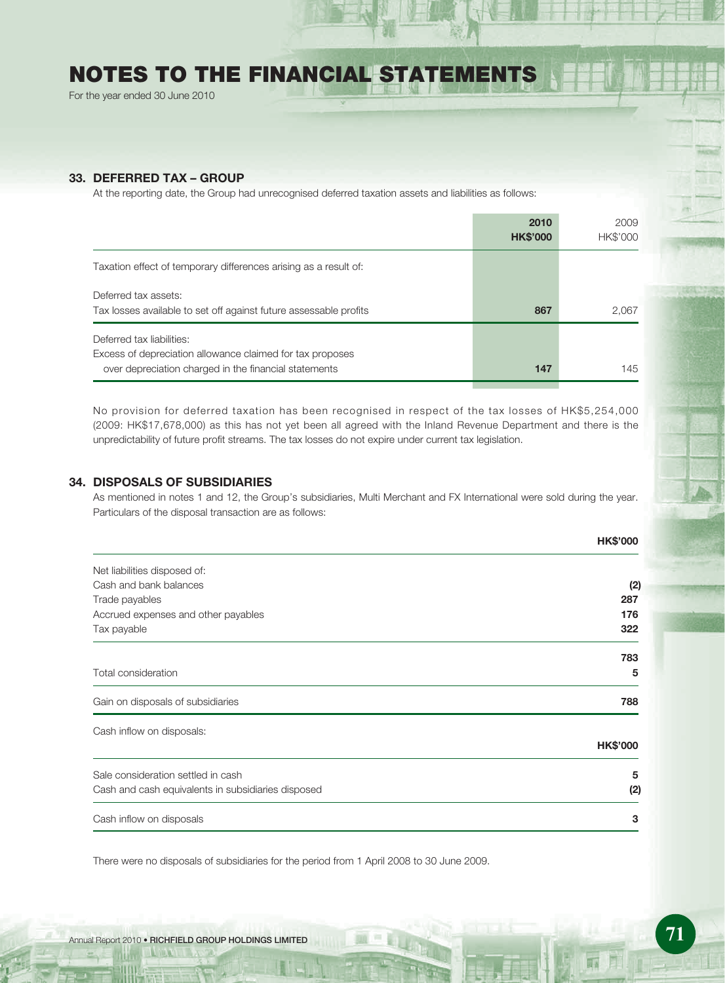For the year ended 30 June 2010

## **33. DEFERRED TAX – GROUP**

At the reporting date, the Group had unrecognised deferred taxation assets and liabilities as follows:

|                                                                                                                                                 | 2010<br><b>HK\$'000</b> | 2009<br>HK\$'000 |
|-------------------------------------------------------------------------------------------------------------------------------------------------|-------------------------|------------------|
| Taxation effect of temporary differences arising as a result of:                                                                                |                         |                  |
| Deferred tax assets:<br>Tax losses available to set off against future assessable profits                                                       | 867                     | 2.067            |
| Deferred tax liabilities:<br>Excess of depreciation allowance claimed for tax proposes<br>over depreciation charged in the financial statements | 147                     | 145              |

No provision for deferred taxation has been recognised in respect of the tax losses of HK\$5,254,000 (2009: HK\$17,678,000) as this has not yet been all agreed with the Inland Revenue Department and there is the unpredictability of future profit streams. The tax losses do not expire under current tax legislation.

# **34. DISPOSALS OF SUBSIDIARIES**

As mentioned in notes 1 and 12, the Group's subsidiaries, Multi Merchant and FX International were sold during the year. Particulars of the disposal transaction are as follows:

|                                                    | <b>HK\$'000</b> |
|----------------------------------------------------|-----------------|
| Net liabilities disposed of:                       |                 |
| Cash and bank balances                             | (2)             |
| Trade payables                                     | 287             |
| Accrued expenses and other payables                | 176             |
| Tax payable                                        | 322             |
|                                                    | 783             |
| Total consideration                                | 5               |
| Gain on disposals of subsidiaries                  | 788             |
| Cash inflow on disposals:                          |                 |
|                                                    | <b>HK\$'000</b> |
| Sale consideration settled in cash                 | 5               |
| Cash and cash equivalents in subsidiaries disposed | (2)             |
| Cash inflow on disposals                           | 3               |

There were no disposals of subsidiaries for the period from 1 April 2008 to 30 June 2009.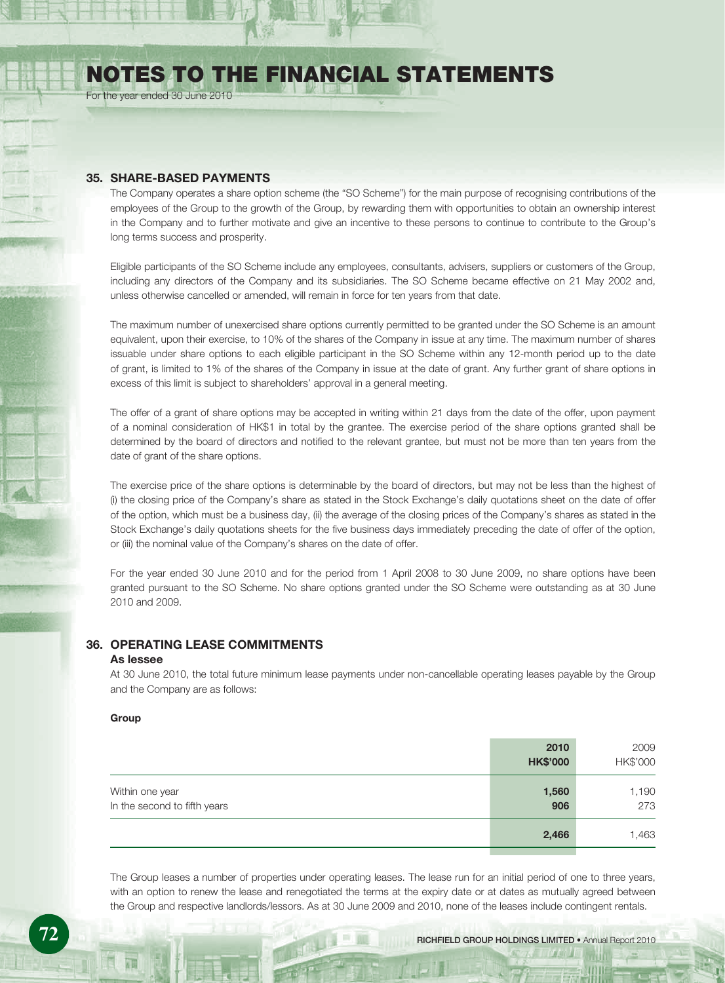For the year ended 30 June 2010

## **35. SHARE-BASED PAYMENTS**

The Company operates a share option scheme (the "SO Scheme") for the main purpose of recognising contributions of the employees of the Group to the growth of the Group, by rewarding them with opportunities to obtain an ownership interest in the Company and to further motivate and give an incentive to these persons to continue to contribute to the Group's long terms success and prosperity.

Eligible participants of the SO Scheme include any employees, consultants, advisers, suppliers or customers of the Group, including any directors of the Company and its subsidiaries. The SO Scheme became effective on 21 May 2002 and, unless otherwise cancelled or amended, will remain in force for ten years from that date.

The maximum number of unexercised share options currently permitted to be granted under the SO Scheme is an amount equivalent, upon their exercise, to 10% of the shares of the Company in issue at any time. The maximum number of shares issuable under share options to each eligible participant in the SO Scheme within any 12-month period up to the date of grant, is limited to 1% of the shares of the Company in issue at the date of grant. Any further grant of share options in excess of this limit is subject to shareholders' approval in a general meeting.

The offer of a grant of share options may be accepted in writing within 21 days from the date of the offer, upon payment of a nominal consideration of HK\$1 in total by the grantee. The exercise period of the share options granted shall be determined by the board of directors and notified to the relevant grantee, but must not be more than ten years from the date of grant of the share options.

The exercise price of the share options is determinable by the board of directors, but may not be less than the highest of (i) the closing price of the Company's share as stated in the Stock Exchange's daily quotations sheet on the date of offer of the option, which must be a business day, (ii) the average of the closing prices of the Company's shares as stated in the Stock Exchange's daily quotations sheets for the five business days immediately preceding the date of offer of the option, or (iii) the nominal value of the Company's shares on the date of offer.

For the year ended 30 June 2010 and for the period from 1 April 2008 to 30 June 2009, no share options have been granted pursuant to the SO Scheme. No share options granted under the SO Scheme were outstanding as at 30 June 2010 and 2009.

# **36. OPERATING LEASE COMMITMENTS**

#### **As lessee**

At 30 June 2010, the total future minimum lease payments under non-cancellable operating leases payable by the Group and the Company are as follows:

#### **Group**

|                                                 | 2010<br><b>HK\$'000</b> | 2009<br>HK\$'000 |
|-------------------------------------------------|-------------------------|------------------|
| Within one year<br>In the second to fifth years | 1,560<br>906            | 1,190<br>273     |
|                                                 | 2,466                   | 1,463            |

The Group leases a number of properties under operating leases. The lease run for an initial period of one to three years, with an option to renew the lease and renegotiated the terms at the expiry date or at dates as mutually agreed between the Group and respective landlords/lessors. As at 30 June 2009 and 2010, none of the leases include contingent rentals.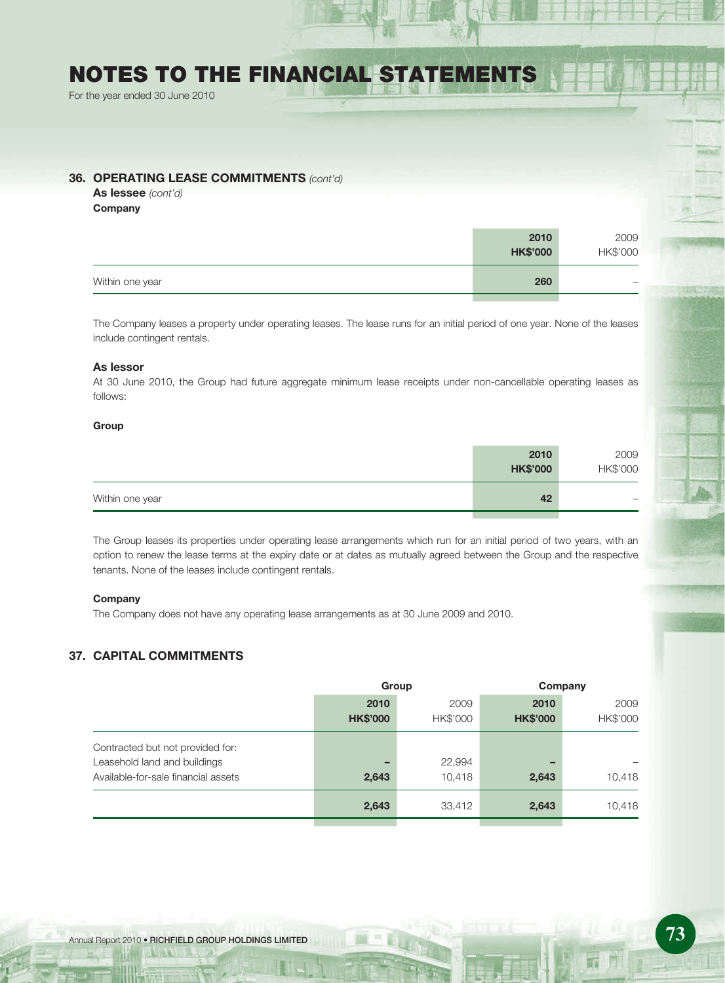For the year ended 30 June 2010

## **36. OPERATING LEASE COMMITMENTS (cont'd)**

As lessee (cont'd) **Company**

|                 | 2010<br><b>HK\$'000</b> | 2009<br>HK\$'000         |
|-----------------|-------------------------|--------------------------|
| Within one year | 260                     | $\overline{\phantom{0}}$ |

The Company leases a property under operating leases. The lease runs for an initial period of one year. None of the leases include contingent rentals.

### **As lessor**

At 30 June 2010, the Group had future aggregate minimum lease receipts under non-cancellable operating leases as follows:

#### **Group**

|                 | 2010<br><b>HK\$'000</b> | 2009<br>HK\$'000 |
|-----------------|-------------------------|------------------|
| Within one year | 42                      | -                |

The Group leases its properties under operating lease arrangements which run for an initial period of two years, with an option to renew the lease terms at the expiry date or at dates as mutually agreed between the Group and the respective tenants. None of the leases include contingent rentals.

### **Company**

The Company does not have any operating lease arrangements as at 30 June 2009 and 2010.

# **37. CAPITAL COMMITMENTS**

| Group                   |                         | Company                 |                  |
|-------------------------|-------------------------|-------------------------|------------------|
| 2010<br><b>HK\$'000</b> | 2009<br><b>HK\$'000</b> | 2010<br><b>HK\$'000</b> | 2009<br>HK\$'000 |
| -<br>2,643              | 22,994<br>10,418        | 2,643                   | 10,418           |
| 2,643                   | 33,412                  | 2,643                   | 10,418           |
|                         |                         |                         |                  |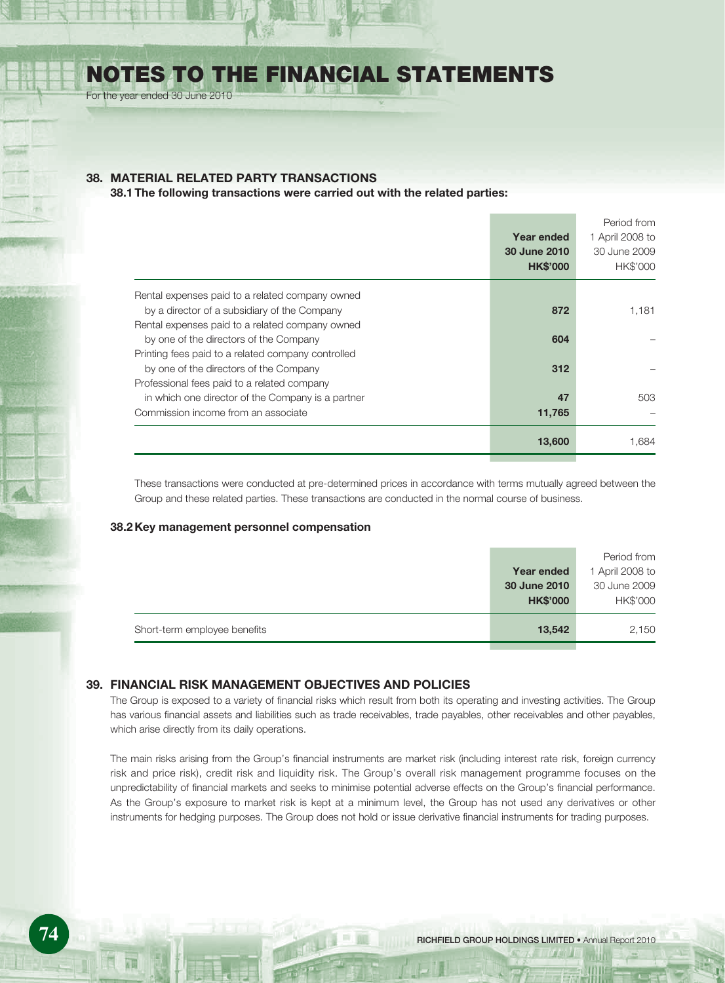For the year ended 30 June 2010

# **38. MATERIAL RELATED PARTY TRANSACTIONS**

### **38.1 The following transactions were carried out with the related parties:**

|                                                    | Year ended<br>30 June 2010<br><b>HK\$'000</b> | Period from<br>1 April 2008 to<br>30 June 2009<br>HK\$'000 |
|----------------------------------------------------|-----------------------------------------------|------------------------------------------------------------|
| Rental expenses paid to a related company owned    |                                               |                                                            |
| by a director of a subsidiary of the Company       | 872                                           | 1,181                                                      |
| Rental expenses paid to a related company owned    |                                               |                                                            |
| by one of the directors of the Company             | 604                                           |                                                            |
| Printing fees paid to a related company controlled |                                               |                                                            |
| by one of the directors of the Company             | 312                                           |                                                            |
| Professional fees paid to a related company        |                                               |                                                            |
| in which one director of the Company is a partner  | 47                                            | 503                                                        |
| Commission income from an associate                | 11,765                                        |                                                            |
|                                                    | 13,600                                        | 1,684                                                      |

These transactions were conducted at pre-determined prices in accordance with terms mutually agreed between the Group and these related parties. These transactions are conducted in the normal course of business.

### **38.2 Key management personnel compensation**

|                              |                 | Period from     |
|------------------------------|-----------------|-----------------|
|                              | Year ended      | 1 April 2008 to |
|                              | 30 June 2010    | 30 June 2009    |
|                              | <b>HK\$'000</b> | <b>HK\$'000</b> |
|                              |                 |                 |
| Short-term employee benefits | 13,542          | 2.150           |

### **39. FINANCIAL RISK MANAGEMENT OBJECTIVES AND POLICIES**

The Group is exposed to a variety of financial risks which result from both its operating and investing activities. The Group has various financial assets and liabilities such as trade receivables, trade payables, other receivables and other payables, which arise directly from its daily operations.

The main risks arising from the Group's financial instruments are market risk (including interest rate risk, foreign currency risk and price risk), credit risk and liquidity risk. The Group's overall risk management programme focuses on the unpredictability of financial markets and seeks to minimise potential adverse effects on the Group's financial performance. As the Group's exposure to market risk is kept at a minimum level, the Group has not used any derivatives or other instruments for hedging purposes. The Group does not hold or issue derivative financial instruments for trading purposes.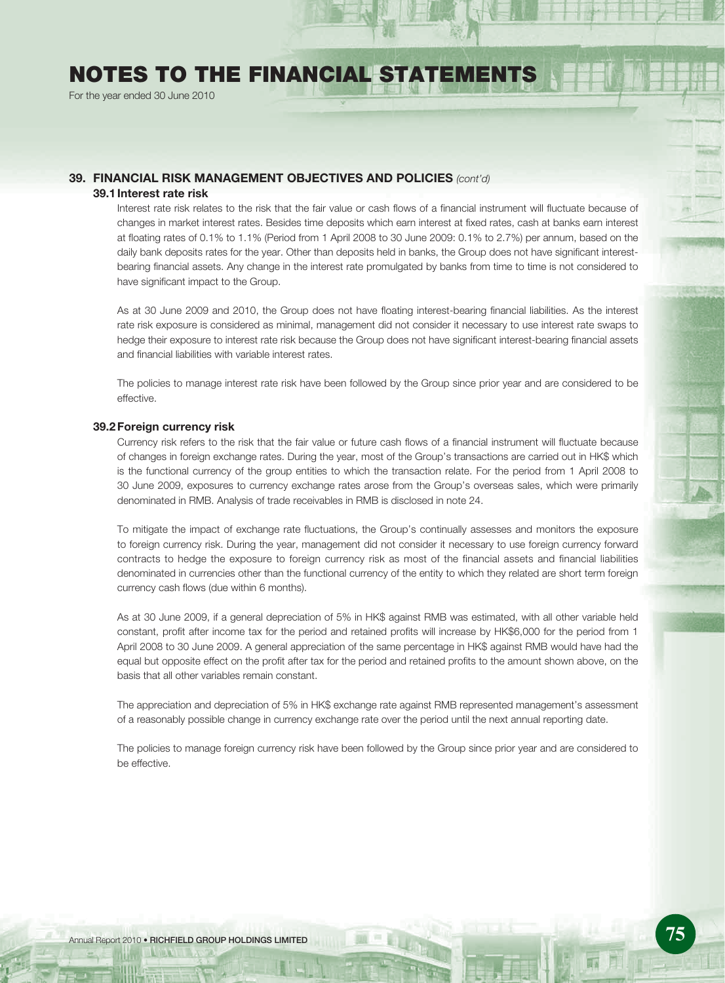For the year ended 30 June 2010

### **39. FINANCIAL RISK MANAGEMENT OBJECTIVES AND POLICIES** (cont'd)

#### **39.1 Interest rate risk**

Interest rate risk relates to the risk that the fair value or cash flows of a financial instrument will fluctuate because of changes in market interest rates. Besides time deposits which earn interest at fixed rates, cash at banks earn interest at floating rates of 0.1% to 1.1% (Period from 1 April 2008 to 30 June 2009: 0.1% to 2.7%) per annum, based on the daily bank deposits rates for the year. Other than deposits held in banks, the Group does not have significant interestbearing financial assets. Any change in the interest rate promulgated by banks from time to time is not considered to have significant impact to the Group.

As at 30 June 2009 and 2010, the Group does not have floating interest-bearing financial liabilities. As the interest rate risk exposure is considered as minimal, management did not consider it necessary to use interest rate swaps to hedge their exposure to interest rate risk because the Group does not have significant interest-bearing financial assets and financial liabilities with variable interest rates.

The policies to manage interest rate risk have been followed by the Group since prior year and are considered to be effective.

#### **39.2 Foreign currency risk**

Currency risk refers to the risk that the fair value or future cash flows of a financial instrument will fluctuate because of changes in foreign exchange rates. During the year, most of the Group's transactions are carried out in HK\$ which is the functional currency of the group entities to which the transaction relate. For the period from 1 April 2008 to 30 June 2009, exposures to currency exchange rates arose from the Group's overseas sales, which were primarily denominated in RMB. Analysis of trade receivables in RMB is disclosed in note 24.

To mitigate the impact of exchange rate fluctuations, the Group's continually assesses and monitors the exposure to foreign currency risk. During the year, management did not consider it necessary to use foreign currency forward contracts to hedge the exposure to foreign currency risk as most of the financial assets and financial liabilities denominated in currencies other than the functional currency of the entity to which they related are short term foreign currency cash flows (due within 6 months).

As at 30 June 2009, if a general depreciation of 5% in HK\$ against RMB was estimated, with all other variable held constant, profit after income tax for the period and retained profits will increase by HK\$6,000 for the period from 1 April 2008 to 30 June 2009. A general appreciation of the same percentage in HK\$ against RMB would have had the equal but opposite effect on the profit after tax for the period and retained profits to the amount shown above, on the basis that all other variables remain constant.

The appreciation and depreciation of 5% in HK\$ exchange rate against RMB represented management's assessment of a reasonably possible change in currency exchange rate over the period until the next annual reporting date.

The policies to manage foreign currency risk have been followed by the Group since prior year and are considered to be effective.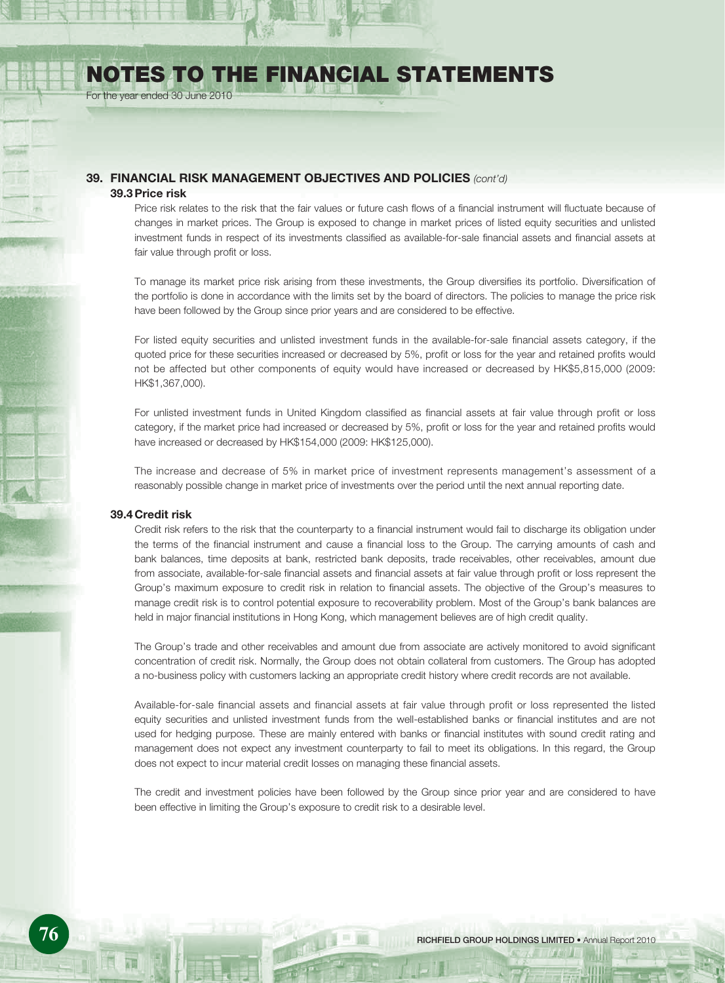For the year ended 30 June 2010

# **39. FINANCIAL RISK MANAGEMENT OBJECTIVES AND POLICIES** (cont'd)

### **39.3 Price risk**

Price risk relates to the risk that the fair values or future cash flows of a financial instrument will fluctuate because of changes in market prices. The Group is exposed to change in market prices of listed equity securities and unlisted investment funds in respect of its investments classified as available-for-sale financial assets and financial assets at fair value through profit or loss.

To manage its market price risk arising from these investments, the Group diversifies its portfolio. Diversification of the portfolio is done in accordance with the limits set by the board of directors. The policies to manage the price risk have been followed by the Group since prior years and are considered to be effective.

For listed equity securities and unlisted investment funds in the available-for-sale financial assets category, if the quoted price for these securities increased or decreased by 5%, profit or loss for the year and retained profits would not be affected but other components of equity would have increased or decreased by HK\$5,815,000 (2009: HK\$1,367,000).

For unlisted investment funds in United Kingdom classified as financial assets at fair value through profit or loss category, if the market price had increased or decreased by 5%, profit or loss for the year and retained profits would have increased or decreased by HK\$154,000 (2009: HK\$125,000).

The increase and decrease of 5% in market price of investment represents management's assessment of a reasonably possible change in market price of investments over the period until the next annual reporting date.

#### **39.4 Credit risk**

Credit risk refers to the risk that the counterparty to a financial instrument would fail to discharge its obligation under the terms of the financial instrument and cause a financial loss to the Group. The carrying amounts of cash and bank balances, time deposits at bank, restricted bank deposits, trade receivables, other receivables, amount due from associate, available-for-sale financial assets and financial assets at fair value through profit or loss represent the Group's maximum exposure to credit risk in relation to financial assets. The objective of the Group's measures to manage credit risk is to control potential exposure to recoverability problem. Most of the Group's bank balances are held in major financial institutions in Hong Kong, which management believes are of high credit quality.

The Group's trade and other receivables and amount due from associate are actively monitored to avoid significant concentration of credit risk. Normally, the Group does not obtain collateral from customers. The Group has adopted a no-business policy with customers lacking an appropriate credit history where credit records are not available.

Available-for-sale financial assets and financial assets at fair value through profit or loss represented the listed equity securities and unlisted investment funds from the well-established banks or financial institutes and are not used for hedging purpose. These are mainly entered with banks or financial institutes with sound credit rating and management does not expect any investment counterparty to fail to meet its obligations. In this regard, the Group does not expect to incur material credit losses on managing these financial assets.

The credit and investment policies have been followed by the Group since prior year and are considered to have been effective in limiting the Group's exposure to credit risk to a desirable level.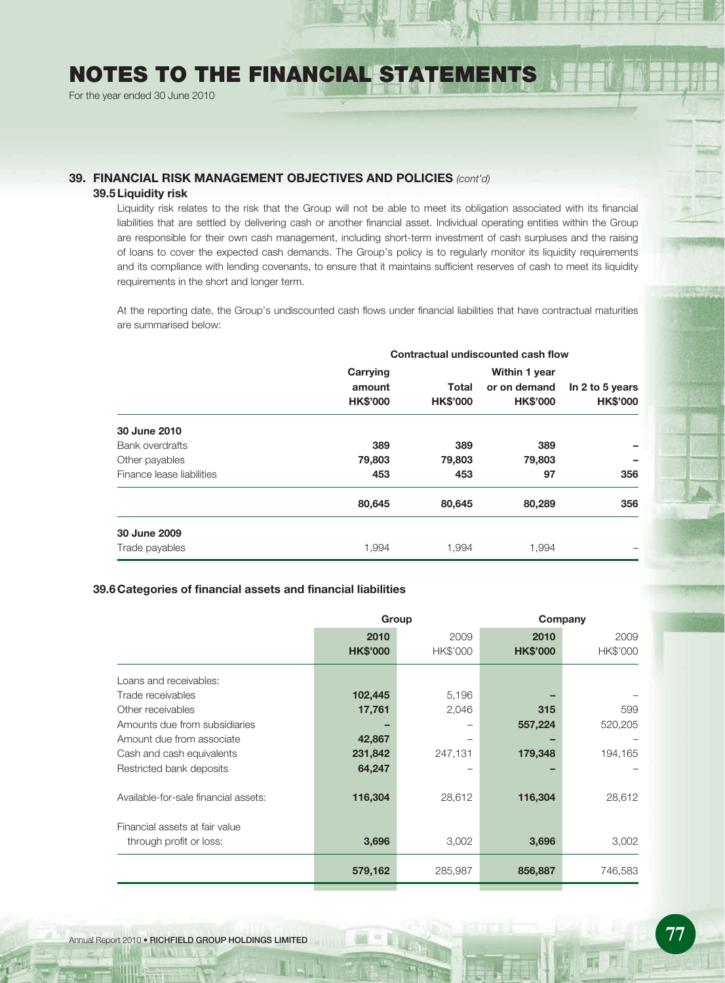For the year ended 30 June 2010

# **39. FINANCIAL RISK MANAGEMENT OBJECTIVES AND POLICIES** (cont'd)

### **39.5 Liquidity risk**

Liquidity risk relates to the risk that the Group will not be able to meet its obligation associated with its financial liabilities that are settled by delivering cash or another financial asset. Individual operating entities within the Group are responsible for their own cash management, including short-term investment of cash surpluses and the raising of loans to cover the expected cash demands. The Group's policy is to regularly monitor its liquidity requirements and its compliance with lending covenants, to ensure that it maintains sufficient reserves of cash to meet its liquidity requirements in the short and longer term.

At the reporting date, the Group's undiscounted cash flows under financial liabilities that have contractual maturities are summarised below:

|                           | Contractual undiscounted cash flow    |                          |                                                  |                                    |  |
|---------------------------|---------------------------------------|--------------------------|--------------------------------------------------|------------------------------------|--|
|                           | Carrying<br>amount<br><b>HK\$'000</b> | Total<br><b>HK\$'000</b> | Within 1 year<br>or on demand<br><b>HK\$'000</b> | In 2 to 5 years<br><b>HK\$'000</b> |  |
| 30 June 2010              |                                       |                          |                                                  |                                    |  |
| Bank overdrafts           | 389                                   | 389                      | 389                                              |                                    |  |
| Other payables            | 79,803                                | 79,803                   | 79,803                                           |                                    |  |
| Finance lease liabilities | 453                                   | 453                      | 97                                               | 356                                |  |
|                           | 80,645                                | 80,645                   | 80,289                                           | 356                                |  |
| 30 June 2009              |                                       |                          |                                                  |                                    |  |
| Trade payables            | 1.994                                 | 1.994                    | 1.994                                            |                                    |  |

### **39.6 Categories of financial assets and financial liabilities**

|                                      | Group                   |                  |                         | Company          |
|--------------------------------------|-------------------------|------------------|-------------------------|------------------|
|                                      | 2010<br><b>HK\$'000</b> | 2009<br>HK\$'000 | 2010<br><b>HK\$'000</b> | 2009<br>HK\$'000 |
| Loans and receivables:               |                         |                  |                         |                  |
| Trade receivables                    | 102,445                 | 5,196            |                         |                  |
| Other receivables                    | 17,761                  | 2,046            | 315                     | 599              |
| Amounts due from subsidiaries        |                         |                  | 557,224                 | 520,205          |
| Amount due from associate            | 42,867                  |                  |                         |                  |
| Cash and cash equivalents            | 231,842                 | 247,131          | 179,348                 | 194,165          |
| Restricted bank deposits             | 64,247                  |                  |                         |                  |
| Available-for-sale financial assets: | 116,304                 | 28,612           | 116,304                 | 28,612           |
| Financial assets at fair value       |                         |                  |                         |                  |
| through profit or loss:              | 3,696                   | 3,002            | 3,696                   | 3,002            |
|                                      | 579,162                 | 285,987          | 856,887                 | 746,583          |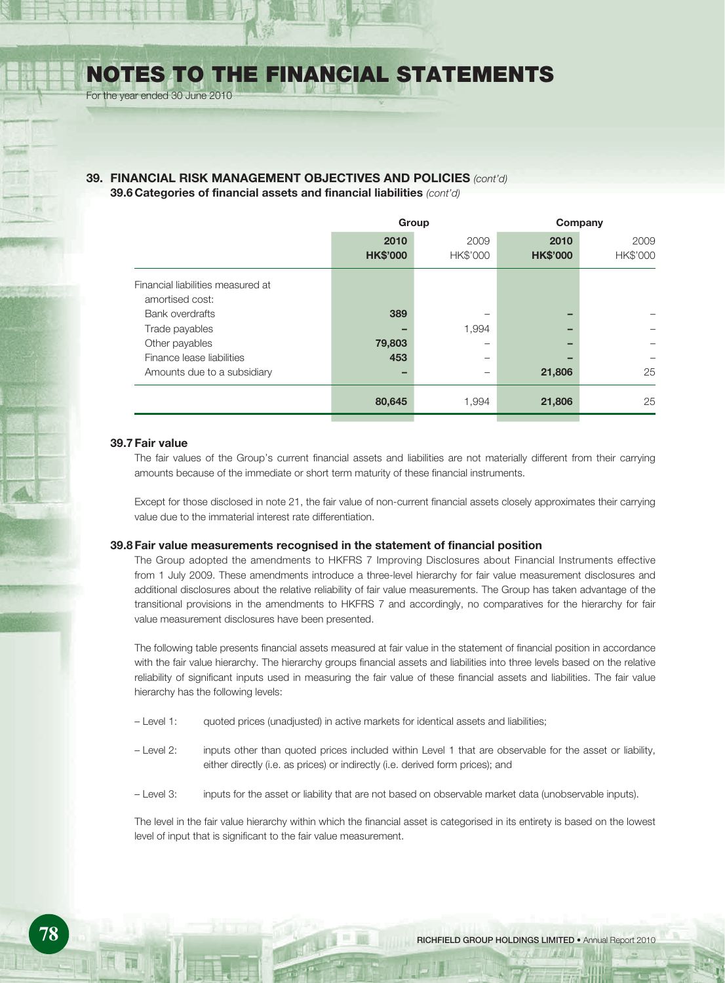# **NOTES TO THE FINANCIAL STATEMENTS** For the year ended 30 June 2010

# **39. FINANCIAL RISK MANAGEMENT OBJECTIVES AND POLICIES** (cont'd)

**39.6 Categories of financial assets and financial liabilities** (cont'd)

|                                                      | Group           |          | Company         |          |
|------------------------------------------------------|-----------------|----------|-----------------|----------|
|                                                      | 2010            | 2009     | 2010            | 2009     |
|                                                      | <b>HK\$'000</b> | HK\$'000 | <b>HK\$'000</b> | HK\$'000 |
| Financial liabilities measured at<br>amortised cost: |                 |          |                 |          |
| <b>Bank overdrafts</b>                               | 389             |          |                 |          |
| Trade payables                                       |                 | 1,994    |                 |          |
| Other payables                                       | 79,803          |          |                 |          |
| Finance lease liabilities                            | 453             |          |                 |          |
| Amounts due to a subsidiary                          | -               |          | 21,806          | 25       |
|                                                      | 80,645          | 1,994    | 21,806          | 25       |
|                                                      |                 |          |                 |          |

### **39.7 Fair value**

The fair values of the Group's current financial assets and liabilities are not materially different from their carrying amounts because of the immediate or short term maturity of these financial instruments.

Except for those disclosed in note 21, the fair value of non-current financial assets closely approximates their carrying value due to the immaterial interest rate differentiation.

### **39.8 Fair value measurements recognised in the statement of financial position**

The Group adopted the amendments to HKFRS 7 Improving Disclosures about Financial Instruments effective from 1 July 2009. These amendments introduce a three-level hierarchy for fair value measurement disclosures and additional disclosures about the relative reliability of fair value measurements. The Group has taken advantage of the transitional provisions in the amendments to HKFRS 7 and accordingly, no comparatives for the hierarchy for fair value measurement disclosures have been presented.

The following table presents financial assets measured at fair value in the statement of financial position in accordance with the fair value hierarchy. The hierarchy groups financial assets and liabilities into three levels based on the relative reliability of significant inputs used in measuring the fair value of these financial assets and liabilities. The fair value hierarchy has the following levels:

- Level 1: quoted prices (unadjusted) in active markets for identical assets and liabilities;
- Level 2: inputs other than quoted prices included within Level 1 that are observable for the asset or liability, either directly (i.e. as prices) or indirectly (i.e. derived form prices); and
- Level 3: inputs for the asset or liability that are not based on observable market data (unobservable inputs).

The level in the fair value hierarchy within which the financial asset is categorised in its entirety is based on the lowest level of input that is significant to the fair value measurement.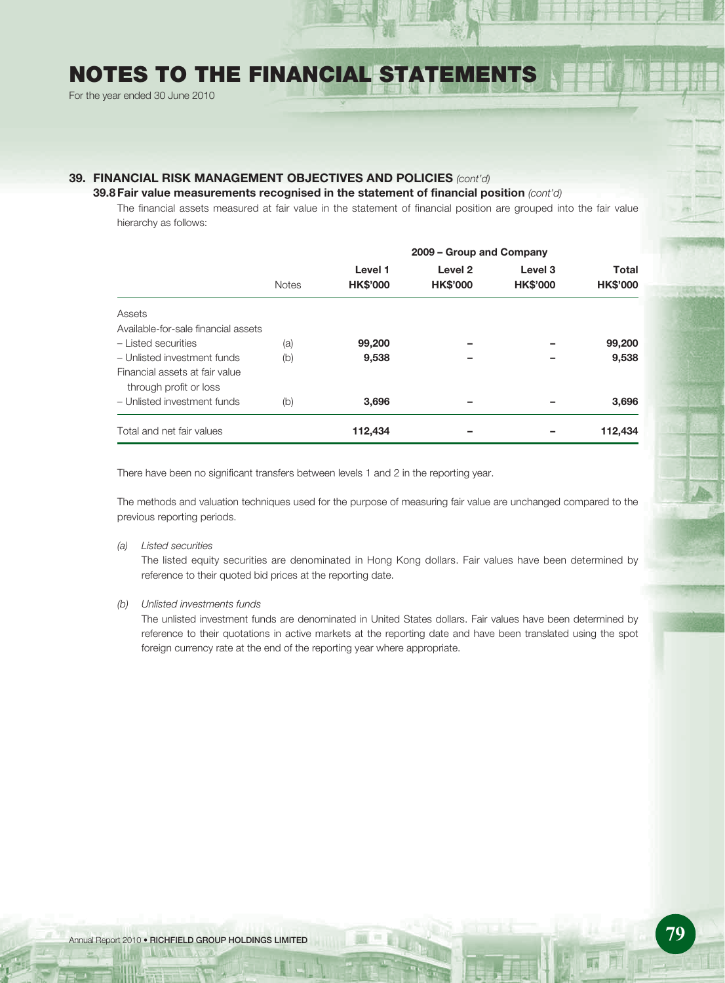For the year ended 30 June 2010

# **39. FINANCIAL RISK MANAGEMENT OBJECTIVES AND POLICIES** (cont'd)

### **39.8 Fair value measurements recognised in the statement of financial position** (cont'd)

The financial assets measured at fair value in the statement of financial position are grouped into the fair value hierarchy as follows:

|                                     | 2009 – Group and Company |                            |                            |                            |                          |  |  |
|-------------------------------------|--------------------------|----------------------------|----------------------------|----------------------------|--------------------------|--|--|
|                                     | <b>Notes</b>             | Level 1<br><b>HK\$'000</b> | Level 2<br><b>HK\$'000</b> | Level 3<br><b>HK\$'000</b> | Total<br><b>HK\$'000</b> |  |  |
| Assets                              |                          |                            |                            |                            |                          |  |  |
| Available-for-sale financial assets |                          |                            |                            |                            |                          |  |  |
| - Listed securities                 | (a)                      | 99,200                     |                            |                            | 99,200                   |  |  |
| - Unlisted investment funds         | (b)                      | 9,538                      |                            |                            | 9,538                    |  |  |
| Financial assets at fair value      |                          |                            |                            |                            |                          |  |  |
| through profit or loss              |                          |                            |                            |                            |                          |  |  |
| - Unlisted investment funds         | (b)                      | 3,696                      |                            |                            | 3,696                    |  |  |
| Total and net fair values           |                          | 112,434                    |                            |                            | 112,434                  |  |  |

There have been no significant transfers between levels 1 and 2 in the reporting year.

The methods and valuation techniques used for the purpose of measuring fair value are unchanged compared to the previous reporting periods.

### (a) Listed securities

The listed equity securities are denominated in Hong Kong dollars. Fair values have been determined by reference to their quoted bid prices at the reporting date.

#### (b) Unlisted investments funds

The unlisted investment funds are denominated in United States dollars. Fair values have been determined by reference to their quotations in active markets at the reporting date and have been translated using the spot foreign currency rate at the end of the reporting year where appropriate.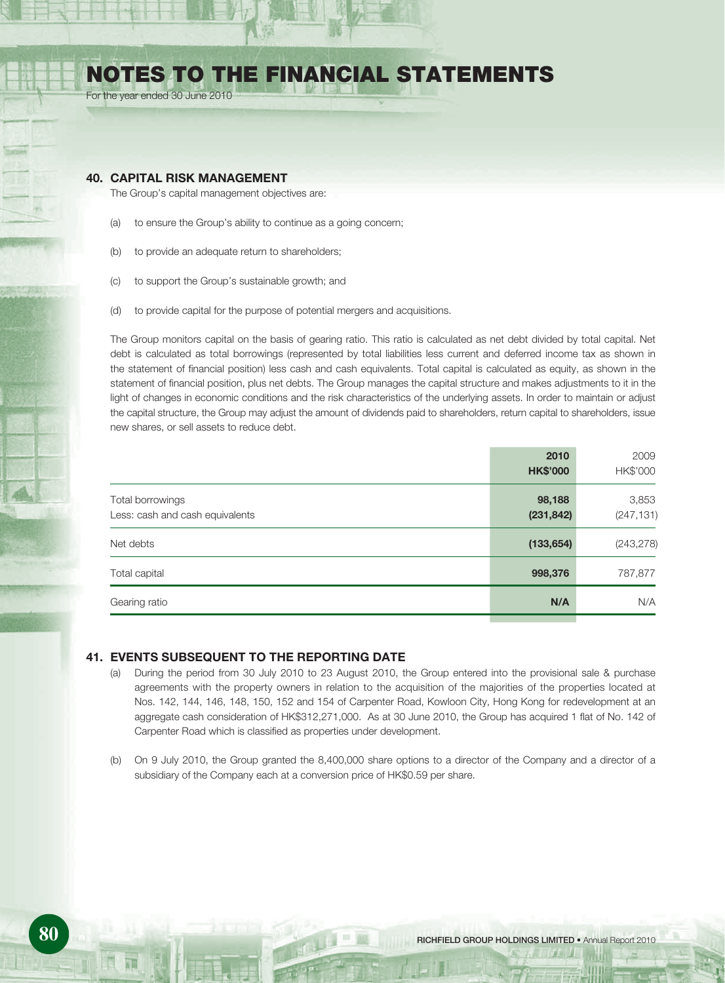For the year ended 30 June 2010

# **40. CAPITAL RISK MANAGEMENT**

The Group's capital management objectives are:

- (a) to ensure the Group's ability to continue as a going concern;
- (b) to provide an adequate return to shareholders;
- (c) to support the Group's sustainable growth; and
- (d) to provide capital for the purpose of potential mergers and acquisitions.

The Group monitors capital on the basis of gearing ratio. This ratio is calculated as net debt divided by total capital. Net debt is calculated as total borrowings (represented by total liabilities less current and deferred income tax as shown in the statement of financial position) less cash and cash equivalents. Total capital is calculated as equity, as shown in the statement of financial position, plus net debts. The Group manages the capital structure and makes adjustments to it in the light of changes in economic conditions and the risk characteristics of the underlying assets. In order to maintain or adjust the capital structure, the Group may adjust the amount of dividends paid to shareholders, return capital to shareholders, issue new shares, or sell assets to reduce debt.

|                                                     | 2010<br><b>HK\$'000</b> | 2009<br>HK\$'000    |
|-----------------------------------------------------|-------------------------|---------------------|
| Total borrowings<br>Less: cash and cash equivalents | 98,188<br>(231, 842)    | 3,853<br>(247, 131) |
| Net debts                                           | (133, 654)              | (243, 278)          |
| Total capital                                       | 998,376                 | 787,877             |
| Gearing ratio                                       | N/A                     | N/A                 |

### **41. EVENTS SUBSEQUENT TO THE REPORTING DATE**

- (a) During the period from 30 July 2010 to 23 August 2010, the Group entered into the provisional sale & purchase agreements with the property owners in relation to the acquisition of the majorities of the properties located at Nos. 142, 144, 146, 148, 150, 152 and 154 of Carpenter Road, Kowloon City, Hong Kong for redevelopment at an aggregate cash consideration of HK\$312,271,000. As at 30 June 2010, the Group has acquired 1 flat of No. 142 of Carpenter Road which is classified as properties under development.
- (b) On 9 July 2010, the Group granted the 8,400,000 share options to a director of the Company and a director of a subsidiary of the Company each at a conversion price of HK\$0.59 per share.